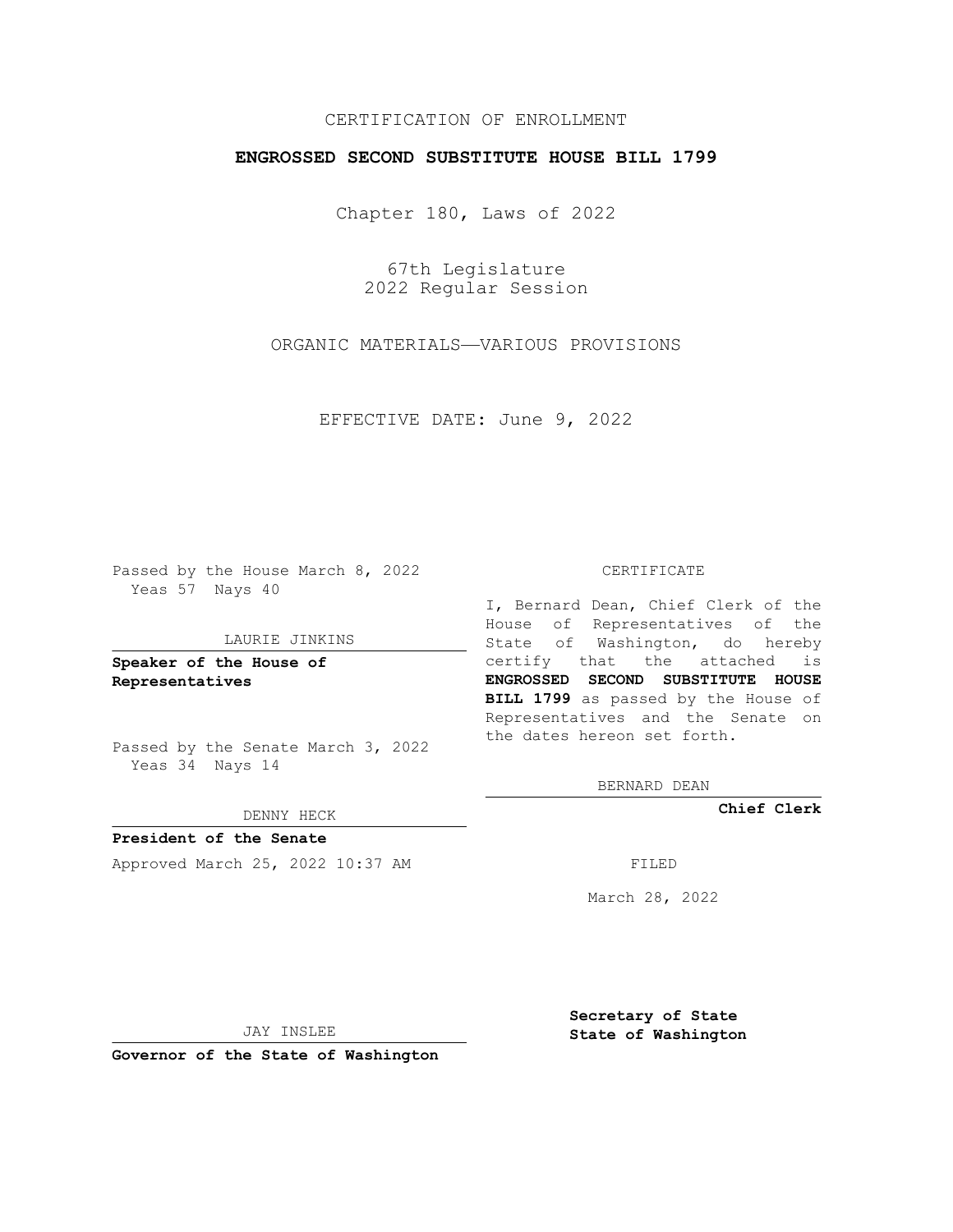### CERTIFICATION OF ENROLLMENT

### **ENGROSSED SECOND SUBSTITUTE HOUSE BILL 1799**

Chapter 180, Laws of 2022

67th Legislature 2022 Regular Session

ORGANIC MATERIALS—VARIOUS PROVISIONS

EFFECTIVE DATE: June 9, 2022

Passed by the House March 8, 2022 Yeas 57 Nays 40

### LAURIE JINKINS

**Speaker of the House of Representatives**

Passed by the Senate March 3, 2022 Yeas 34 Nays 14

### DENNY HECK

**President of the Senate** Approved March 25, 2022 10:37 AM FILED

### CERTIFICATE

I, Bernard Dean, Chief Clerk of the House of Representatives of the State of Washington, do hereby certify that the attached is **ENGROSSED SECOND SUBSTITUTE HOUSE BILL 1799** as passed by the House of Representatives and the Senate on the dates hereon set forth.

BERNARD DEAN

**Chief Clerk**

March 28, 2022

JAY INSLEE

**Governor of the State of Washington**

**Secretary of State State of Washington**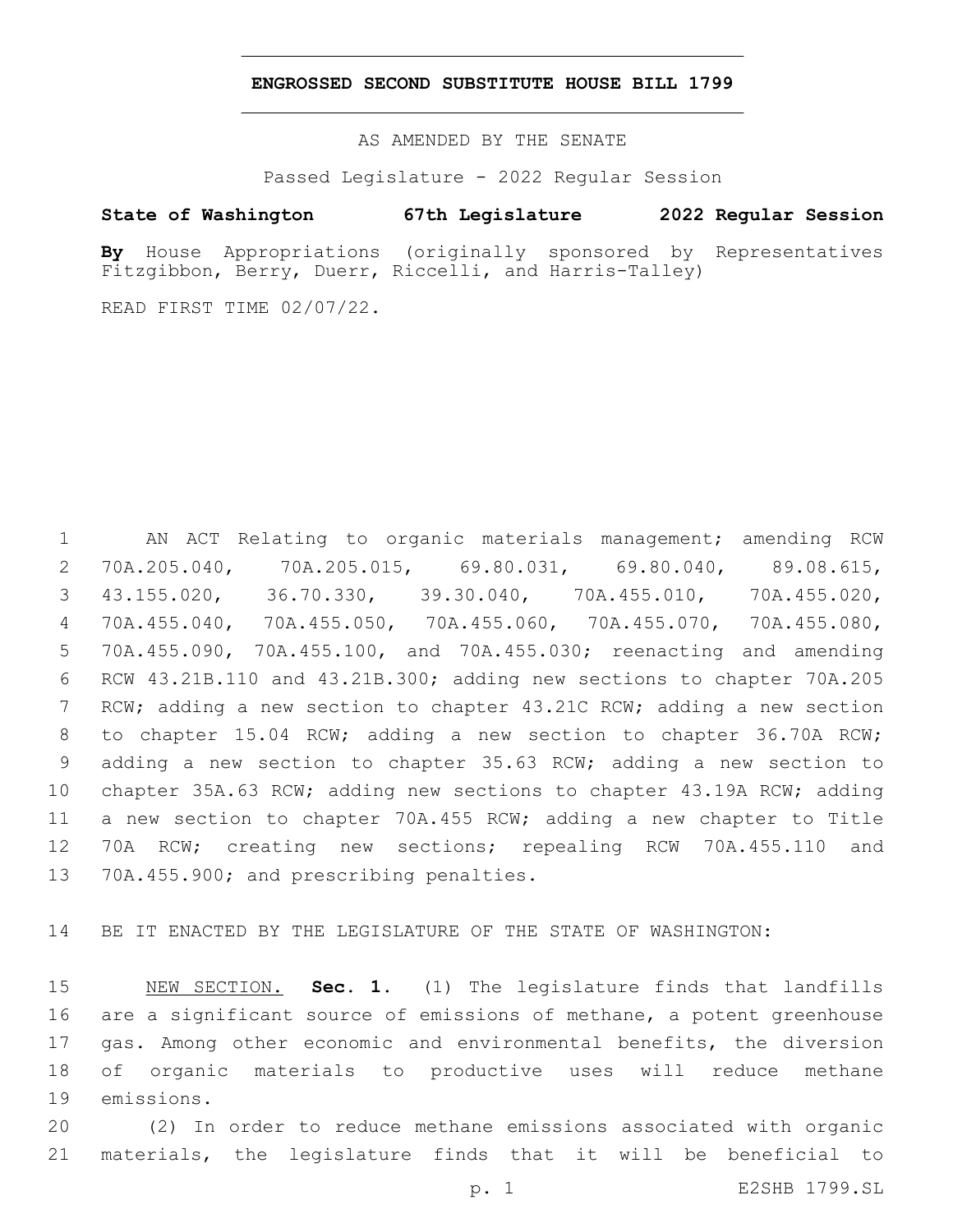### **ENGROSSED SECOND SUBSTITUTE HOUSE BILL 1799**

AS AMENDED BY THE SENATE

Passed Legislature - 2022 Regular Session

# **State of Washington 67th Legislature 2022 Regular Session**

**By** House Appropriations (originally sponsored by Representatives Fitzgibbon, Berry, Duerr, Riccelli, and Harris-Talley)

READ FIRST TIME 02/07/22.

 AN ACT Relating to organic materials management; amending RCW 70A.205.040, 70A.205.015, 69.80.031, 69.80.040, 89.08.615, 43.155.020, 36.70.330, 39.30.040, 70A.455.010, 70A.455.020, 70A.455.040, 70A.455.050, 70A.455.060, 70A.455.070, 70A.455.080, 70A.455.090, 70A.455.100, and 70A.455.030; reenacting and amending RCW 43.21B.110 and 43.21B.300; adding new sections to chapter 70A.205 RCW; adding a new section to chapter 43.21C RCW; adding a new section to chapter 15.04 RCW; adding a new section to chapter 36.70A RCW; adding a new section to chapter 35.63 RCW; adding a new section to chapter 35A.63 RCW; adding new sections to chapter 43.19A RCW; adding a new section to chapter 70A.455 RCW; adding a new chapter to Title 70A RCW; creating new sections; repealing RCW 70A.455.110 and 13 70A.455.900; and prescribing penalties.

BE IT ENACTED BY THE LEGISLATURE OF THE STATE OF WASHINGTON:

 NEW SECTION. **Sec. 1.** (1) The legislature finds that landfills are a significant source of emissions of methane, a potent greenhouse gas. Among other economic and environmental benefits, the diversion of organic materials to productive uses will reduce methane emissions.

 (2) In order to reduce methane emissions associated with organic materials, the legislature finds that it will be beneficial to

p. 1 E2SHB 1799.SL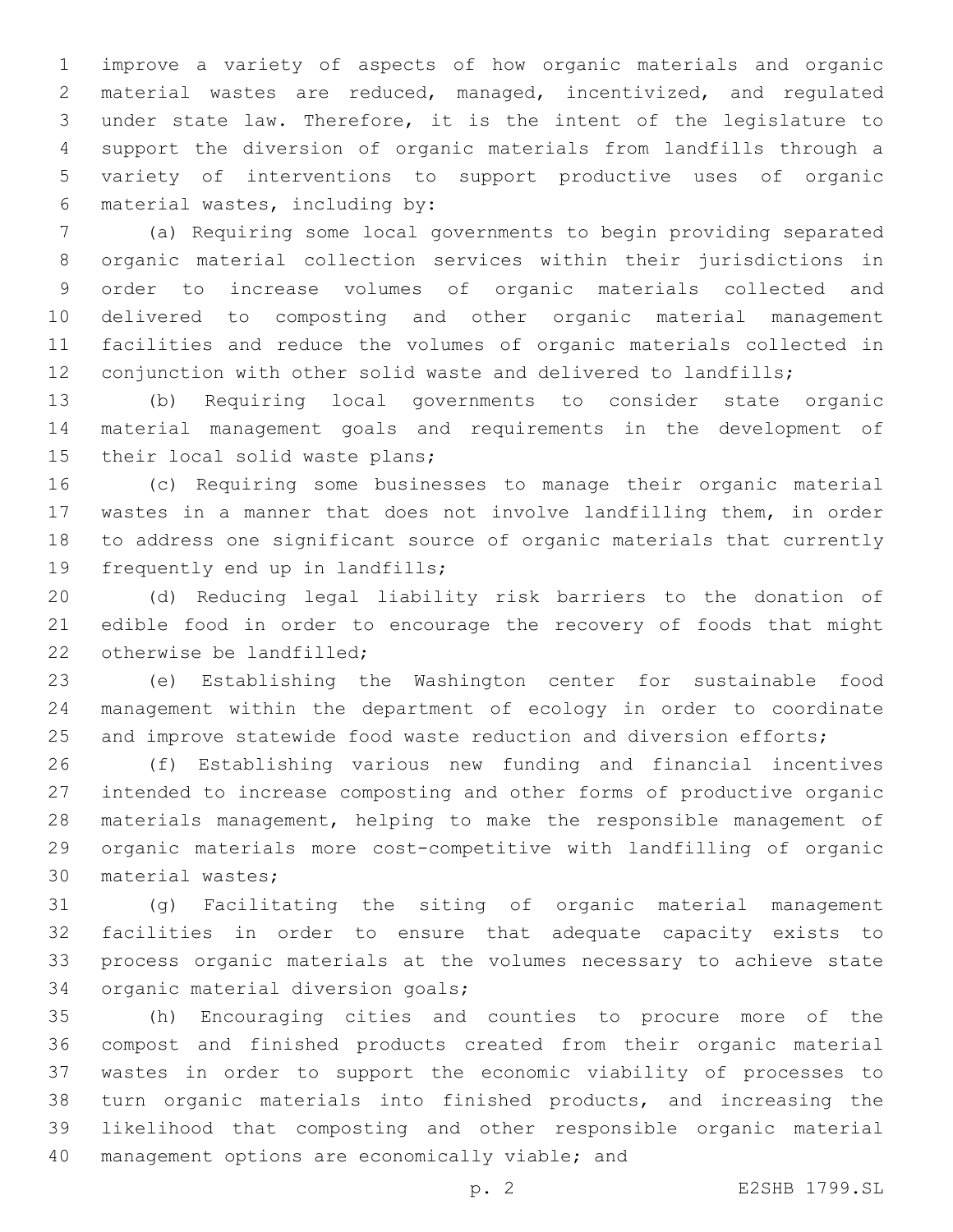improve a variety of aspects of how organic materials and organic material wastes are reduced, managed, incentivized, and regulated under state law. Therefore, it is the intent of the legislature to support the diversion of organic materials from landfills through a variety of interventions to support productive uses of organic material wastes, including by:6

 (a) Requiring some local governments to begin providing separated organic material collection services within their jurisdictions in order to increase volumes of organic materials collected and delivered to composting and other organic material management facilities and reduce the volumes of organic materials collected in conjunction with other solid waste and delivered to landfills;

 (b) Requiring local governments to consider state organic material management goals and requirements in the development of 15 their local solid waste plans;

 (c) Requiring some businesses to manage their organic material wastes in a manner that does not involve landfilling them, in order to address one significant source of organic materials that currently 19 frequently end up in landfills;

 (d) Reducing legal liability risk barriers to the donation of edible food in order to encourage the recovery of foods that might 22 otherwise be landfilled:

 (e) Establishing the Washington center for sustainable food management within the department of ecology in order to coordinate 25 and improve statewide food waste reduction and diversion efforts;

 (f) Establishing various new funding and financial incentives intended to increase composting and other forms of productive organic materials management, helping to make the responsible management of organic materials more cost-competitive with landfilling of organic 30 material wastes;

 (g) Facilitating the siting of organic material management facilities in order to ensure that adequate capacity exists to process organic materials at the volumes necessary to achieve state 34 organic material diversion goals;

 (h) Encouraging cities and counties to procure more of the compost and finished products created from their organic material wastes in order to support the economic viability of processes to turn organic materials into finished products, and increasing the likelihood that composting and other responsible organic material 40 management options are economically viable; and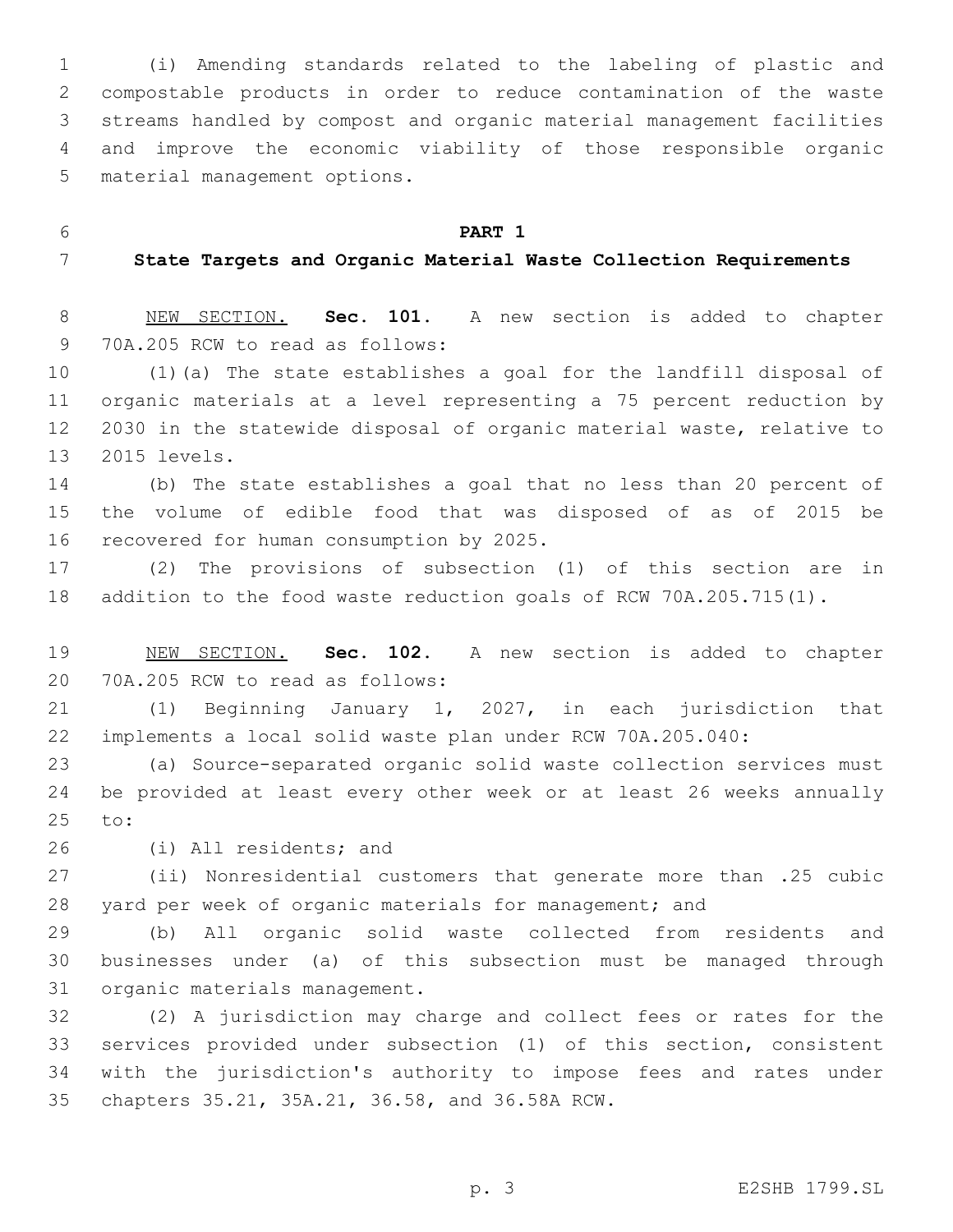(i) Amending standards related to the labeling of plastic and compostable products in order to reduce contamination of the waste streams handled by compost and organic material management facilities and improve the economic viability of those responsible organic 5 material management options.

**PART 1**

# **State Targets and Organic Material Waste Collection Requirements**

 NEW SECTION. **Sec. 101.** A new section is added to chapter 9 70A.205 RCW to read as follows:

 (1)(a) The state establishes a goal for the landfill disposal of organic materials at a level representing a 75 percent reduction by 2030 in the statewide disposal of organic material waste, relative to 2015 levels.13

 (b) The state establishes a goal that no less than 20 percent of the volume of edible food that was disposed of as of 2015 be 16 recovered for human consumption by 2025.

 (2) The provisions of subsection (1) of this section are in addition to the food waste reduction goals of RCW 70A.205.715(1).

 NEW SECTION. **Sec. 102.** A new section is added to chapter 20 70A.205 RCW to read as follows:

 (1) Beginning January 1, 2027, in each jurisdiction that implements a local solid waste plan under RCW 70A.205.040:

 (a) Source-separated organic solid waste collection services must be provided at least every other week or at least 26 weeks annually 25 to:

26 (i) All residents; and

 (ii) Nonresidential customers that generate more than .25 cubic yard per week of organic materials for management; and

 (b) All organic solid waste collected from residents and businesses under (a) of this subsection must be managed through 31 organic materials management.

 (2) A jurisdiction may charge and collect fees or rates for the services provided under subsection (1) of this section, consistent with the jurisdiction's authority to impose fees and rates under 35 chapters 35.21, 35A.21, 36.58, and 36.58A RCW.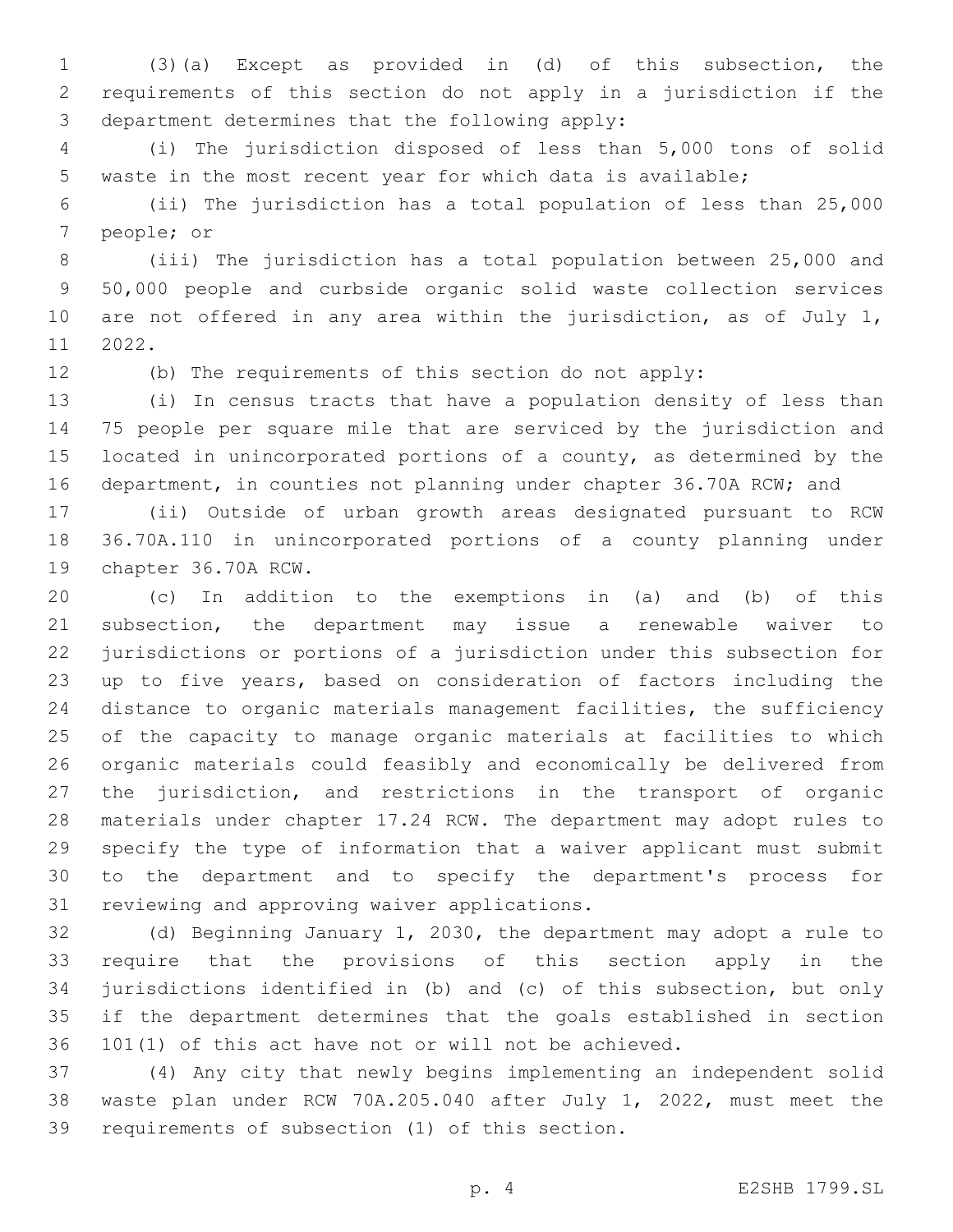(3)(a) Except as provided in (d) of this subsection, the requirements of this section do not apply in a jurisdiction if the 3 department determines that the following apply:

 (i) The jurisdiction disposed of less than 5,000 tons of solid waste in the most recent year for which data is available;

 (ii) The jurisdiction has a total population of less than 25,000 7 people; or

 (iii) The jurisdiction has a total population between 25,000 and 50,000 people and curbside organic solid waste collection services 10 are not offered in any area within the jurisdiction, as of July 1, 11 2022.

(b) The requirements of this section do not apply:

 (i) In census tracts that have a population density of less than 75 people per square mile that are serviced by the jurisdiction and located in unincorporated portions of a county, as determined by the 16 department, in counties not planning under chapter 36.70A RCW; and

 (ii) Outside of urban growth areas designated pursuant to RCW 36.70A.110 in unincorporated portions of a county planning under 19 chapter 36.70A RCW.

 (c) In addition to the exemptions in (a) and (b) of this subsection, the department may issue a renewable waiver to jurisdictions or portions of a jurisdiction under this subsection for up to five years, based on consideration of factors including the distance to organic materials management facilities, the sufficiency of the capacity to manage organic materials at facilities to which organic materials could feasibly and economically be delivered from the jurisdiction, and restrictions in the transport of organic materials under chapter 17.24 RCW. The department may adopt rules to specify the type of information that a waiver applicant must submit to the department and to specify the department's process for 31 reviewing and approving waiver applications.

 (d) Beginning January 1, 2030, the department may adopt a rule to require that the provisions of this section apply in the jurisdictions identified in (b) and (c) of this subsection, but only if the department determines that the goals established in section 101(1) of this act have not or will not be achieved.

 (4) Any city that newly begins implementing an independent solid waste plan under RCW 70A.205.040 after July 1, 2022, must meet the 39 requirements of subsection (1) of this section.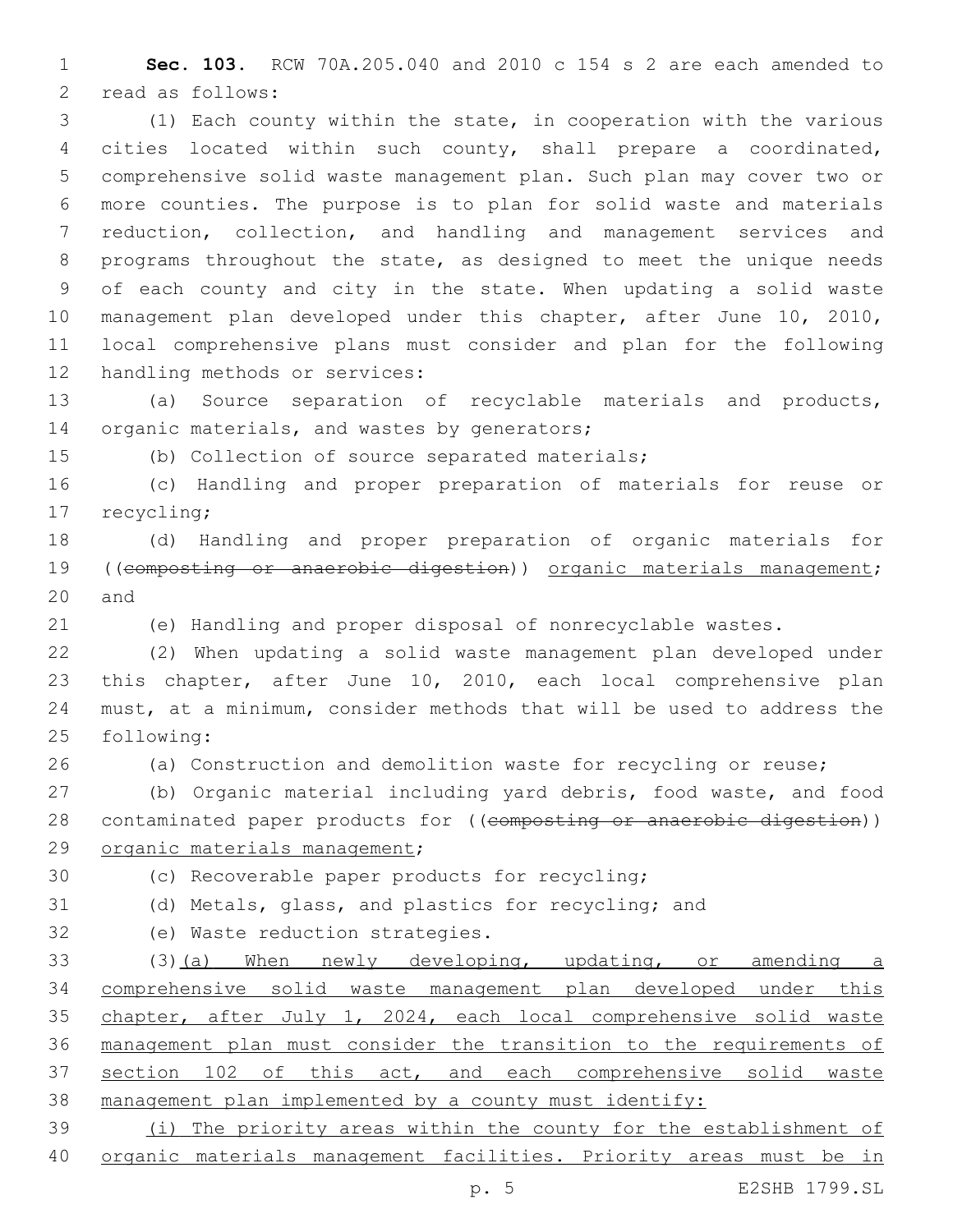**Sec. 103.** RCW 70A.205.040 and 2010 c 154 s 2 are each amended to 2 read as follows:

 (1) Each county within the state, in cooperation with the various cities located within such county, shall prepare a coordinated, comprehensive solid waste management plan. Such plan may cover two or more counties. The purpose is to plan for solid waste and materials reduction, collection, and handling and management services and programs throughout the state, as designed to meet the unique needs of each county and city in the state. When updating a solid waste management plan developed under this chapter, after June 10, 2010, local comprehensive plans must consider and plan for the following 12 handling methods or services:

 (a) Source separation of recyclable materials and products, 14 organic materials, and wastes by generators;

(b) Collection of source separated materials;

 (c) Handling and proper preparation of materials for reuse or 17 recycling;

 (d) Handling and proper preparation of organic materials for ((composting or anaerobic digestion)) organic materials management; 20 and

(e) Handling and proper disposal of nonrecyclable wastes.

 (2) When updating a solid waste management plan developed under this chapter, after June 10, 2010, each local comprehensive plan must, at a minimum, consider methods that will be used to address the 25 following:

(a) Construction and demolition waste for recycling or reuse;

 (b) Organic material including yard debris, food waste, and food 28 contaminated paper products for ((composting or anaerobic digestion)) 29 organic materials management;

30 (c) Recoverable paper products for recycling;

(d) Metals, glass, and plastics for recycling; and

32 (e) Waste reduction strategies.

33 (3)(a) When newly developing, updating, or amending a comprehensive solid waste management plan developed under this chapter, after July 1, 2024, each local comprehensive solid waste management plan must consider the transition to the requirements of 37 section 102 of this act, and each comprehensive solid waste management plan implemented by a county must identify:

 (i) The priority areas within the county for the establishment of organic materials management facilities. Priority areas must be in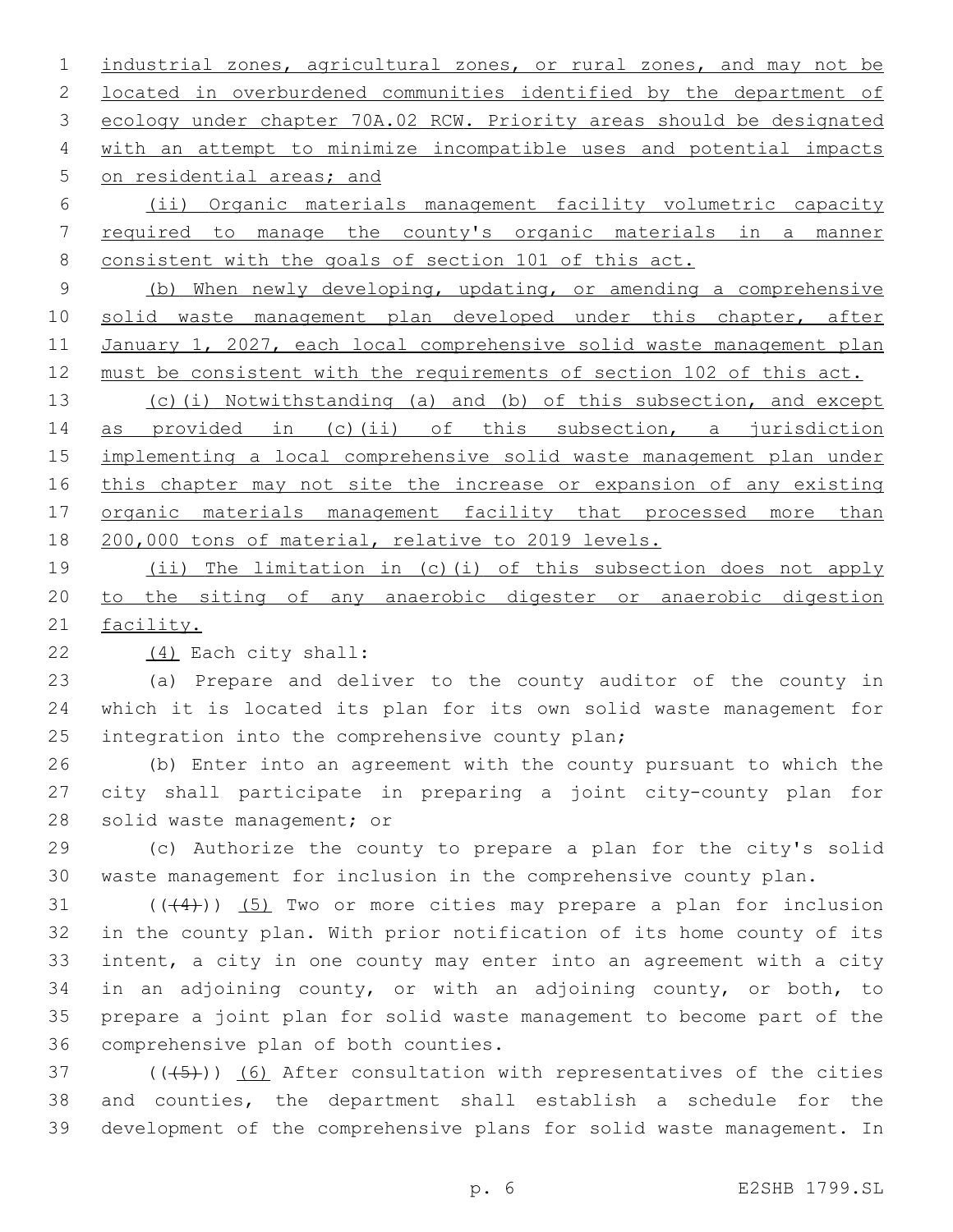industrial zones, agricultural zones, or rural zones, and may not be located in overburdened communities identified by the department of ecology under chapter 70A.02 RCW. Priority areas should be designated with an attempt to minimize incompatible uses and potential impacts 5 on residential areas; and

 (ii) Organic materials management facility volumetric capacity required to manage the county's organic materials in a manner consistent with the goals of section 101 of this act.

 (b) When newly developing, updating, or amending a comprehensive solid waste management plan developed under this chapter, after 11 January 1, 2027, each local comprehensive solid waste management plan 12 must be consistent with the requirements of section 102 of this act.

13 (c)(i) Notwithstanding (a) and (b) of this subsection, and except as provided in (c)(ii) of this subsection, a jurisdiction implementing a local comprehensive solid waste management plan under 16 this chapter may not site the increase or expansion of any existing organic materials management facility that processed more than 200,000 tons of material, relative to 2019 levels.

 (ii) The limitation in (c)(i) of this subsection does not apply to the siting of any anaerobic digester or anaerobic digestion facility.

(4) Each city shall:22

 (a) Prepare and deliver to the county auditor of the county in which it is located its plan for its own solid waste management for 25 integration into the comprehensive county plan;

 (b) Enter into an agreement with the county pursuant to which the city shall participate in preparing a joint city-county plan for 28 solid waste management; or

 (c) Authorize the county to prepare a plan for the city's solid waste management for inclusion in the comprehensive county plan.

 ( $(44)$ )) (5) Two or more cities may prepare a plan for inclusion in the county plan. With prior notification of its home county of its intent, a city in one county may enter into an agreement with a city in an adjoining county, or with an adjoining county, or both, to prepare a joint plan for solid waste management to become part of the 36 comprehensive plan of both counties.

 $(1)(\overline{5})$  (( $(\overline{5})$ ) (6) After consultation with representatives of the cities and counties, the department shall establish a schedule for the development of the comprehensive plans for solid waste management. In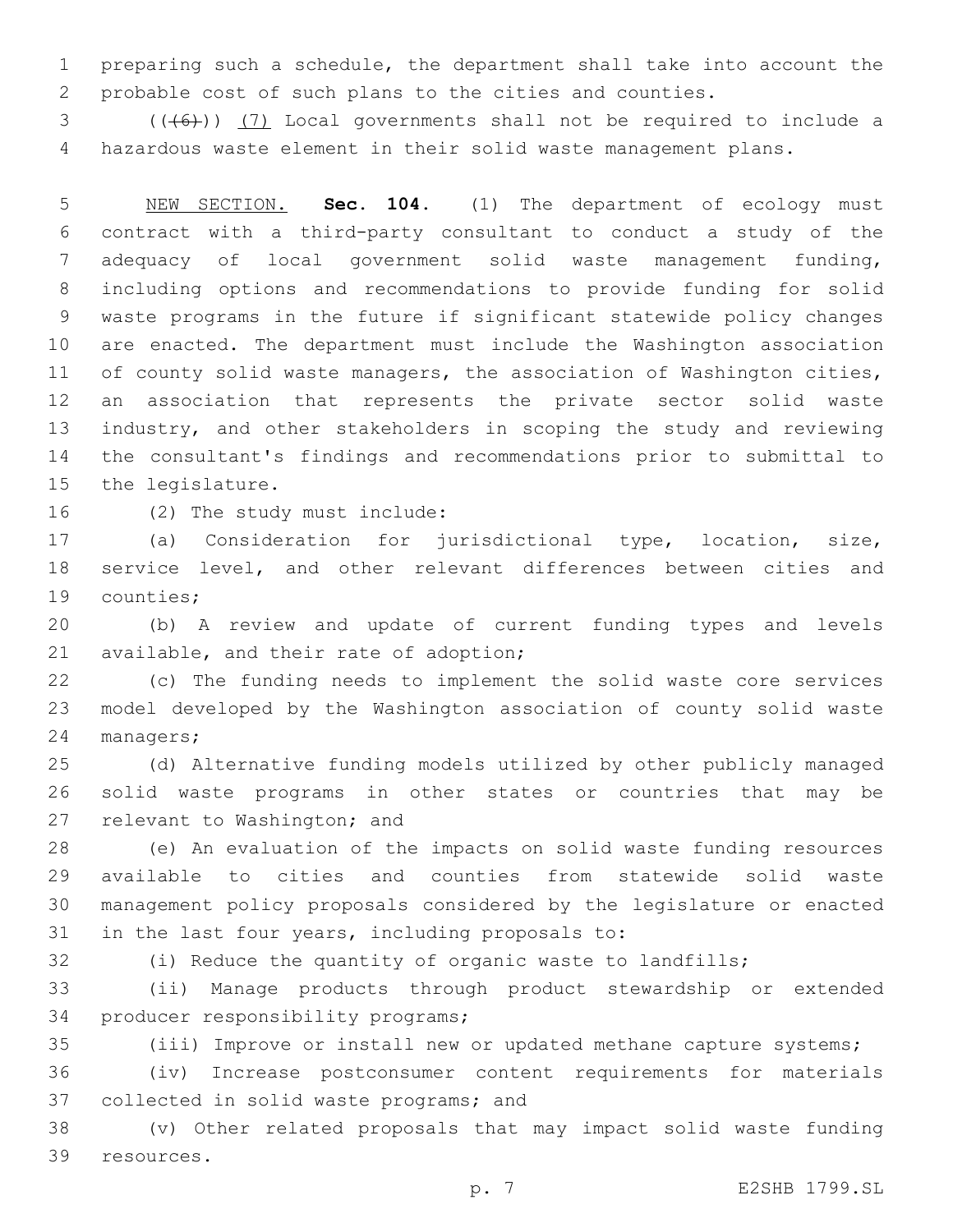preparing such a schedule, the department shall take into account the probable cost of such plans to the cities and counties.

3 (((6)) (7) Local governments shall not be required to include a hazardous waste element in their solid waste management plans.

 NEW SECTION. **Sec. 104.** (1) The department of ecology must contract with a third-party consultant to conduct a study of the adequacy of local government solid waste management funding, including options and recommendations to provide funding for solid waste programs in the future if significant statewide policy changes are enacted. The department must include the Washington association of county solid waste managers, the association of Washington cities, an association that represents the private sector solid waste industry, and other stakeholders in scoping the study and reviewing the consultant's findings and recommendations prior to submittal to the legislature.

16 (2) The study must include:

 (a) Consideration for jurisdictional type, location, size, service level, and other relevant differences between cities and 19 counties;

 (b) A review and update of current funding types and levels 21 available, and their rate of adoption;

 (c) The funding needs to implement the solid waste core services model developed by the Washington association of county solid waste 24 managers;

 (d) Alternative funding models utilized by other publicly managed solid waste programs in other states or countries that may be 27 relevant to Washington; and

 (e) An evaluation of the impacts on solid waste funding resources available to cities and counties from statewide solid waste management policy proposals considered by the legislature or enacted 31 in the last four years, including proposals to:

(i) Reduce the quantity of organic waste to landfills;

 (ii) Manage products through product stewardship or extended 34 producer responsibility programs;

(iii) Improve or install new or updated methane capture systems;

 (iv) Increase postconsumer content requirements for materials 37 collected in solid waste programs; and

 (v) Other related proposals that may impact solid waste funding 39 resources.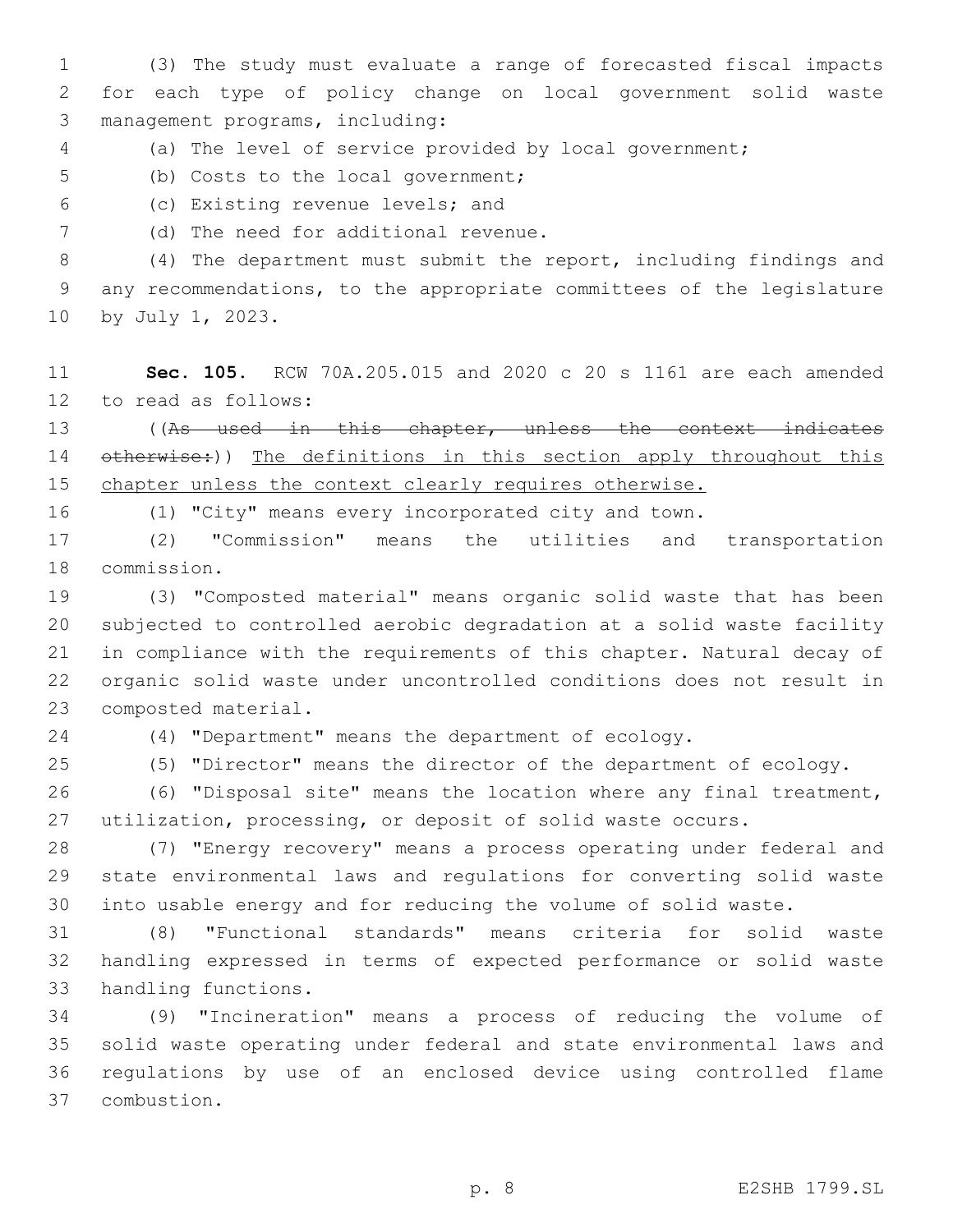(3) The study must evaluate a range of forecasted fiscal impacts for each type of policy change on local government solid waste management programs, including:3

(a) The level of service provided by local government;

5 (b) Costs to the local government;

- (c) Existing revenue levels; and6
- 7 (d) The need for additional revenue.

 (4) The department must submit the report, including findings and any recommendations, to the appropriate committees of the legislature 10 by July 1, 2023.

 **Sec. 105.** RCW 70A.205.015 and 2020 c 20 s 1161 are each amended 12 to read as follows:

 ((As used in this chapter, unless the context indicates 14 otherwise:)) The definitions in this section apply throughout this 15 chapter unless the context clearly requires otherwise.

(1) "City" means every incorporated city and town.

 (2) "Commission" means the utilities and transportation 18 commission.

 (3) "Composted material" means organic solid waste that has been subjected to controlled aerobic degradation at a solid waste facility in compliance with the requirements of this chapter. Natural decay of organic solid waste under uncontrolled conditions does not result in 23 composted material.

(4) "Department" means the department of ecology.

(5) "Director" means the director of the department of ecology.

 (6) "Disposal site" means the location where any final treatment, utilization, processing, or deposit of solid waste occurs.

 (7) "Energy recovery" means a process operating under federal and state environmental laws and regulations for converting solid waste into usable energy and for reducing the volume of solid waste.

 (8) "Functional standards" means criteria for solid waste handling expressed in terms of expected performance or solid waste 33 handling functions.

 (9) "Incineration" means a process of reducing the volume of solid waste operating under federal and state environmental laws and regulations by use of an enclosed device using controlled flame combustion.37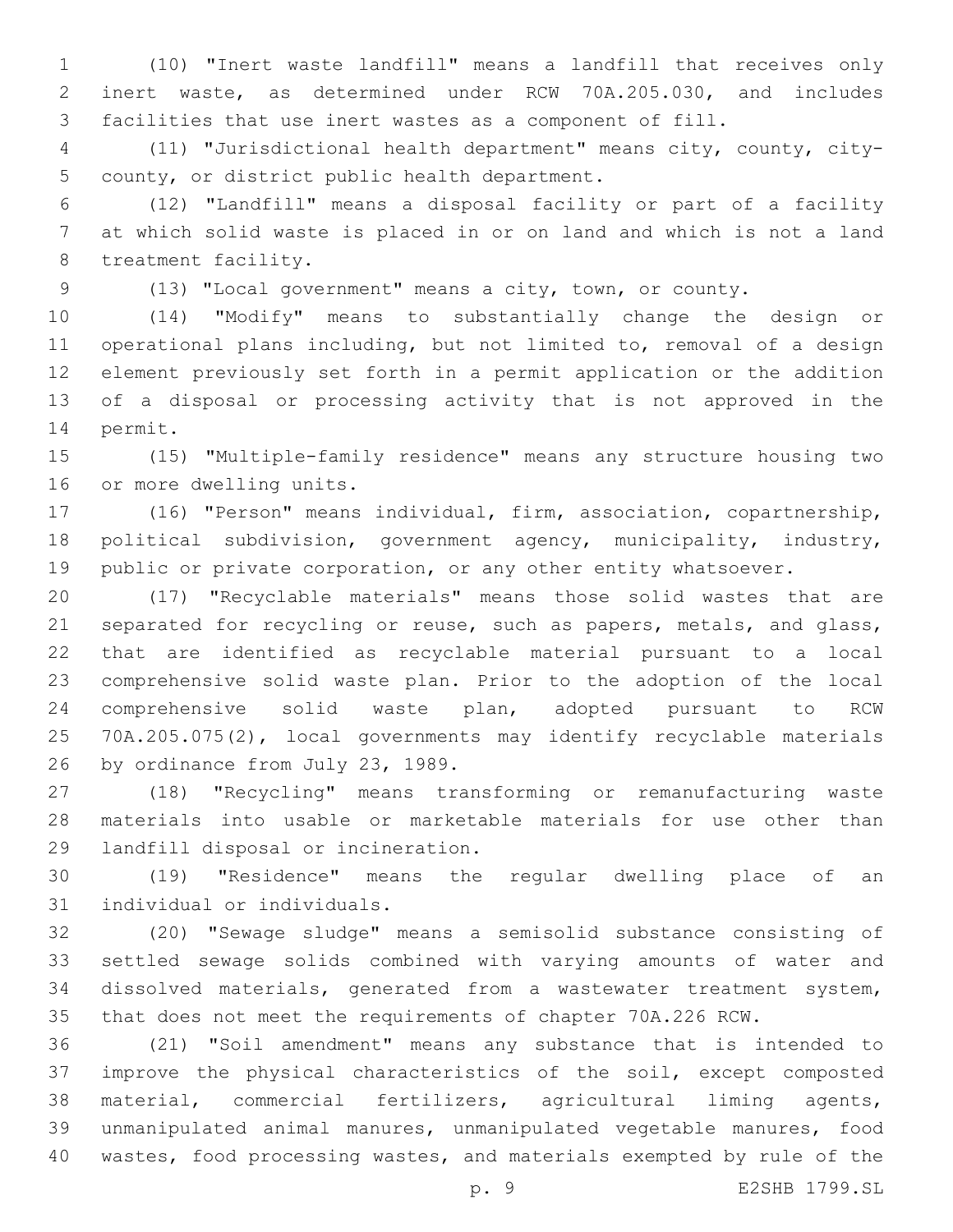(10) "Inert waste landfill" means a landfill that receives only inert waste, as determined under RCW 70A.205.030, and includes facilities that use inert wastes as a component of fill.

 (11) "Jurisdictional health department" means city, county, city-5 county, or district public health department.

 (12) "Landfill" means a disposal facility or part of a facility at which solid waste is placed in or on land and which is not a land 8 treatment facility.

(13) "Local government" means a city, town, or county.

 (14) "Modify" means to substantially change the design or operational plans including, but not limited to, removal of a design element previously set forth in a permit application or the addition of a disposal or processing activity that is not approved in the 14 permit.

 (15) "Multiple-family residence" means any structure housing two 16 or more dwelling units.

 (16) "Person" means individual, firm, association, copartnership, political subdivision, government agency, municipality, industry, public or private corporation, or any other entity whatsoever.

 (17) "Recyclable materials" means those solid wastes that are separated for recycling or reuse, such as papers, metals, and glass, that are identified as recyclable material pursuant to a local comprehensive solid waste plan. Prior to the adoption of the local comprehensive solid waste plan, adopted pursuant to RCW 70A.205.075(2), local governments may identify recyclable materials 26 by ordinance from July 23, 1989.

 (18) "Recycling" means transforming or remanufacturing waste materials into usable or marketable materials for use other than 29 landfill disposal or incineration.

 (19) "Residence" means the regular dwelling place of an 31 individual or individuals.

 (20) "Sewage sludge" means a semisolid substance consisting of settled sewage solids combined with varying amounts of water and dissolved materials, generated from a wastewater treatment system, that does not meet the requirements of chapter 70A.226 RCW.

 (21) "Soil amendment" means any substance that is intended to improve the physical characteristics of the soil, except composted material, commercial fertilizers, agricultural liming agents, unmanipulated animal manures, unmanipulated vegetable manures, food wastes, food processing wastes, and materials exempted by rule of the

p. 9 E2SHB 1799.SL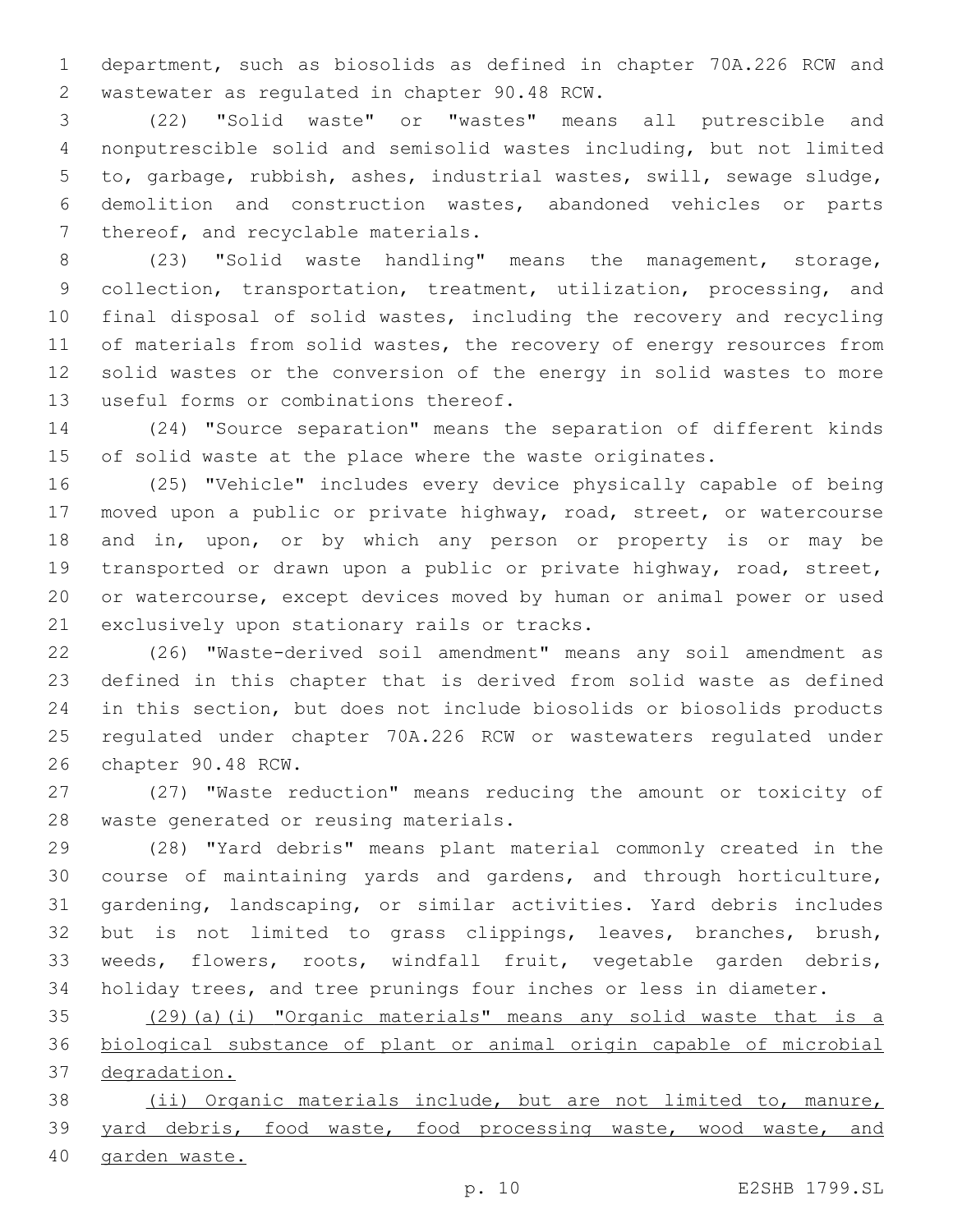department, such as biosolids as defined in chapter 70A.226 RCW and 2 wastewater as regulated in chapter 90.48 RCW.

 (22) "Solid waste" or "wastes" means all putrescible and nonputrescible solid and semisolid wastes including, but not limited to, garbage, rubbish, ashes, industrial wastes, swill, sewage sludge, demolition and construction wastes, abandoned vehicles or parts 7 thereof, and recyclable materials.

 (23) "Solid waste handling" means the management, storage, 9 collection, transportation, treatment, utilization, processing, and final disposal of solid wastes, including the recovery and recycling 11 of materials from solid wastes, the recovery of energy resources from solid wastes or the conversion of the energy in solid wastes to more 13 useful forms or combinations thereof.

 (24) "Source separation" means the separation of different kinds of solid waste at the place where the waste originates.

 (25) "Vehicle" includes every device physically capable of being moved upon a public or private highway, road, street, or watercourse and in, upon, or by which any person or property is or may be transported or drawn upon a public or private highway, road, street, or watercourse, except devices moved by human or animal power or used 21 exclusively upon stationary rails or tracks.

 (26) "Waste-derived soil amendment" means any soil amendment as defined in this chapter that is derived from solid waste as defined in this section, but does not include biosolids or biosolids products regulated under chapter 70A.226 RCW or wastewaters regulated under 26 chapter 90.48 RCW.

 (27) "Waste reduction" means reducing the amount or toxicity of 28 waste generated or reusing materials.

 (28) "Yard debris" means plant material commonly created in the course of maintaining yards and gardens, and through horticulture, gardening, landscaping, or similar activities. Yard debris includes but is not limited to grass clippings, leaves, branches, brush, weeds, flowers, roots, windfall fruit, vegetable garden debris, holiday trees, and tree prunings four inches or less in diameter.

 (29)(a)(i) "Organic materials" means any solid waste that is a biological substance of plant or animal origin capable of microbial degradation.

 (ii) Organic materials include, but are not limited to, manure, yard debris, food waste, food processing waste, wood waste, and garden waste.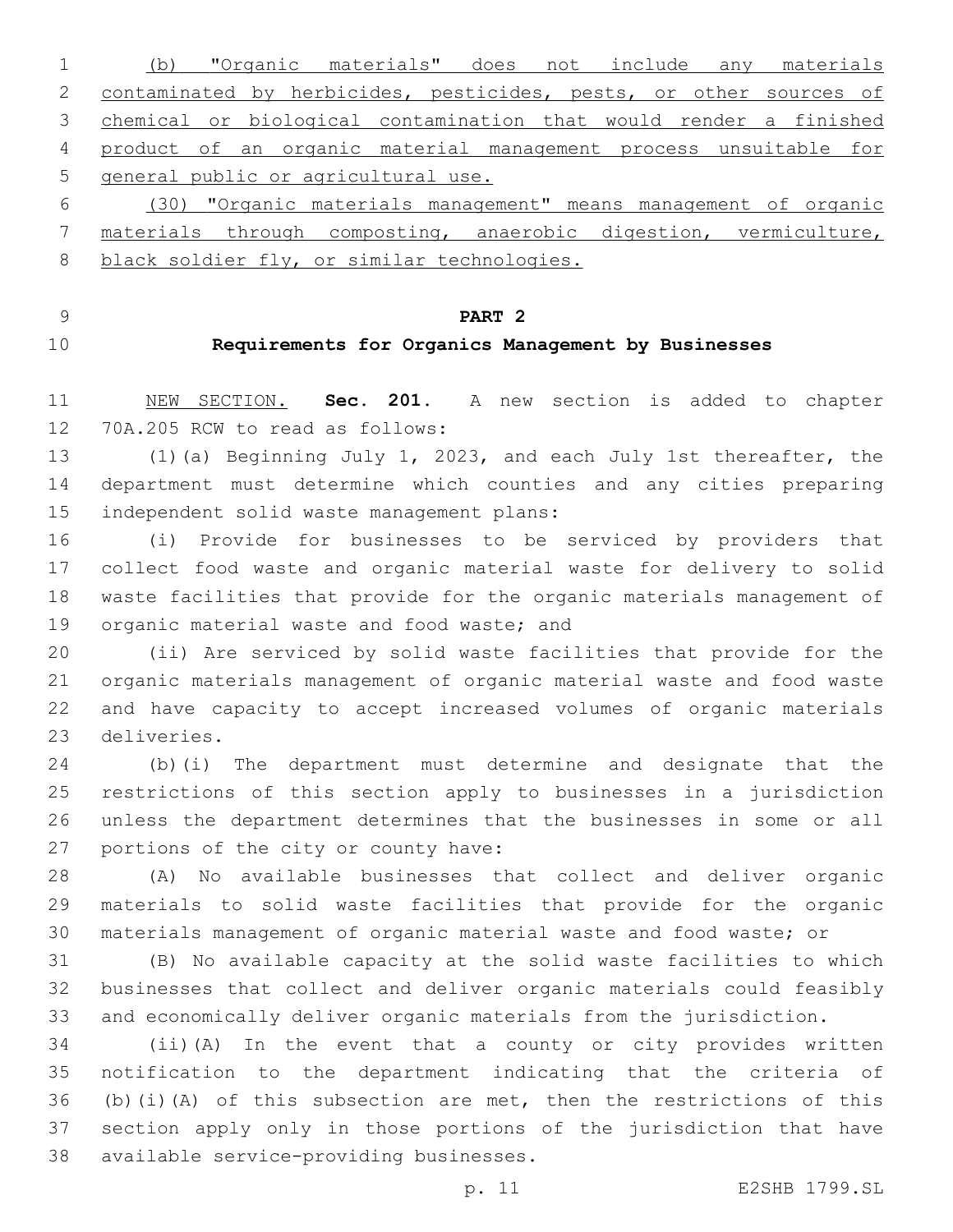(b) "Organic materials" does not include any materials 2 contaminated by herbicides, pesticides, pests, or other sources of chemical or biological contamination that would render a finished product of an organic material management process unsuitable for general public or agricultural use.

 (30) "Organic materials management" means management of organic materials through composting, anaerobic digestion, vermiculture, 8 black soldier fly, or similar technologies.

**PART 2**

# **Requirements for Organics Management by Businesses**

 NEW SECTION. **Sec. 201.** A new section is added to chapter 12 70A.205 RCW to read as follows:

 (1)(a) Beginning July 1, 2023, and each July 1st thereafter, the department must determine which counties and any cities preparing 15 independent solid waste management plans:

 (i) Provide for businesses to be serviced by providers that collect food waste and organic material waste for delivery to solid waste facilities that provide for the organic materials management of 19 organic material waste and food waste; and

 (ii) Are serviced by solid waste facilities that provide for the organic materials management of organic material waste and food waste and have capacity to accept increased volumes of organic materials 23 deliveries.

 (b)(i) The department must determine and designate that the restrictions of this section apply to businesses in a jurisdiction unless the department determines that the businesses in some or all 27 portions of the city or county have:

 (A) No available businesses that collect and deliver organic materials to solid waste facilities that provide for the organic materials management of organic material waste and food waste; or

 (B) No available capacity at the solid waste facilities to which businesses that collect and deliver organic materials could feasibly and economically deliver organic materials from the jurisdiction.

 (ii)(A) In the event that a county or city provides written notification to the department indicating that the criteria of 36 (b)(i)(A) of this subsection are met, then the restrictions of this section apply only in those portions of the jurisdiction that have 38 available service-providing businesses.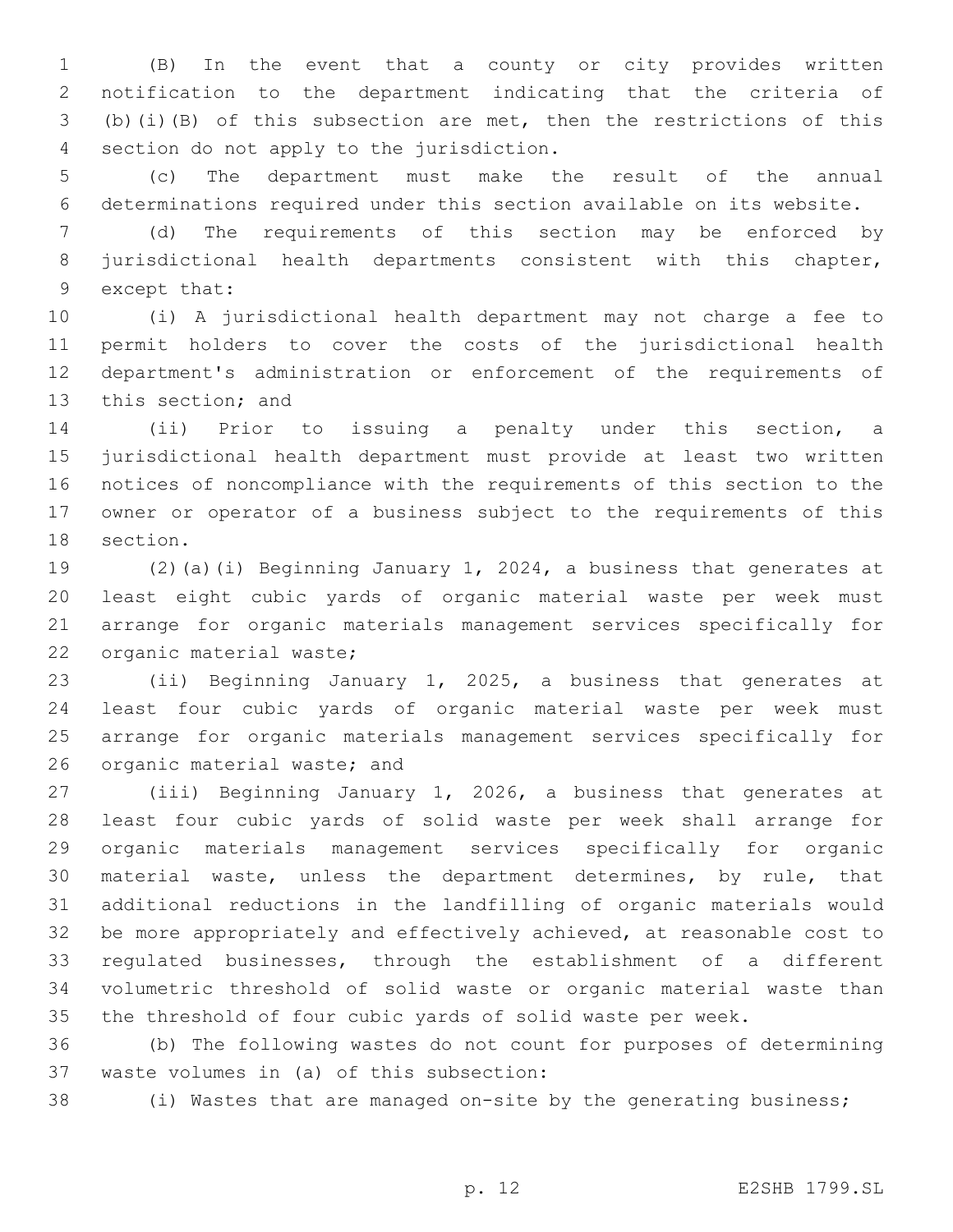(B) In the event that a county or city provides written notification to the department indicating that the criteria of (b)(i)(B) of this subsection are met, then the restrictions of this 4 section do not apply to the jurisdiction.

 (c) The department must make the result of the annual determinations required under this section available on its website.

 (d) The requirements of this section may be enforced by jurisdictional health departments consistent with this chapter, 9 except that:

 (i) A jurisdictional health department may not charge a fee to permit holders to cover the costs of the jurisdictional health department's administration or enforcement of the requirements of 13 this section; and

 (ii) Prior to issuing a penalty under this section, a jurisdictional health department must provide at least two written notices of noncompliance with the requirements of this section to the owner or operator of a business subject to the requirements of this 18 section.

 (2)(a)(i) Beginning January 1, 2024, a business that generates at least eight cubic yards of organic material waste per week must arrange for organic materials management services specifically for 22 organic material waste;

 (ii) Beginning January 1, 2025, a business that generates at least four cubic yards of organic material waste per week must arrange for organic materials management services specifically for 26 organic material waste; and

 (iii) Beginning January 1, 2026, a business that generates at least four cubic yards of solid waste per week shall arrange for organic materials management services specifically for organic material waste, unless the department determines, by rule, that additional reductions in the landfilling of organic materials would be more appropriately and effectively achieved, at reasonable cost to regulated businesses, through the establishment of a different volumetric threshold of solid waste or organic material waste than the threshold of four cubic yards of solid waste per week.

 (b) The following wastes do not count for purposes of determining 37 waste volumes in (a) of this subsection:

(i) Wastes that are managed on-site by the generating business;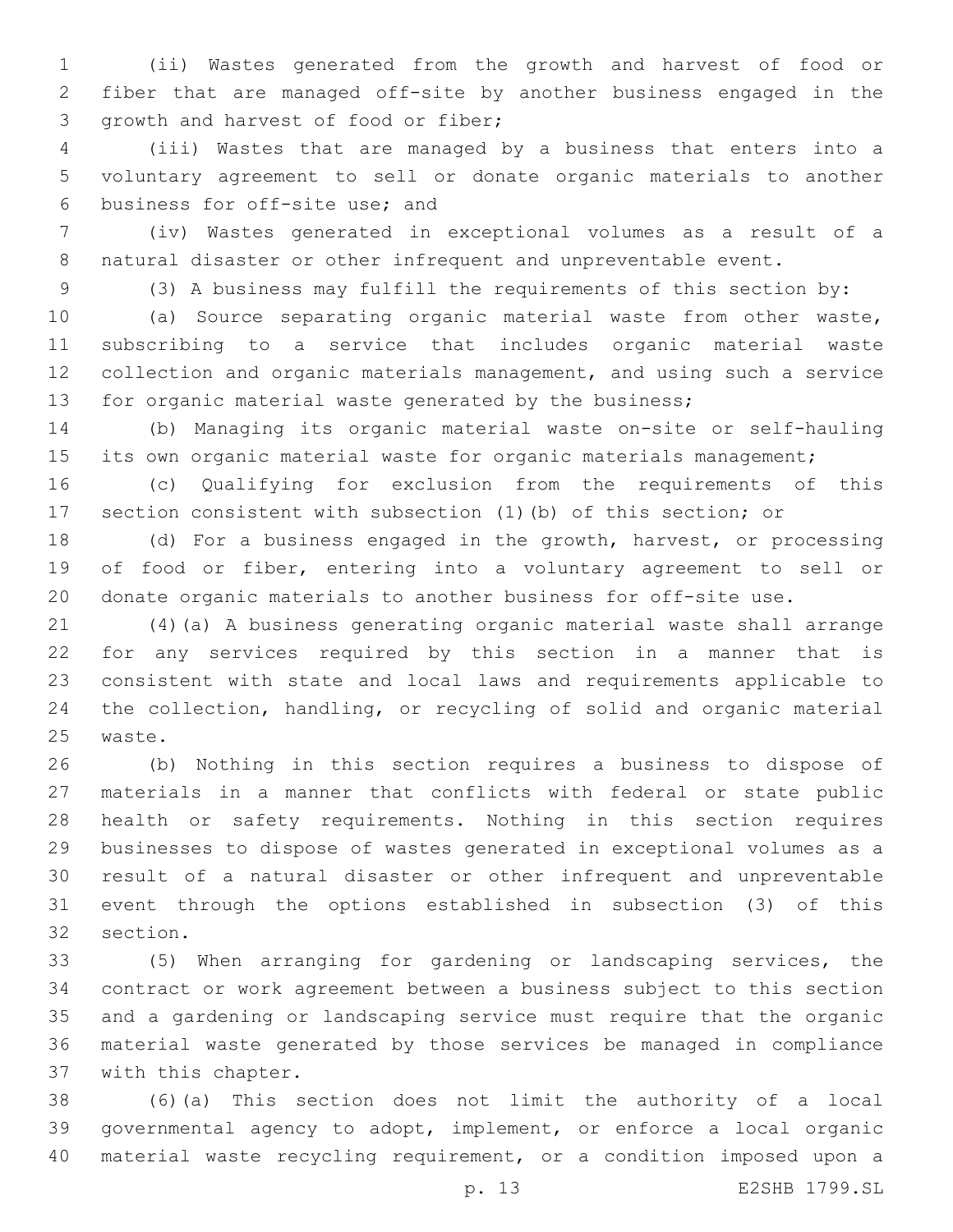(ii) Wastes generated from the growth and harvest of food or fiber that are managed off-site by another business engaged in the 3 growth and harvest of food or fiber;

 (iii) Wastes that are managed by a business that enters into a voluntary agreement to sell or donate organic materials to another 6 business for off-site use; and

 (iv) Wastes generated in exceptional volumes as a result of a 8 natural disaster or other infrequent and unpreventable event.

(3) A business may fulfill the requirements of this section by:

 (a) Source separating organic material waste from other waste, subscribing to a service that includes organic material waste collection and organic materials management, and using such a service for organic material waste generated by the business;

 (b) Managing its organic material waste on-site or self-hauling 15 its own organic material waste for organic materials management;

 (c) Qualifying for exclusion from the requirements of this section consistent with subsection (1)(b) of this section; or

 (d) For a business engaged in the growth, harvest, or processing of food or fiber, entering into a voluntary agreement to sell or donate organic materials to another business for off-site use.

 (4)(a) A business generating organic material waste shall arrange for any services required by this section in a manner that is consistent with state and local laws and requirements applicable to the collection, handling, or recycling of solid and organic material 25 waste.

 (b) Nothing in this section requires a business to dispose of materials in a manner that conflicts with federal or state public health or safety requirements. Nothing in this section requires businesses to dispose of wastes generated in exceptional volumes as a result of a natural disaster or other infrequent and unpreventable event through the options established in subsection (3) of this 32 section.

 (5) When arranging for gardening or landscaping services, the contract or work agreement between a business subject to this section and a gardening or landscaping service must require that the organic material waste generated by those services be managed in compliance 37 with this chapter.

 (6)(a) This section does not limit the authority of a local governmental agency to adopt, implement, or enforce a local organic material waste recycling requirement, or a condition imposed upon a

p. 13 E2SHB 1799.SL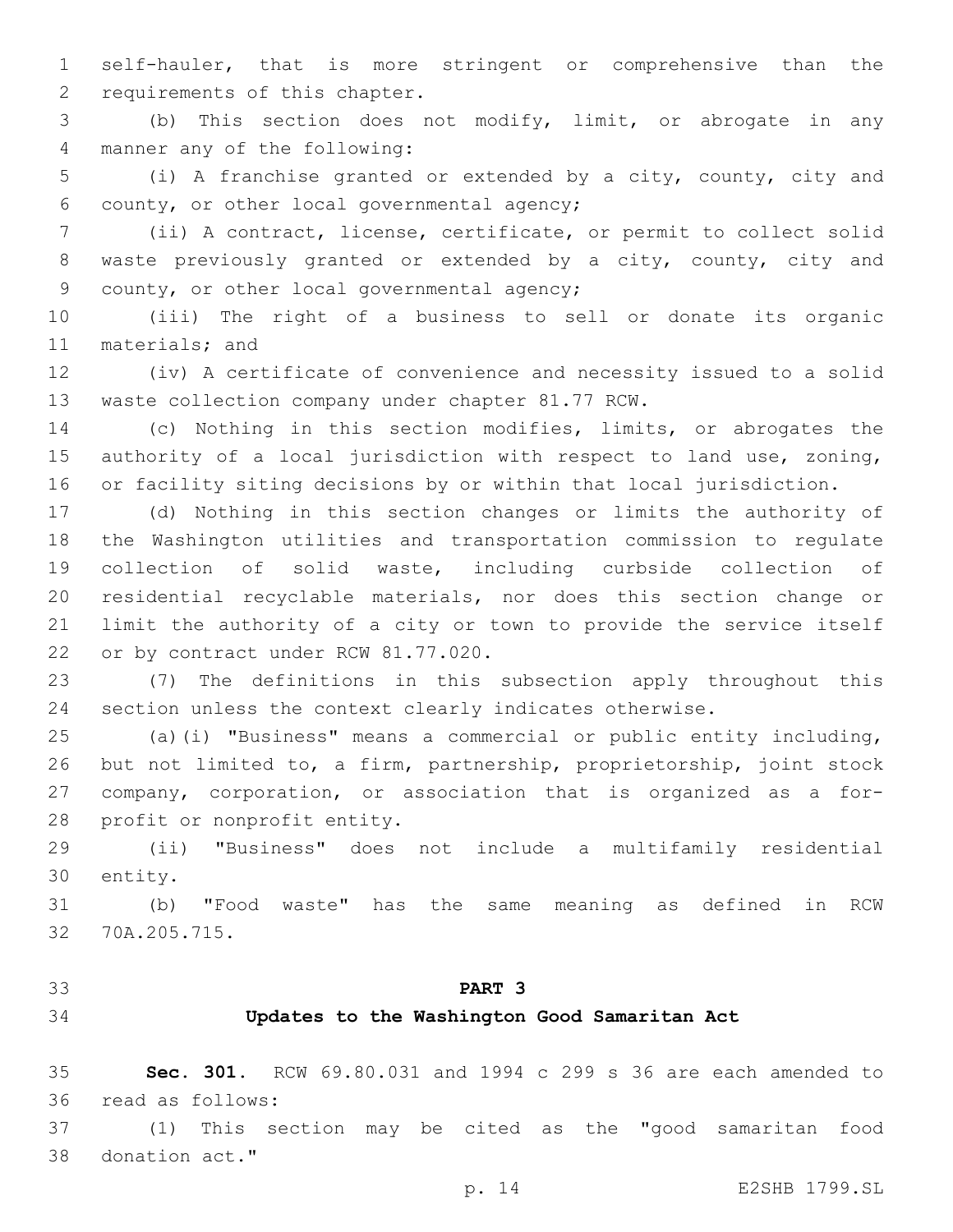self-hauler, that is more stringent or comprehensive than the 2 requirements of this chapter.

 (b) This section does not modify, limit, or abrogate in any 4 manner any of the following:

 (i) A franchise granted or extended by a city, county, city and 6 county, or other local governmental agency;

 (ii) A contract, license, certificate, or permit to collect solid waste previously granted or extended by a city, county, city and 9 county, or other local governmental agency;

 (iii) The right of a business to sell or donate its organic 11 materials; and

 (iv) A certificate of convenience and necessity issued to a solid 13 waste collection company under chapter 81.77 RCW.

 (c) Nothing in this section modifies, limits, or abrogates the authority of a local jurisdiction with respect to land use, zoning, or facility siting decisions by or within that local jurisdiction.

 (d) Nothing in this section changes or limits the authority of the Washington utilities and transportation commission to regulate collection of solid waste, including curbside collection of residential recyclable materials, nor does this section change or limit the authority of a city or town to provide the service itself 22 or by contract under RCW 81.77.020.

 (7) The definitions in this subsection apply throughout this section unless the context clearly indicates otherwise.

 (a)(i) "Business" means a commercial or public entity including, but not limited to, a firm, partnership, proprietorship, joint stock company, corporation, or association that is organized as a for-28 profit or nonprofit entity.

 (ii) "Business" does not include a multifamily residential 30 entity.

 (b) "Food waste" has the same meaning as defined in RCW 32 70A.205.715.

# **PART 3**

## **Updates to the Washington Good Samaritan Act**

 **Sec. 301.** RCW 69.80.031 and 1994 c 299 s 36 are each amended to 36 read as follows:

 (1) This section may be cited as the "good samaritan food 38 donation act."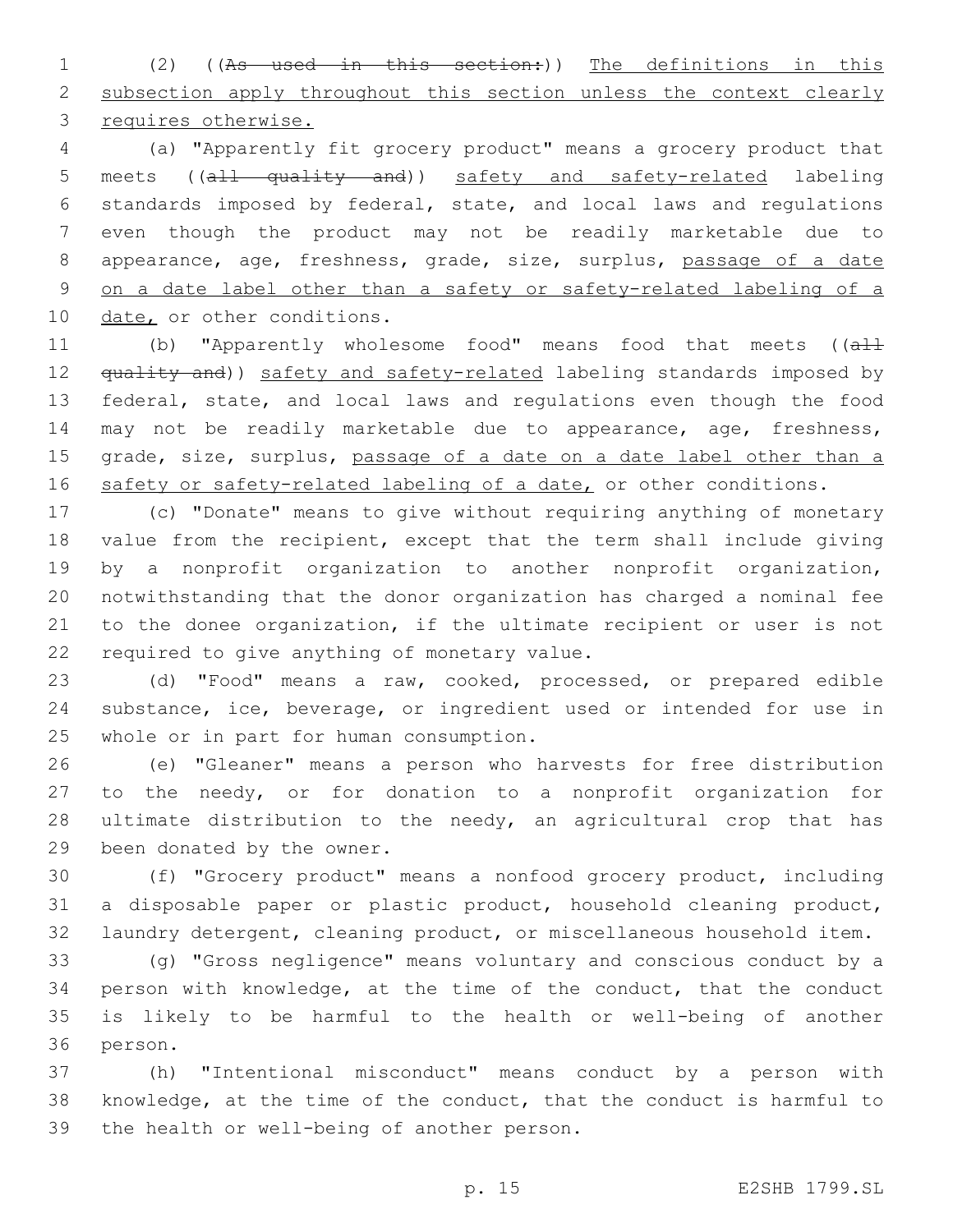(2) ((As used in this section:)) The definitions in this 2 subsection apply throughout this section unless the context clearly requires otherwise.

 (a) "Apparently fit grocery product" means a grocery product that meets ((all quality and)) safety and safety-related labeling standards imposed by federal, state, and local laws and regulations even though the product may not be readily marketable due to appearance, age, freshness, grade, size, surplus, passage of a date on a date label other than a safety or safety-related labeling of a 10 date, or other conditions.

11 (b) "Apparently wholesome food" means food that meets ((all 12 <del>quality and</del>)) safety and safety-related labeling standards imposed by federal, state, and local laws and regulations even though the food may not be readily marketable due to appearance, age, freshness, 15 grade, size, surplus, passage of a date on a date label other than a 16 safety or safety-related labeling of a date, or other conditions.

 (c) "Donate" means to give without requiring anything of monetary value from the recipient, except that the term shall include giving by a nonprofit organization to another nonprofit organization, notwithstanding that the donor organization has charged a nominal fee to the donee organization, if the ultimate recipient or user is not 22 required to give anything of monetary value.

 (d) "Food" means a raw, cooked, processed, or prepared edible substance, ice, beverage, or ingredient used or intended for use in 25 whole or in part for human consumption.

 (e) "Gleaner" means a person who harvests for free distribution to the needy, or for donation to a nonprofit organization for ultimate distribution to the needy, an agricultural crop that has 29 been donated by the owner.

 (f) "Grocery product" means a nonfood grocery product, including a disposable paper or plastic product, household cleaning product, laundry detergent, cleaning product, or miscellaneous household item.

 (g) "Gross negligence" means voluntary and conscious conduct by a person with knowledge, at the time of the conduct, that the conduct is likely to be harmful to the health or well-being of another 36 person.

 (h) "Intentional misconduct" means conduct by a person with knowledge, at the time of the conduct, that the conduct is harmful to 39 the health or well-being of another person.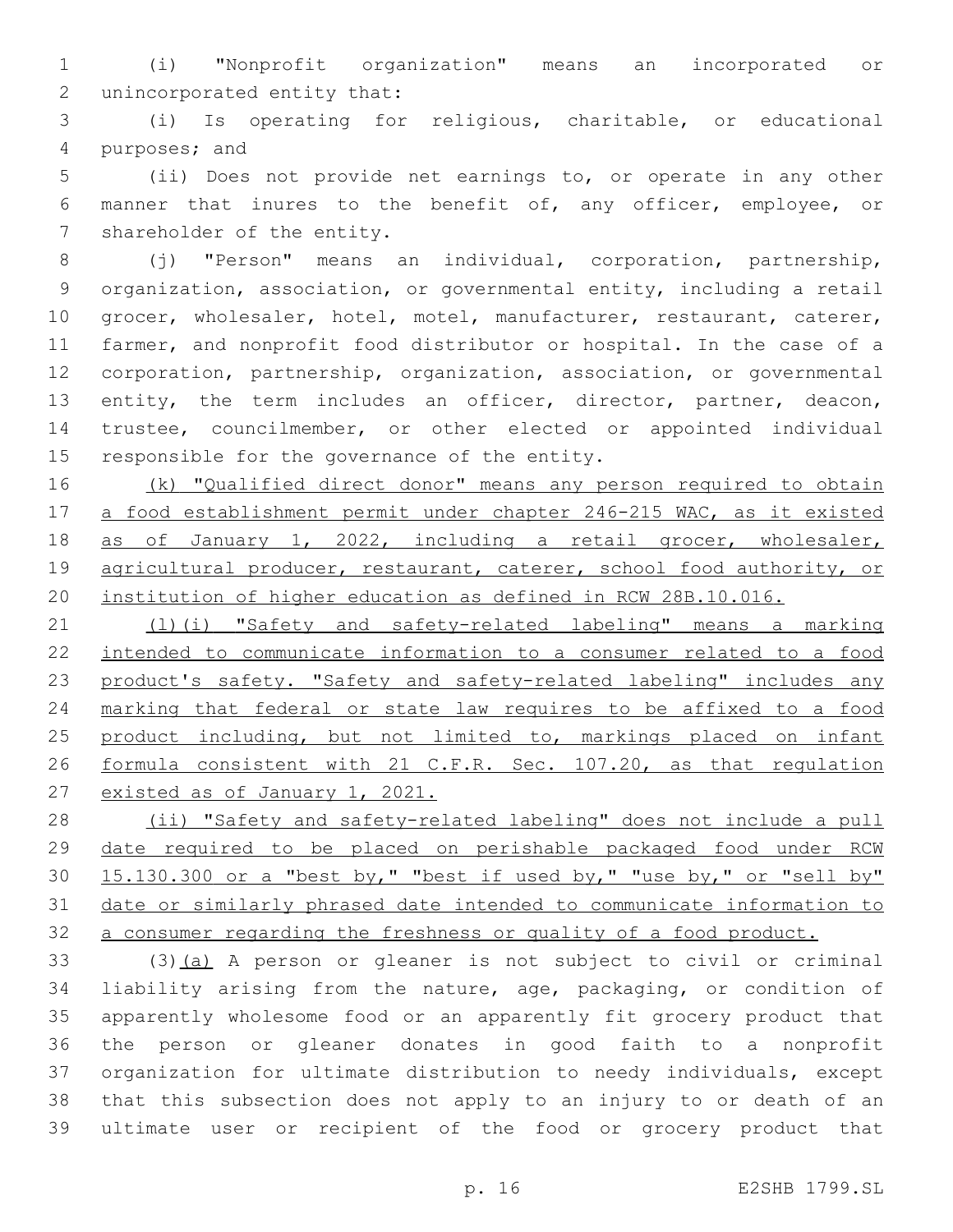(i) "Nonprofit organization" means an incorporated or 2 unincorporated entity that:

 (i) Is operating for religious, charitable, or educational 4 purposes; and

 (ii) Does not provide net earnings to, or operate in any other manner that inures to the benefit of, any officer, employee, or 7 shareholder of the entity.

 (j) "Person" means an individual, corporation, partnership, organization, association, or governmental entity, including a retail grocer, wholesaler, hotel, motel, manufacturer, restaurant, caterer, farmer, and nonprofit food distributor or hospital. In the case of a corporation, partnership, organization, association, or governmental 13 entity, the term includes an officer, director, partner, deacon, trustee, councilmember, or other elected or appointed individual 15 responsible for the governance of the entity.

16 (k) "Qualified direct donor" means any person required to obtain 17 a food establishment permit under chapter 246-215 WAC, as it existed 18 as of January 1, 2022, including a retail grocer, wholesaler, 19 agricultural producer, restaurant, caterer, school food authority, or institution of higher education as defined in RCW 28B.10.016.

21 (1)(i) "Safety and safety-related labeling" means a marking intended to communicate information to a consumer related to a food 23 product's safety. "Safety and safety-related labeling" includes any marking that federal or state law requires to be affixed to a food 25 product including, but not limited to, markings placed on infant formula consistent with 21 C.F.R. Sec. 107.20, as that regulation 27 existed as of January 1, 2021.

 (ii) "Safety and safety-related labeling" does not include a pull date required to be placed on perishable packaged food under RCW 15.130.300 or a "best by," "best if used by," "use by," or "sell by" date or similarly phrased date intended to communicate information to a consumer regarding the freshness or quality of a food product.

33 (3)(a) A person or gleaner is not subject to civil or criminal liability arising from the nature, age, packaging, or condition of apparently wholesome food or an apparently fit grocery product that the person or gleaner donates in good faith to a nonprofit organization for ultimate distribution to needy individuals, except that this subsection does not apply to an injury to or death of an ultimate user or recipient of the food or grocery product that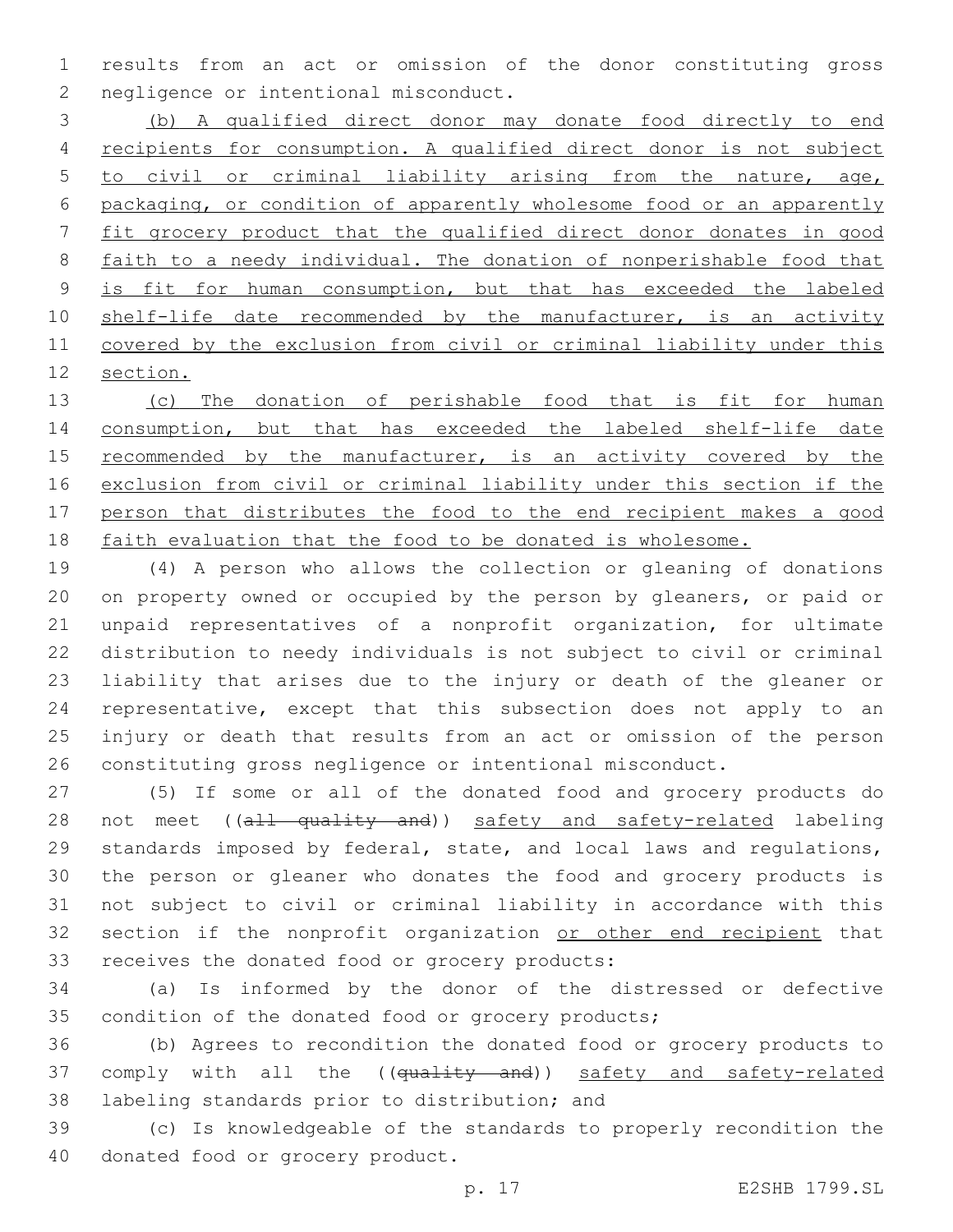results from an act or omission of the donor constituting gross 2 negligence or intentional misconduct.

 (b) A qualified direct donor may donate food directly to end recipients for consumption. A qualified direct donor is not subject to civil or criminal liability arising from the nature, age, packaging, or condition of apparently wholesome food or an apparently fit grocery product that the qualified direct donor donates in good faith to a needy individual. The donation of nonperishable food that 9 is fit for human consumption, but that has exceeded the labeled 10 shelf-life date recommended by the manufacturer, is an activity covered by the exclusion from civil or criminal liability under this section.

 (c) The donation of perishable food that is fit for human consumption, but that has exceeded the labeled shelf-life date 15 recommended by the manufacturer, is an activity covered by the exclusion from civil or criminal liability under this section if the person that distributes the food to the end recipient makes a good faith evaluation that the food to be donated is wholesome.

 (4) A person who allows the collection or gleaning of donations on property owned or occupied by the person by gleaners, or paid or unpaid representatives of a nonprofit organization, for ultimate distribution to needy individuals is not subject to civil or criminal liability that arises due to the injury or death of the gleaner or representative, except that this subsection does not apply to an injury or death that results from an act or omission of the person constituting gross negligence or intentional misconduct.

 (5) If some or all of the donated food and grocery products do 28 not meet ((all quality and)) safety and safety-related labeling standards imposed by federal, state, and local laws and regulations, the person or gleaner who donates the food and grocery products is not subject to civil or criminal liability in accordance with this 32 section if the nonprofit organization or other end recipient that 33 receives the donated food or grocery products:

 (a) Is informed by the donor of the distressed or defective condition of the donated food or grocery products;

 (b) Agrees to recondition the donated food or grocery products to 37 comply with all the ((quality and)) safety and safety-related 38 labeling standards prior to distribution; and

 (c) Is knowledgeable of the standards to properly recondition the 40 donated food or grocery product.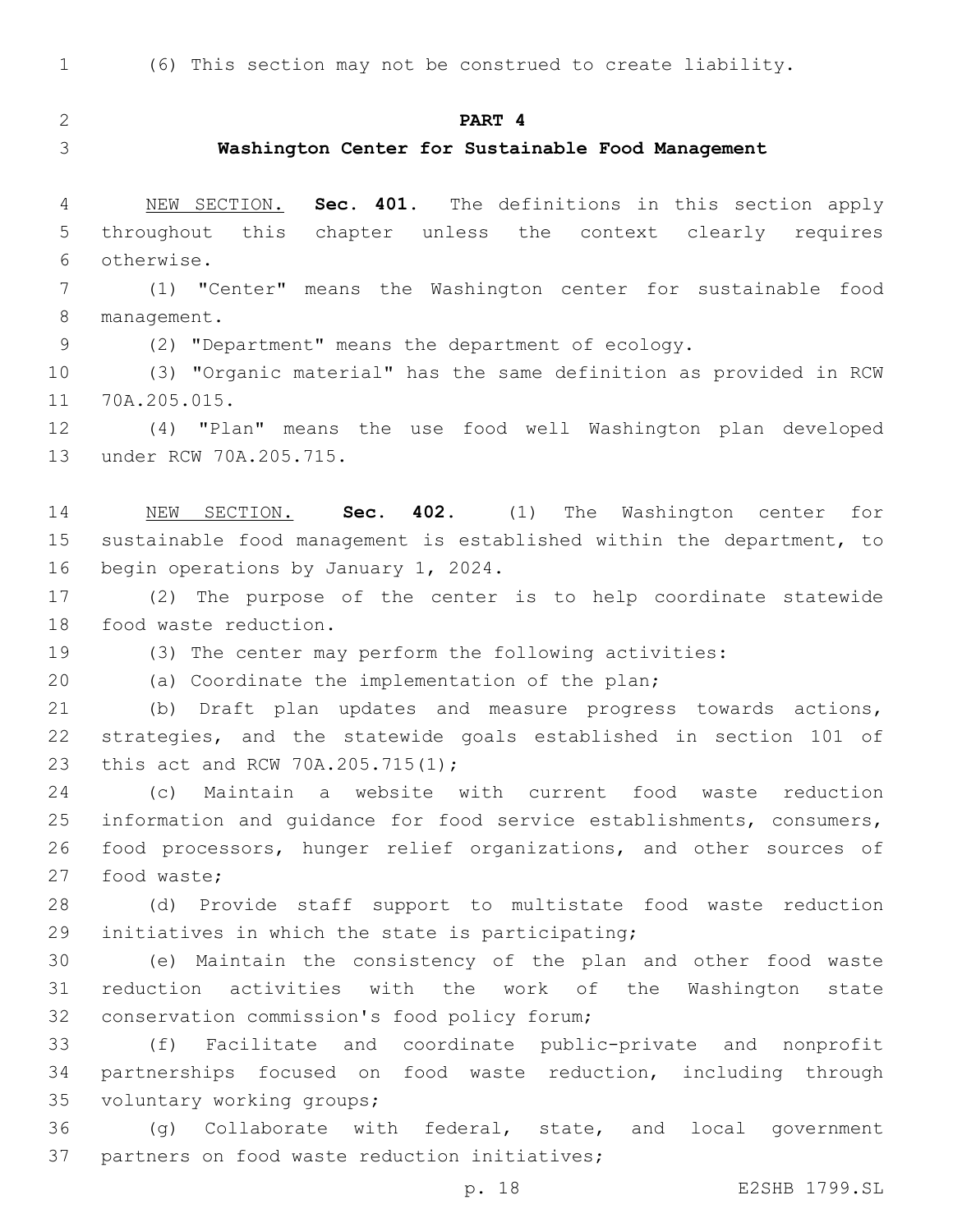(6) This section may not be construed to create liability.

**PART 4**

# **Washington Center for Sustainable Food Management**

 NEW SECTION. **Sec. 401.** The definitions in this section apply throughout this chapter unless the context clearly requires otherwise.

 (1) "Center" means the Washington center for sustainable food 8 management.

(2) "Department" means the department of ecology.

 (3) "Organic material" has the same definition as provided in RCW 11 70A.205.015.

 (4) "Plan" means the use food well Washington plan developed 13 under RCW 70A.205.715.

 NEW SECTION. **Sec. 402.** (1) The Washington center for sustainable food management is established within the department, to begin operations by January 1, 2024.

 (2) The purpose of the center is to help coordinate statewide 18 food waste reduction.

(3) The center may perform the following activities:

(a) Coordinate the implementation of the plan;

 (b) Draft plan updates and measure progress towards actions, strategies, and the statewide goals established in section 101 of 23 this act and RCW 70A.205.715(1);

 (c) Maintain a website with current food waste reduction information and guidance for food service establishments, consumers, food processors, hunger relief organizations, and other sources of 27 food waste;

 (d) Provide staff support to multistate food waste reduction 29 initiatives in which the state is participating;

 (e) Maintain the consistency of the plan and other food waste reduction activities with the work of the Washington state 32 conservation commission's food policy forum;

 (f) Facilitate and coordinate public-private and nonprofit partnerships focused on food waste reduction, including through 35 voluntary working groups;

 (g) Collaborate with federal, state, and local government 37 partners on food waste reduction initiatives;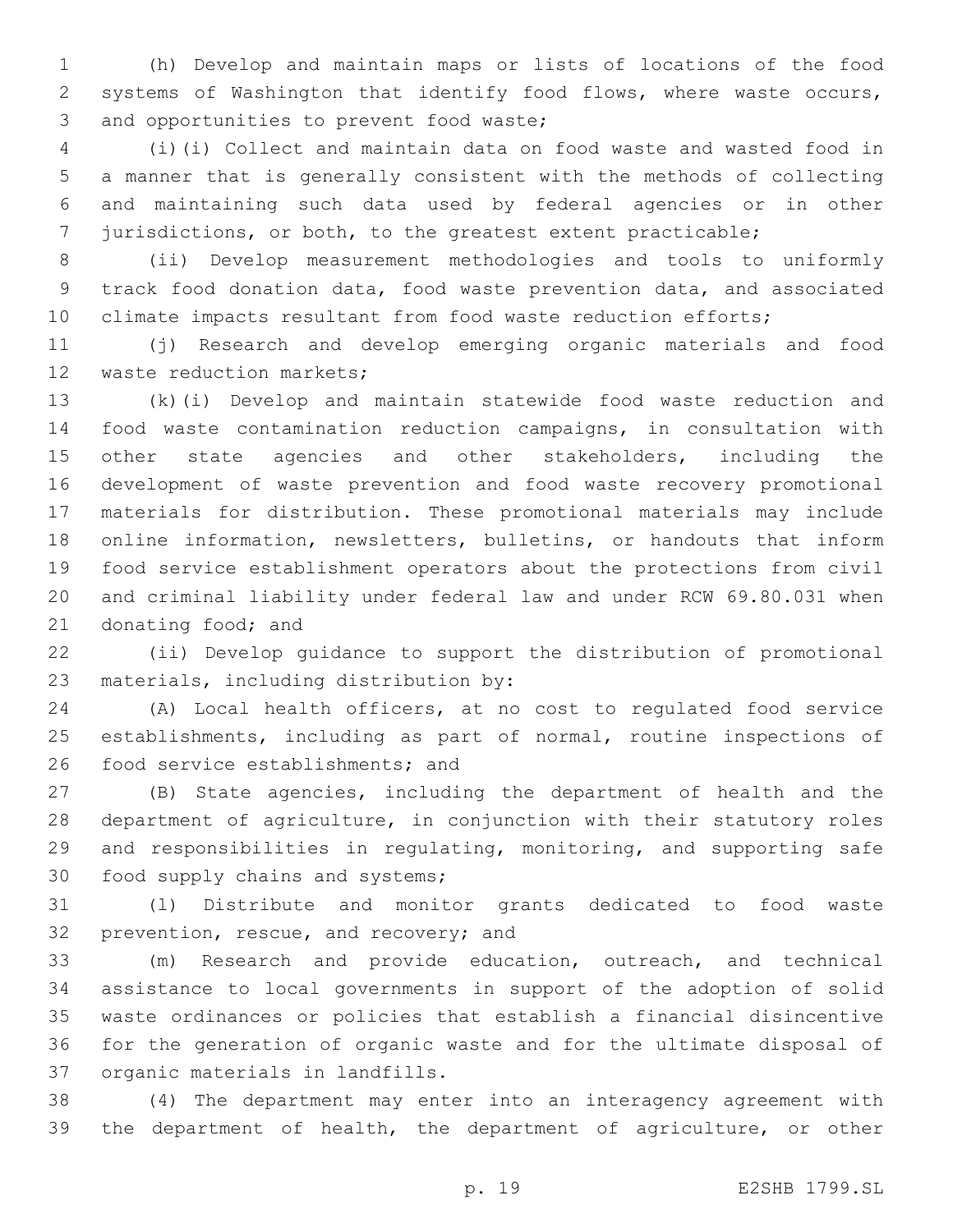(h) Develop and maintain maps or lists of locations of the food systems of Washington that identify food flows, where waste occurs, 3 and opportunities to prevent food waste;

 (i)(i) Collect and maintain data on food waste and wasted food in a manner that is generally consistent with the methods of collecting and maintaining such data used by federal agencies or in other jurisdictions, or both, to the greatest extent practicable;

 (ii) Develop measurement methodologies and tools to uniformly track food donation data, food waste prevention data, and associated climate impacts resultant from food waste reduction efforts;

 (j) Research and develop emerging organic materials and food 12 waste reduction markets;

 (k)(i) Develop and maintain statewide food waste reduction and food waste contamination reduction campaigns, in consultation with 15 other state agencies and other stakeholders, including the development of waste prevention and food waste recovery promotional materials for distribution. These promotional materials may include online information, newsletters, bulletins, or handouts that inform food service establishment operators about the protections from civil and criminal liability under federal law and under RCW 69.80.031 when 21 donating food; and

 (ii) Develop guidance to support the distribution of promotional 23 materials, including distribution by:

 (A) Local health officers, at no cost to regulated food service establishments, including as part of normal, routine inspections of 26 food service establishments; and

 (B) State agencies, including the department of health and the department of agriculture, in conjunction with their statutory roles and responsibilities in regulating, monitoring, and supporting safe 30 food supply chains and systems;

 (l) Distribute and monitor grants dedicated to food waste 32 prevention, rescue, and recovery; and

 (m) Research and provide education, outreach, and technical assistance to local governments in support of the adoption of solid waste ordinances or policies that establish a financial disincentive for the generation of organic waste and for the ultimate disposal of 37 organic materials in landfills.

 (4) The department may enter into an interagency agreement with the department of health, the department of agriculture, or other

p. 19 E2SHB 1799.SL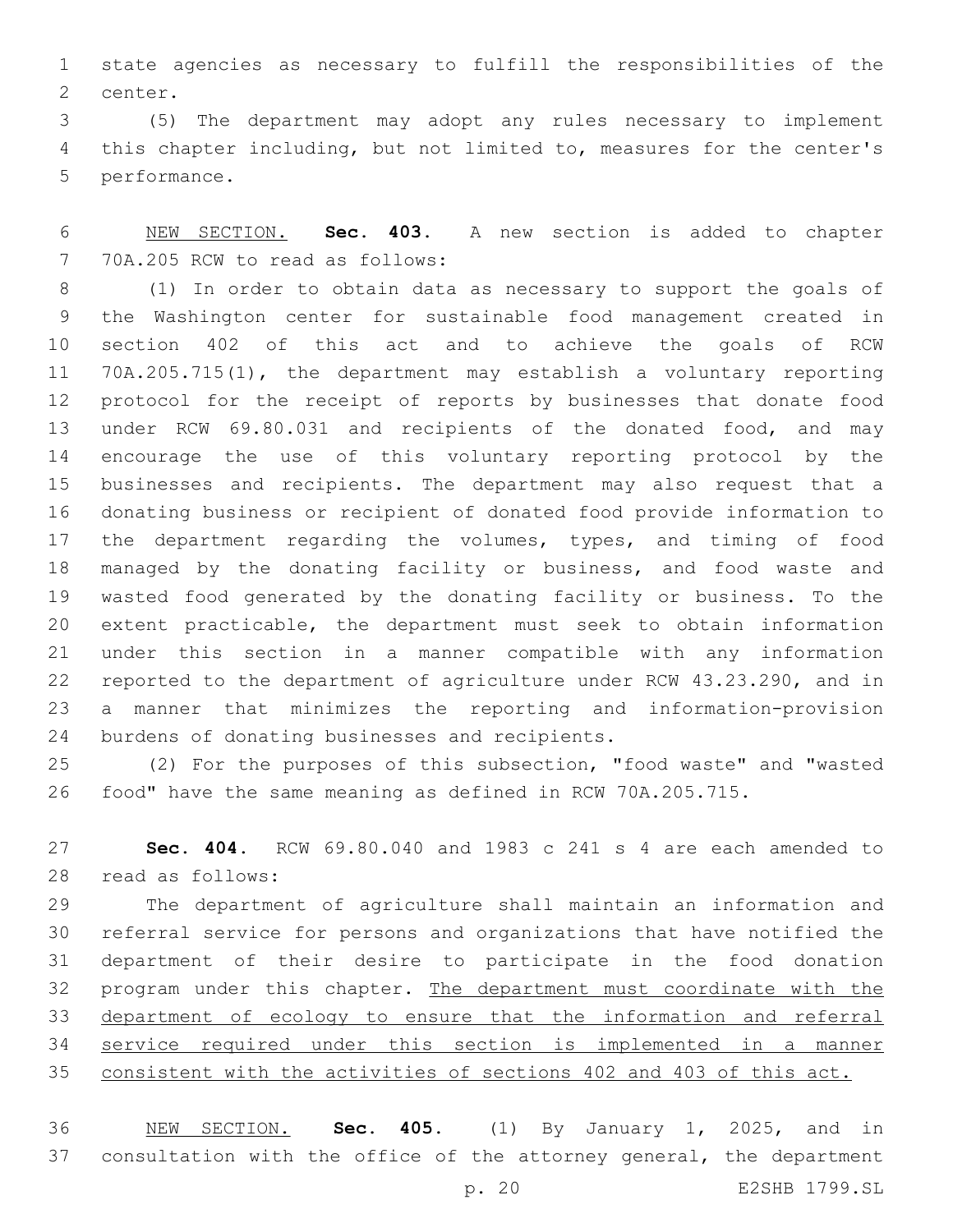state agencies as necessary to fulfill the responsibilities of the 2 center.

 (5) The department may adopt any rules necessary to implement this chapter including, but not limited to, measures for the center's 5 performance.

 NEW SECTION. **Sec. 403.** A new section is added to chapter 7 70A.205 RCW to read as follows:

 (1) In order to obtain data as necessary to support the goals of the Washington center for sustainable food management created in section 402 of this act and to achieve the goals of RCW 70A.205.715(1), the department may establish a voluntary reporting protocol for the receipt of reports by businesses that donate food under RCW 69.80.031 and recipients of the donated food, and may encourage the use of this voluntary reporting protocol by the businesses and recipients. The department may also request that a donating business or recipient of donated food provide information to the department regarding the volumes, types, and timing of food managed by the donating facility or business, and food waste and wasted food generated by the donating facility or business. To the extent practicable, the department must seek to obtain information under this section in a manner compatible with any information reported to the department of agriculture under RCW 43.23.290, and in a manner that minimizes the reporting and information-provision 24 burdens of donating businesses and recipients.

 (2) For the purposes of this subsection, "food waste" and "wasted food" have the same meaning as defined in RCW 70A.205.715.

 **Sec. 404.** RCW 69.80.040 and 1983 c 241 s 4 are each amended to 28 read as follows:

 The department of agriculture shall maintain an information and referral service for persons and organizations that have notified the department of their desire to participate in the food donation program under this chapter. The department must coordinate with the 33 department of ecology to ensure that the information and referral service required under this section is implemented in a manner consistent with the activities of sections 402 and 403 of this act.

 NEW SECTION. **Sec. 405.** (1) By January 1, 2025, and in consultation with the office of the attorney general, the department p. 20 E2SHB 1799.SL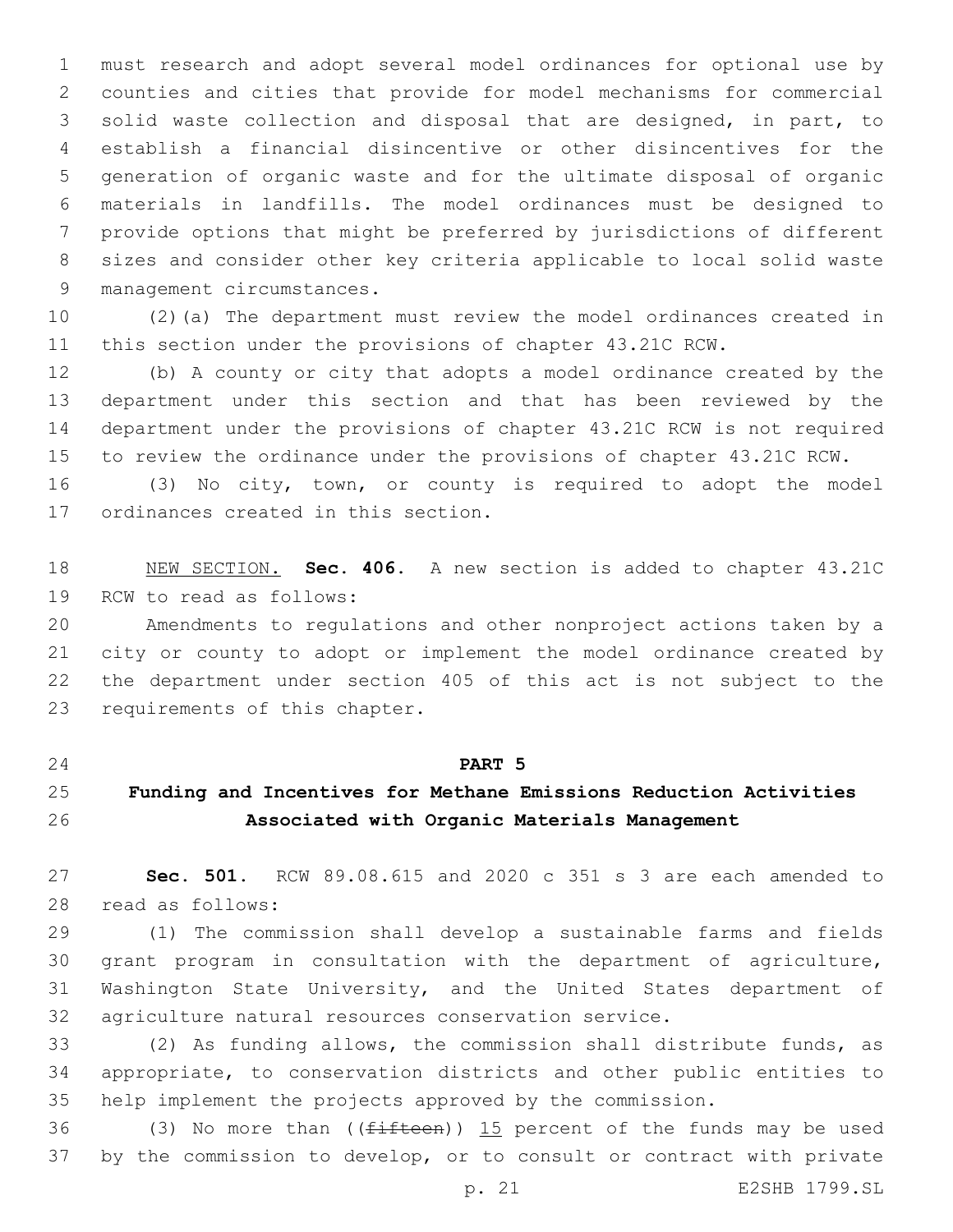must research and adopt several model ordinances for optional use by counties and cities that provide for model mechanisms for commercial solid waste collection and disposal that are designed, in part, to establish a financial disincentive or other disincentives for the generation of organic waste and for the ultimate disposal of organic materials in landfills. The model ordinances must be designed to provide options that might be preferred by jurisdictions of different sizes and consider other key criteria applicable to local solid waste 9 management circumstances.

 (2)(a) The department must review the model ordinances created in this section under the provisions of chapter 43.21C RCW.

 (b) A county or city that adopts a model ordinance created by the department under this section and that has been reviewed by the department under the provisions of chapter 43.21C RCW is not required to review the ordinance under the provisions of chapter 43.21C RCW.

 (3) No city, town, or county is required to adopt the model 17 ordinances created in this section.

 NEW SECTION. **Sec. 406.** A new section is added to chapter 43.21C 19 RCW to read as follows:

 Amendments to regulations and other nonproject actions taken by a city or county to adopt or implement the model ordinance created by the department under section 405 of this act is not subject to the 23 requirements of this chapter.

### **PART 5**

# **Funding and Incentives for Methane Emissions Reduction Activities Associated with Organic Materials Management**

 **Sec. 501.** RCW 89.08.615 and 2020 c 351 s 3 are each amended to read as follows:28

 (1) The commission shall develop a sustainable farms and fields grant program in consultation with the department of agriculture, Washington State University, and the United States department of agriculture natural resources conservation service.

 (2) As funding allows, the commission shall distribute funds, as appropriate, to conservation districts and other public entities to help implement the projects approved by the commission.

36 (3) No more than  $($  ( $f$ ifteen)) 15 percent of the funds may be used by the commission to develop, or to consult or contract with private

p. 21 E2SHB 1799.SL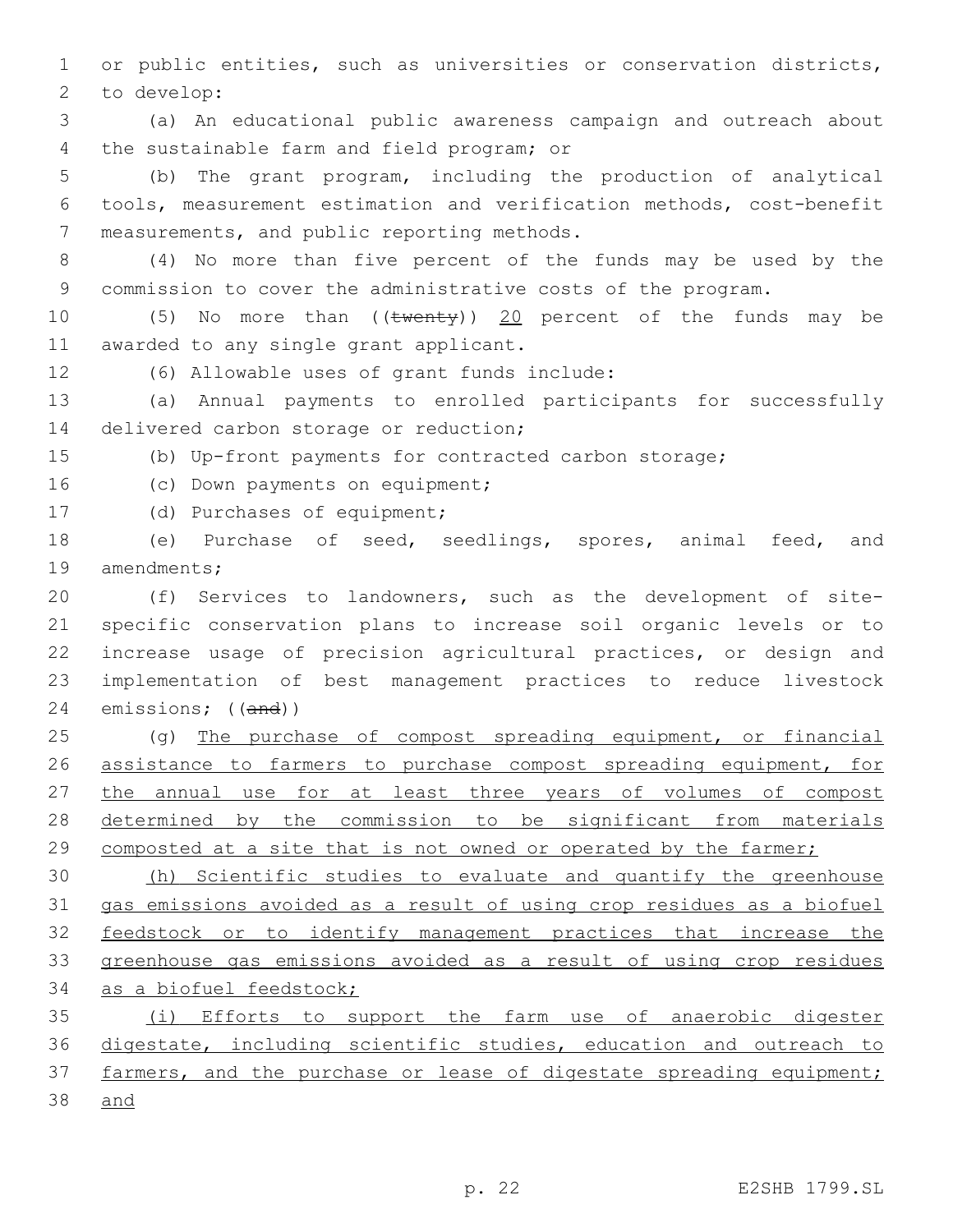or public entities, such as universities or conservation districts, 2 to develop:

 (a) An educational public awareness campaign and outreach about 4 the sustainable farm and field program; or

 (b) The grant program, including the production of analytical tools, measurement estimation and verification methods, cost-benefit 7 measurements, and public reporting methods.

 (4) No more than five percent of the funds may be used by the commission to cover the administrative costs of the program.

10 (5) No more than ((twenty)) 20 percent of the funds may be 11 awarded to any single grant applicant.

12 (6) Allowable uses of grant funds include:

 (a) Annual payments to enrolled participants for successfully 14 delivered carbon storage or reduction;

(b) Up-front payments for contracted carbon storage;

16 (c) Down payments on equipment;

17 (d) Purchases of equipment;

 (e) Purchase of seed, seedlings, spores, animal feed, and 19 amendments;

 (f) Services to landowners, such as the development of site- specific conservation plans to increase soil organic levels or to increase usage of precision agricultural practices, or design and implementation of best management practices to reduce livestock emissions; ((and))

 (g) The purchase of compost spreading equipment, or financial assistance to farmers to purchase compost spreading equipment, for the annual use for at least three years of volumes of compost determined by the commission to be significant from materials composted at a site that is not owned or operated by the farmer;

 (h) Scientific studies to evaluate and quantify the greenhouse gas emissions avoided as a result of using crop residues as a biofuel feedstock or to identify management practices that increase the greenhouse gas emissions avoided as a result of using crop residues as a biofuel feedstock;

 (i) Efforts to support the farm use of anaerobic digester digestate, including scientific studies, education and outreach to 37 farmers, and the purchase or lease of digestate spreading equipment; and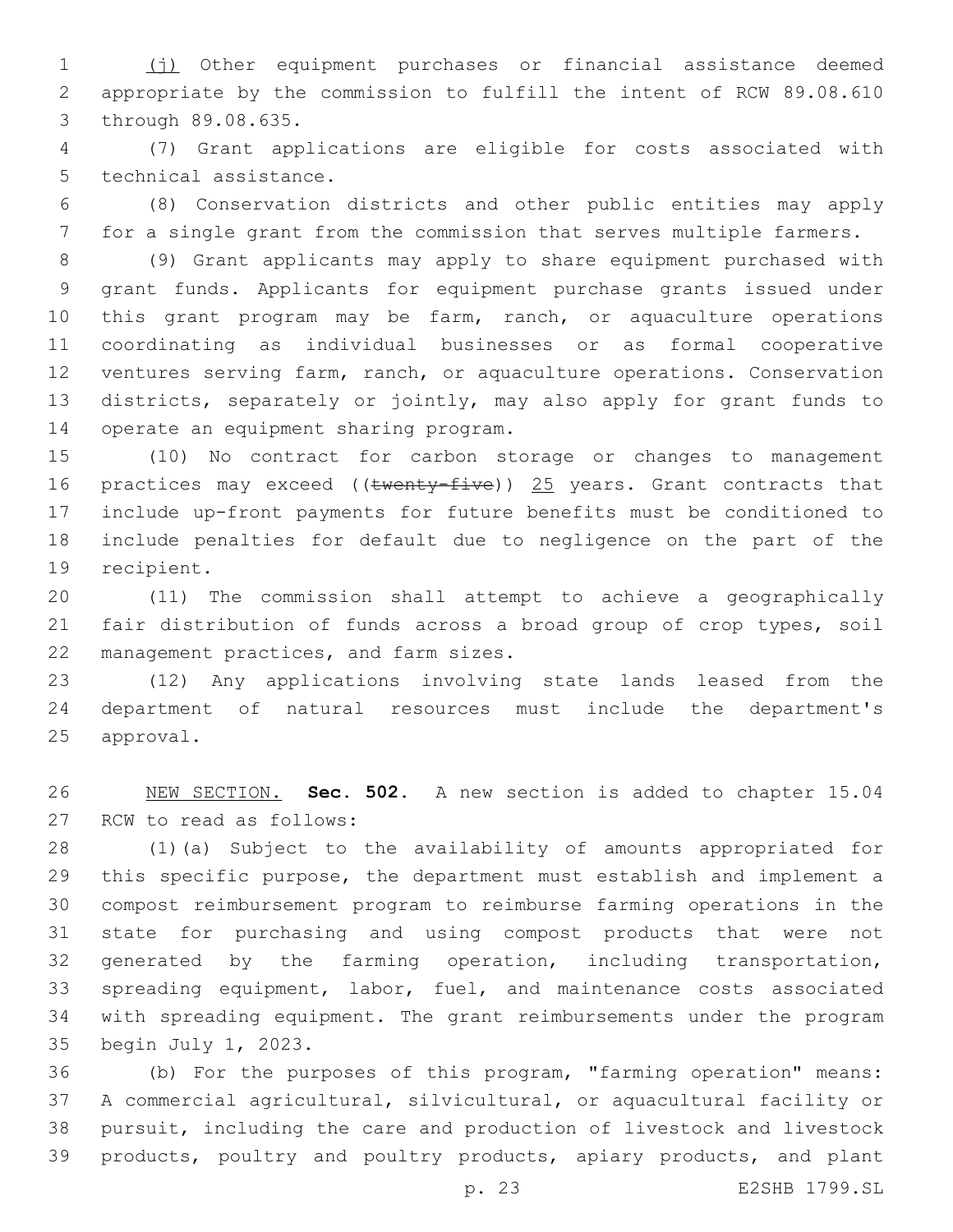(j) Other equipment purchases or financial assistance deemed appropriate by the commission to fulfill the intent of RCW 89.08.610 3 through 89.08.635.

 (7) Grant applications are eligible for costs associated with 5 technical assistance.

 (8) Conservation districts and other public entities may apply for a single grant from the commission that serves multiple farmers.

 (9) Grant applicants may apply to share equipment purchased with grant funds. Applicants for equipment purchase grants issued under 10 this grant program may be farm, ranch, or aquaculture operations coordinating as individual businesses or as formal cooperative ventures serving farm, ranch, or aquaculture operations. Conservation districts, separately or jointly, may also apply for grant funds to 14 operate an equipment sharing program.

 (10) No contract for carbon storage or changes to management 16 practices may exceed ((twenty-five)) 25 years. Grant contracts that include up-front payments for future benefits must be conditioned to include penalties for default due to negligence on the part of the 19 recipient.

 (11) The commission shall attempt to achieve a geographically fair distribution of funds across a broad group of crop types, soil 22 management practices, and farm sizes.

 (12) Any applications involving state lands leased from the department of natural resources must include the department's 25 approval.

 NEW SECTION. **Sec. 502.** A new section is added to chapter 15.04 27 RCW to read as follows:

 (1)(a) Subject to the availability of amounts appropriated for this specific purpose, the department must establish and implement a compost reimbursement program to reimburse farming operations in the state for purchasing and using compost products that were not generated by the farming operation, including transportation, spreading equipment, labor, fuel, and maintenance costs associated with spreading equipment. The grant reimbursements under the program 35 begin July 1, 2023.

 (b) For the purposes of this program, "farming operation" means: A commercial agricultural, silvicultural, or aquacultural facility or pursuit, including the care and production of livestock and livestock products, poultry and poultry products, apiary products, and plant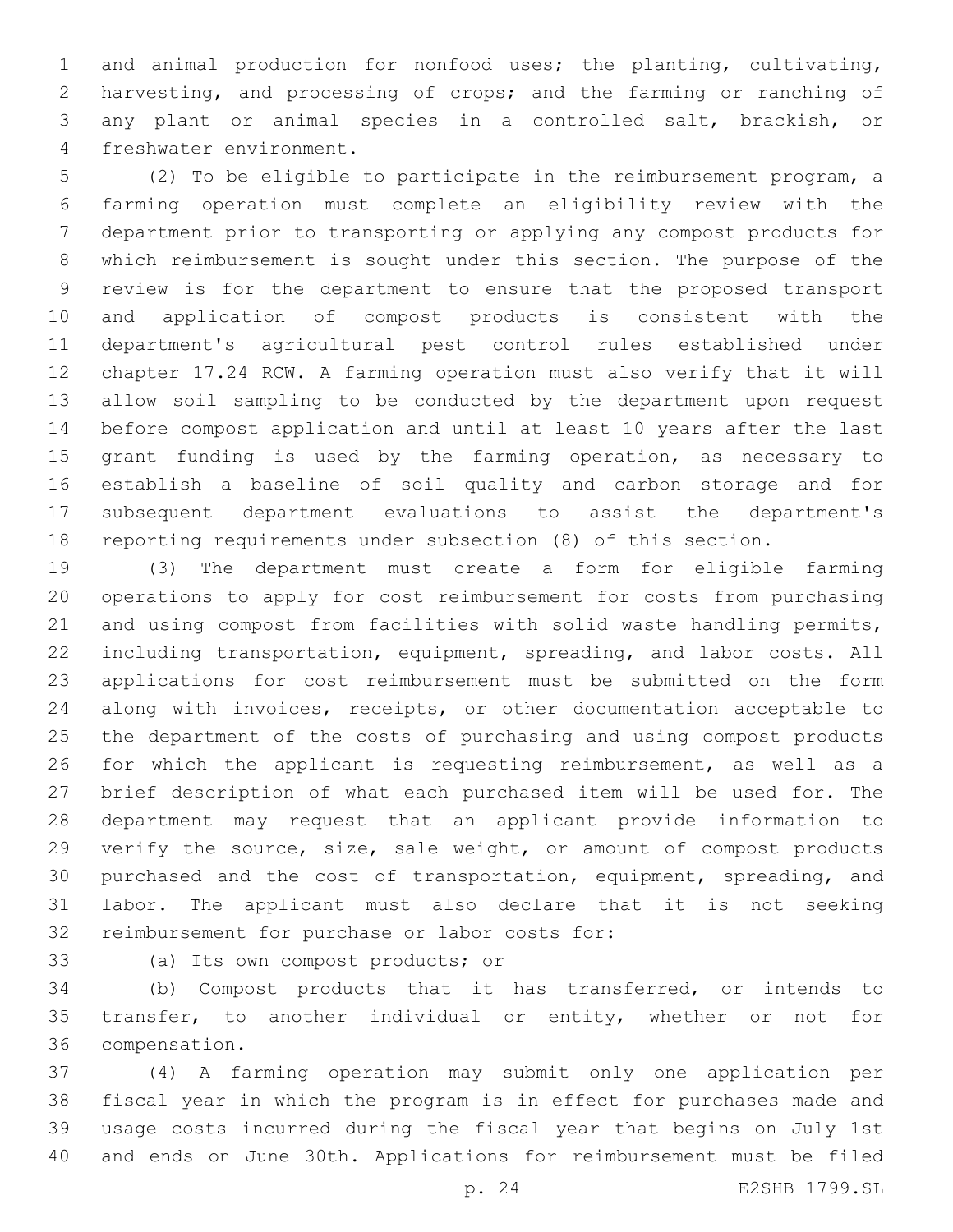and animal production for nonfood uses; the planting, cultivating, harvesting, and processing of crops; and the farming or ranching of any plant or animal species in a controlled salt, brackish, or 4 freshwater environment.

 (2) To be eligible to participate in the reimbursement program, a farming operation must complete an eligibility review with the department prior to transporting or applying any compost products for which reimbursement is sought under this section. The purpose of the review is for the department to ensure that the proposed transport and application of compost products is consistent with the department's agricultural pest control rules established under chapter 17.24 RCW. A farming operation must also verify that it will allow soil sampling to be conducted by the department upon request before compost application and until at least 10 years after the last 15 grant funding is used by the farming operation, as necessary to establish a baseline of soil quality and carbon storage and for subsequent department evaluations to assist the department's reporting requirements under subsection (8) of this section.

 (3) The department must create a form for eligible farming operations to apply for cost reimbursement for costs from purchasing and using compost from facilities with solid waste handling permits, including transportation, equipment, spreading, and labor costs. All applications for cost reimbursement must be submitted on the form along with invoices, receipts, or other documentation acceptable to the department of the costs of purchasing and using compost products 26 for which the applicant is requesting reimbursement, as well as a brief description of what each purchased item will be used for. The department may request that an applicant provide information to 29 verify the source, size, sale weight, or amount of compost products purchased and the cost of transportation, equipment, spreading, and labor. The applicant must also declare that it is not seeking 32 reimbursement for purchase or labor costs for:

33 (a) Its own compost products; or

 (b) Compost products that it has transferred, or intends to transfer, to another individual or entity, whether or not for 36 compensation.

 (4) A farming operation may submit only one application per fiscal year in which the program is in effect for purchases made and usage costs incurred during the fiscal year that begins on July 1st and ends on June 30th. Applications for reimbursement must be filed

p. 24 E2SHB 1799.SL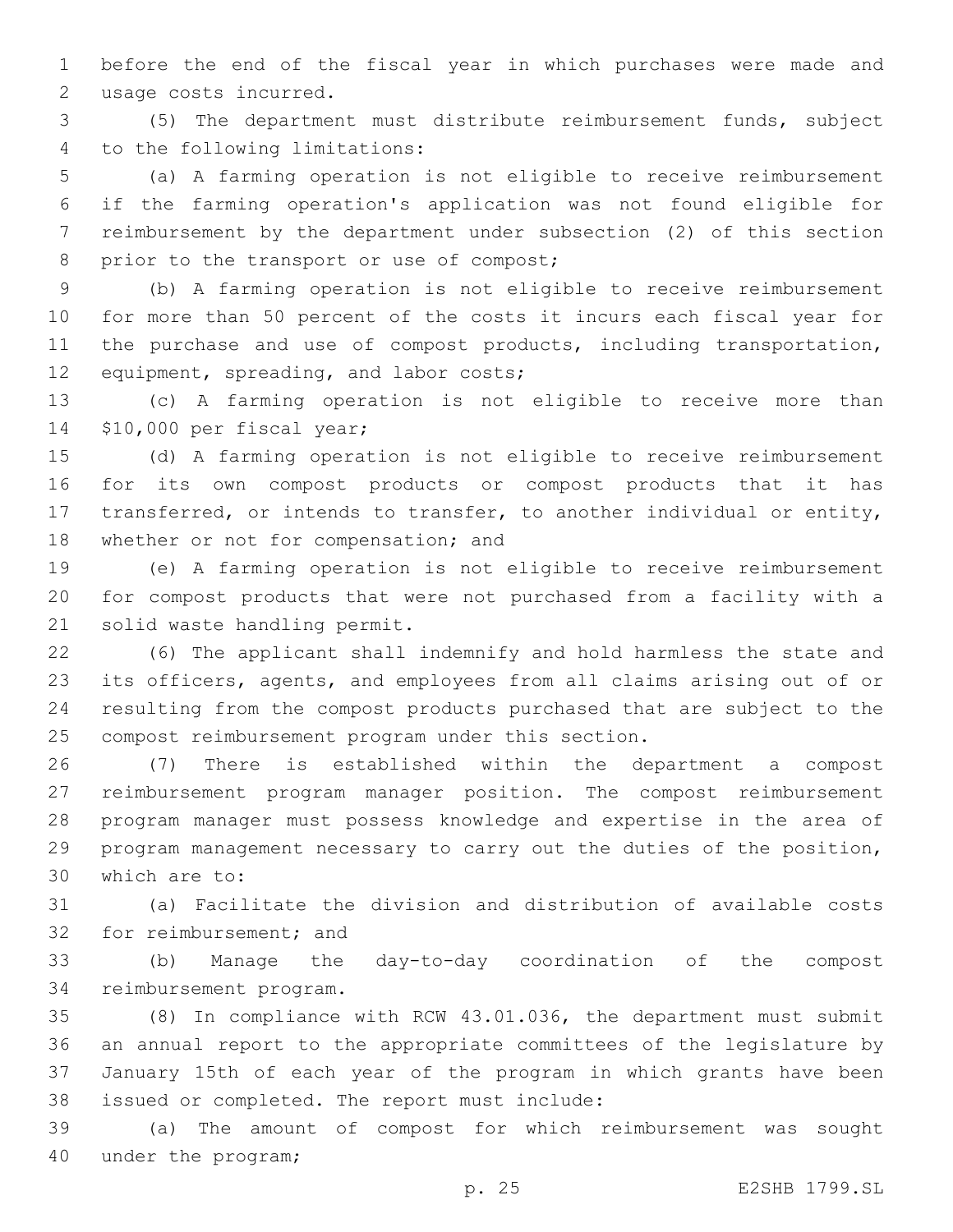before the end of the fiscal year in which purchases were made and 2 usage costs incurred.

 (5) The department must distribute reimbursement funds, subject 4 to the following limitations:

 (a) A farming operation is not eligible to receive reimbursement if the farming operation's application was not found eligible for reimbursement by the department under subsection (2) of this section 8 prior to the transport or use of compost;

 (b) A farming operation is not eligible to receive reimbursement for more than 50 percent of the costs it incurs each fiscal year for 11 the purchase and use of compost products, including transportation, 12 equipment, spreading, and labor costs;

 (c) A farming operation is not eligible to receive more than 14 \$10,000 per fiscal year;

 (d) A farming operation is not eligible to receive reimbursement for its own compost products or compost products that it has transferred, or intends to transfer, to another individual or entity, 18 whether or not for compensation; and

 (e) A farming operation is not eligible to receive reimbursement for compost products that were not purchased from a facility with a 21 solid waste handling permit.

 (6) The applicant shall indemnify and hold harmless the state and its officers, agents, and employees from all claims arising out of or resulting from the compost products purchased that are subject to the 25 compost reimbursement program under this section.

 (7) There is established within the department a compost reimbursement program manager position. The compost reimbursement program manager must possess knowledge and expertise in the area of program management necessary to carry out the duties of the position, 30 which are to:

 (a) Facilitate the division and distribution of available costs 32 for reimbursement; and

 (b) Manage the day-to-day coordination of the compost 34 reimbursement program.

 (8) In compliance with RCW 43.01.036, the department must submit an annual report to the appropriate committees of the legislature by January 15th of each year of the program in which grants have been 38 issued or completed. The report must include:

 (a) The amount of compost for which reimbursement was sought 40 under the program;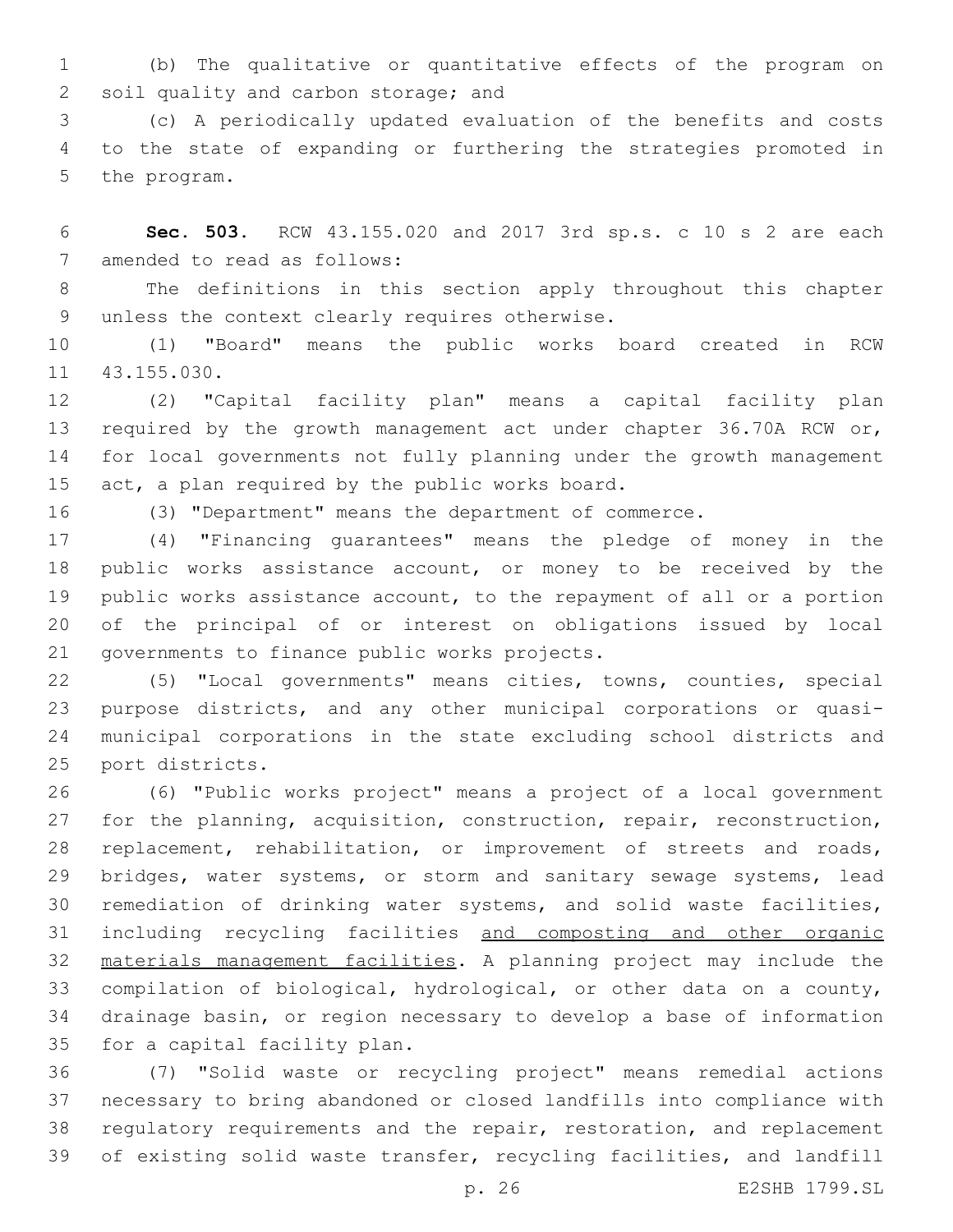(b) The qualitative or quantitative effects of the program on 2 soil quality and carbon storage; and

 (c) A periodically updated evaluation of the benefits and costs to the state of expanding or furthering the strategies promoted in 5 the program.

 **Sec. 503.** RCW 43.155.020 and 2017 3rd sp.s. c 10 s 2 are each 7 amended to read as follows:

 The definitions in this section apply throughout this chapter 9 unless the context clearly requires otherwise.

 (1) "Board" means the public works board created in RCW 11 43.155.030.

 (2) "Capital facility plan" means a capital facility plan required by the growth management act under chapter 36.70A RCW or, for local governments not fully planning under the growth management  $act, a plan required by the public works board.$ 

(3) "Department" means the department of commerce.

 (4) "Financing guarantees" means the pledge of money in the public works assistance account, or money to be received by the public works assistance account, to the repayment of all or a portion of the principal of or interest on obligations issued by local 21 governments to finance public works projects.

 (5) "Local governments" means cities, towns, counties, special purpose districts, and any other municipal corporations or quasi- municipal corporations in the state excluding school districts and 25 port districts.

 (6) "Public works project" means a project of a local government for the planning, acquisition, construction, repair, reconstruction, replacement, rehabilitation, or improvement of streets and roads, 29 bridges, water systems, or storm and sanitary sewage systems, lead remediation of drinking water systems, and solid waste facilities, 31 including recycling facilities and composting and other organic materials management facilities. A planning project may include the compilation of biological, hydrological, or other data on a county, drainage basin, or region necessary to develop a base of information 35 for a capital facility plan.

 (7) "Solid waste or recycling project" means remedial actions necessary to bring abandoned or closed landfills into compliance with regulatory requirements and the repair, restoration, and replacement of existing solid waste transfer, recycling facilities, and landfill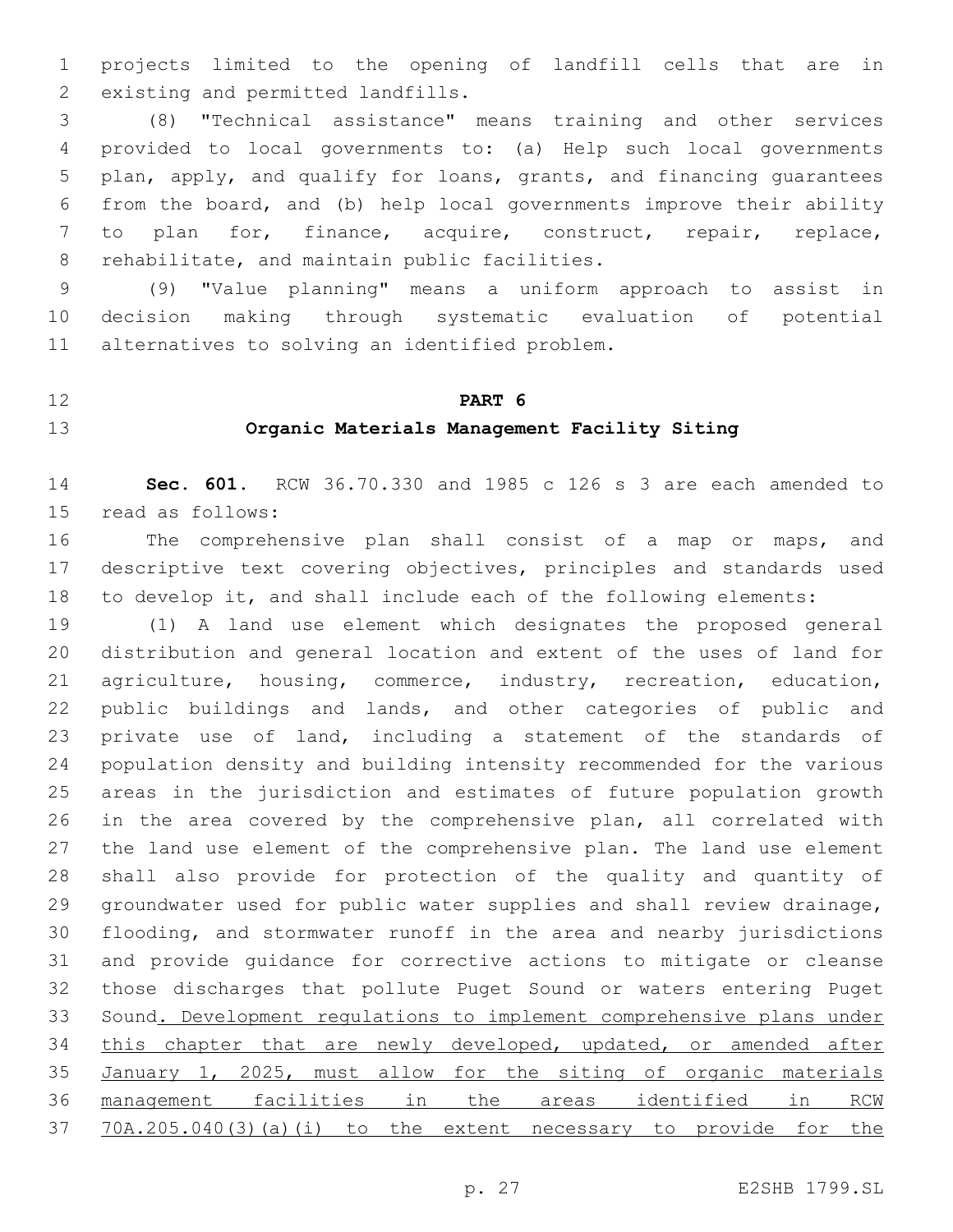projects limited to the opening of landfill cells that are in 2 existing and permitted landfills.

 (8) "Technical assistance" means training and other services provided to local governments to: (a) Help such local governments plan, apply, and qualify for loans, grants, and financing guarantees from the board, and (b) help local governments improve their ability to plan for, finance, acquire, construct, repair, replace, 8 rehabilitate, and maintain public facilities.

 (9) "Value planning" means a uniform approach to assist in decision making through systematic evaluation of potential 11 alternatives to solving an identified problem.

# **PART 6**

# **Organic Materials Management Facility Siting**

 **Sec. 601.** RCW 36.70.330 and 1985 c 126 s 3 are each amended to 15 read as follows:

 The comprehensive plan shall consist of a map or maps, and descriptive text covering objectives, principles and standards used to develop it, and shall include each of the following elements:

 (1) A land use element which designates the proposed general distribution and general location and extent of the uses of land for agriculture, housing, commerce, industry, recreation, education, public buildings and lands, and other categories of public and private use of land, including a statement of the standards of population density and building intensity recommended for the various areas in the jurisdiction and estimates of future population growth in the area covered by the comprehensive plan, all correlated with the land use element of the comprehensive plan. The land use element shall also provide for protection of the quality and quantity of groundwater used for public water supplies and shall review drainage, flooding, and stormwater runoff in the area and nearby jurisdictions and provide guidance for corrective actions to mitigate or cleanse those discharges that pollute Puget Sound or waters entering Puget 33 Sound. Development regulations to implement comprehensive plans under 34 this chapter that are newly developed, updated, or amended after January 1, 2025, must allow for the siting of organic materials management facilities in the areas identified in RCW 70A.205.040(3)(a)(i) to the extent necessary to provide for the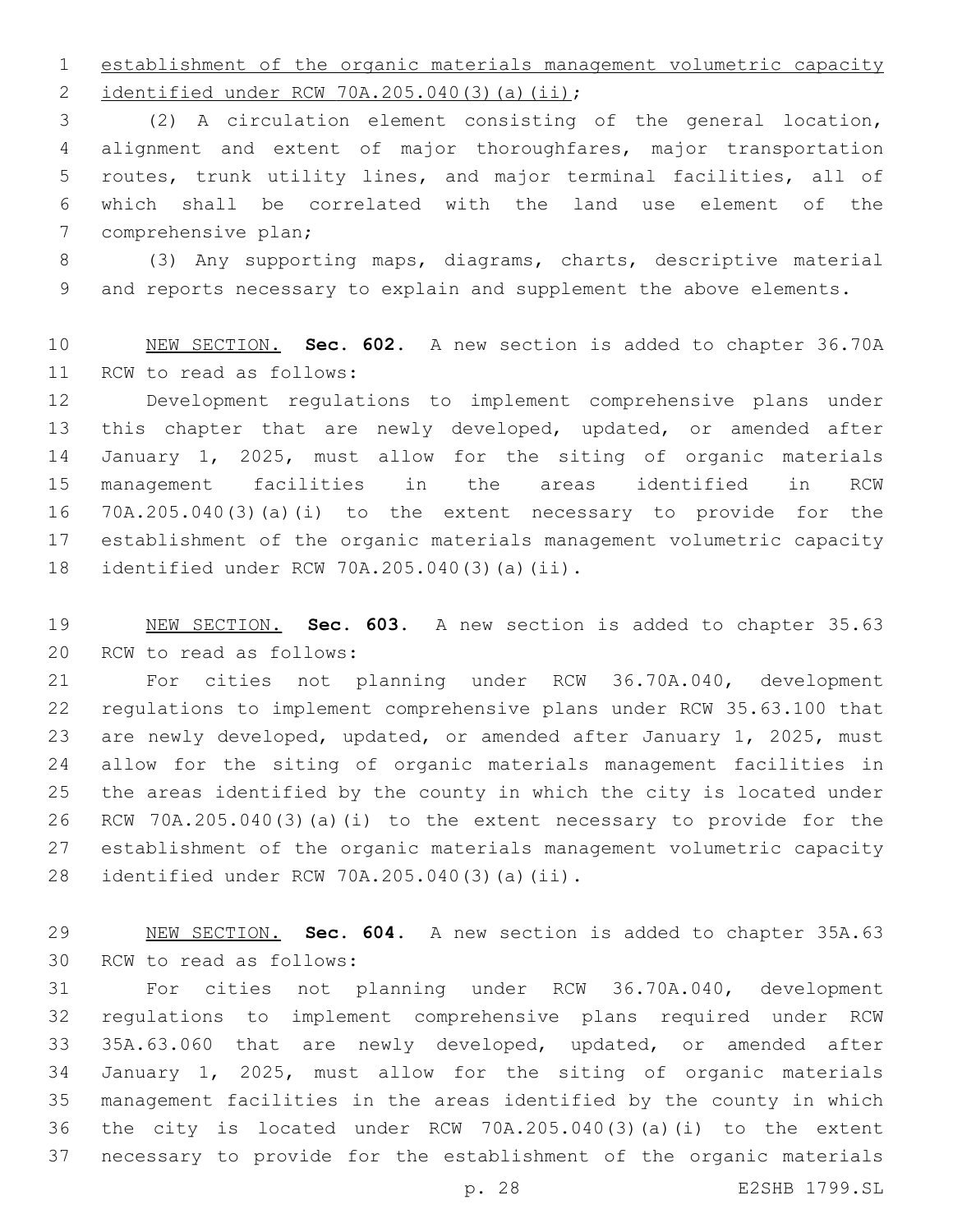establishment of the organic materials management volumetric capacity 2 identified under RCW 70A.205.040(3)(a)(ii);

 (2) A circulation element consisting of the general location, alignment and extent of major thoroughfares, major transportation routes, trunk utility lines, and major terminal facilities, all of which shall be correlated with the land use element of the 7 comprehensive plan;

 (3) Any supporting maps, diagrams, charts, descriptive material and reports necessary to explain and supplement the above elements.

 NEW SECTION. **Sec. 602.** A new section is added to chapter 36.70A 11 RCW to read as follows:

 Development regulations to implement comprehensive plans under this chapter that are newly developed, updated, or amended after January 1, 2025, must allow for the siting of organic materials management facilities in the areas identified in RCW 70A.205.040(3)(a)(i) to the extent necessary to provide for the establishment of the organic materials management volumetric capacity 18 identified under RCW 70A.205.040(3)(a)(ii).

 NEW SECTION. **Sec. 603.** A new section is added to chapter 35.63 20 RCW to read as follows:

 For cities not planning under RCW 36.70A.040, development regulations to implement comprehensive plans under RCW 35.63.100 that are newly developed, updated, or amended after January 1, 2025, must allow for the siting of organic materials management facilities in the areas identified by the county in which the city is located under RCW 70A.205.040(3)(a)(i) to the extent necessary to provide for the establishment of the organic materials management volumetric capacity identified under RCW 70A.205.040(3)(a)(ii).28

 NEW SECTION. **Sec. 604.** A new section is added to chapter 35A.63 30 RCW to read as follows:

 For cities not planning under RCW 36.70A.040, development regulations to implement comprehensive plans required under RCW 35A.63.060 that are newly developed, updated, or amended after January 1, 2025, must allow for the siting of organic materials management facilities in the areas identified by the county in which the city is located under RCW 70A.205.040(3)(a)(i) to the extent necessary to provide for the establishment of the organic materials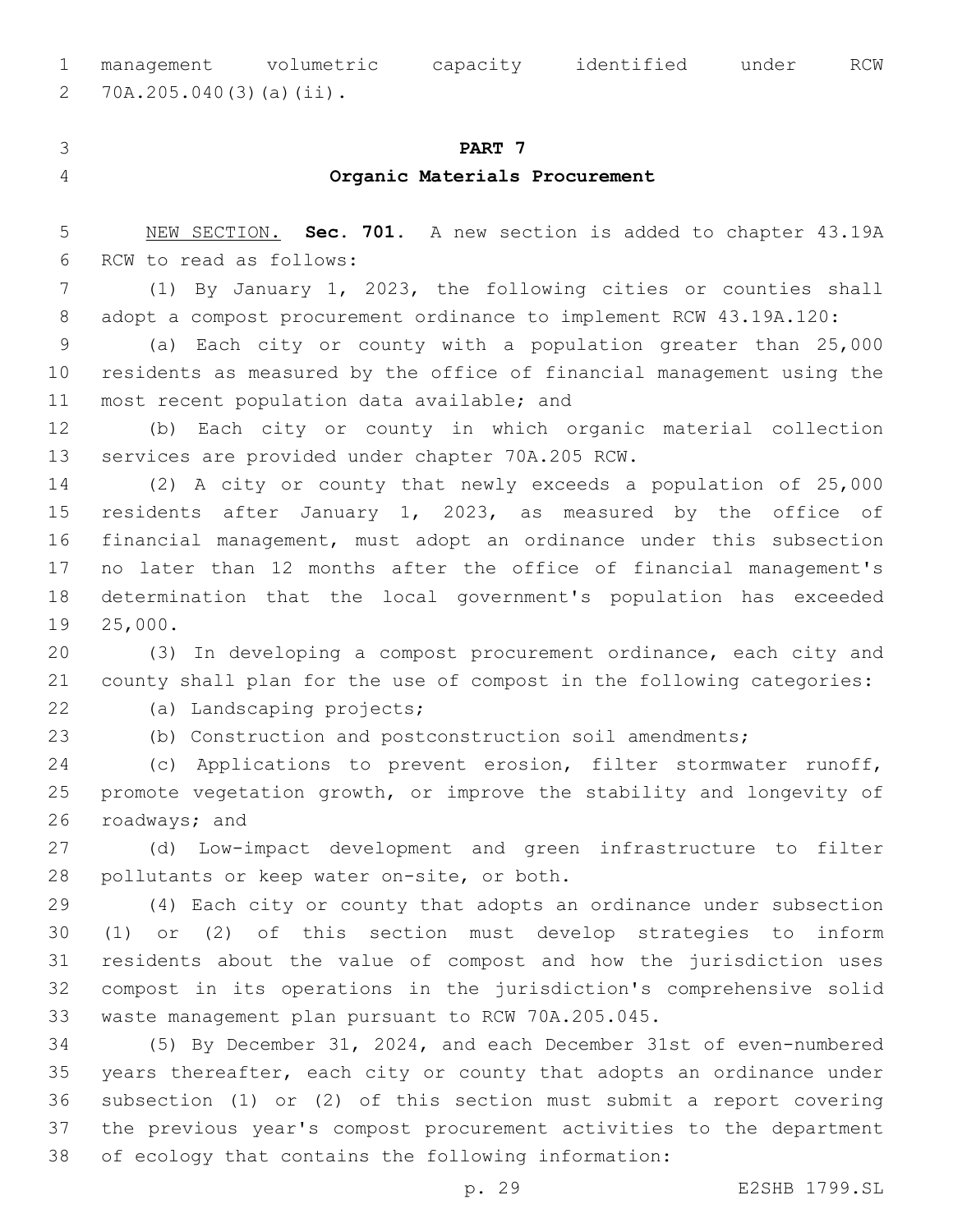management volumetric capacity identified under RCW 70A.205.040(3)(a)(ii).2

# **PART 7 Organic Materials Procurement**

 NEW SECTION. **Sec. 701.** A new section is added to chapter 43.19A 6 RCW to read as follows:

 (1) By January 1, 2023, the following cities or counties shall adopt a compost procurement ordinance to implement RCW 43.19A.120:

 (a) Each city or county with a population greater than 25,000 residents as measured by the office of financial management using the 11 most recent population data available; and

 (b) Each city or county in which organic material collection 13 services are provided under chapter 70A.205 RCW.

 (2) A city or county that newly exceeds a population of 25,000 residents after January 1, 2023, as measured by the office of financial management, must adopt an ordinance under this subsection no later than 12 months after the office of financial management's determination that the local government's population has exceeded 19 25,000.

 (3) In developing a compost procurement ordinance, each city and county shall plan for the use of compost in the following categories:

22 (a) Landscaping projects;

(b) Construction and postconstruction soil amendments;

 (c) Applications to prevent erosion, filter stormwater runoff, promote vegetation growth, or improve the stability and longevity of 26 roadways; and

 (d) Low-impact development and green infrastructure to filter 28 pollutants or keep water on-site, or both.

 (4) Each city or county that adopts an ordinance under subsection (1) or (2) of this section must develop strategies to inform residents about the value of compost and how the jurisdiction uses compost in its operations in the jurisdiction's comprehensive solid waste management plan pursuant to RCW 70A.205.045.

 (5) By December 31, 2024, and each December 31st of even-numbered years thereafter, each city or county that adopts an ordinance under subsection (1) or (2) of this section must submit a report covering the previous year's compost procurement activities to the department of ecology that contains the following information: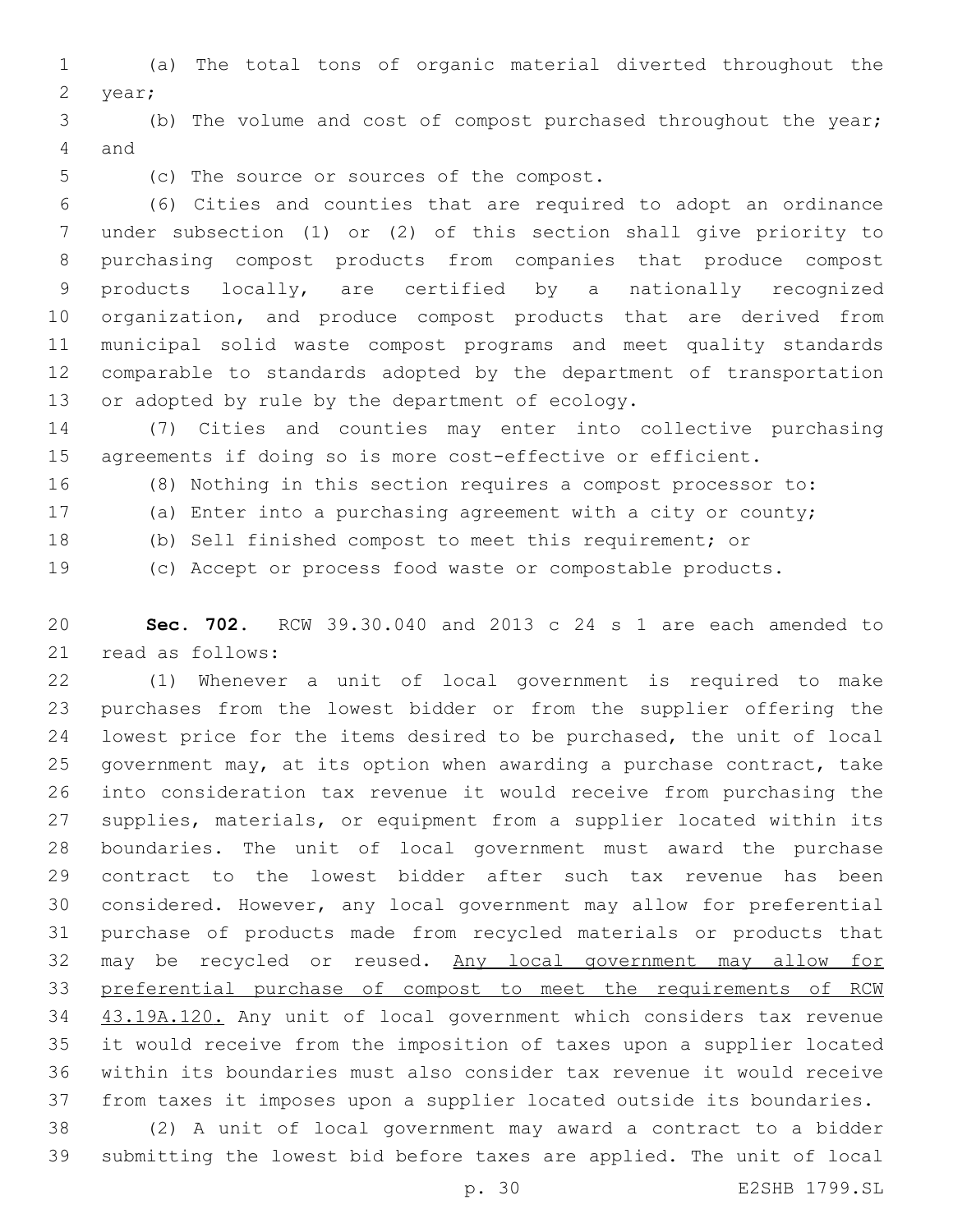(a) The total tons of organic material diverted throughout the 2 year;

 (b) The volume and cost of compost purchased throughout the year; 4 and

5 (c) The source or sources of the compost.

 (6) Cities and counties that are required to adopt an ordinance under subsection (1) or (2) of this section shall give priority to purchasing compost products from companies that produce compost products locally, are certified by a nationally recognized organization, and produce compost products that are derived from municipal solid waste compost programs and meet quality standards comparable to standards adopted by the department of transportation 13 or adopted by rule by the department of ecology.

 (7) Cities and counties may enter into collective purchasing agreements if doing so is more cost-effective or efficient.

(8) Nothing in this section requires a compost processor to:

(a) Enter into a purchasing agreement with a city or county;

(b) Sell finished compost to meet this requirement; or

(c) Accept or process food waste or compostable products.

 **Sec. 702.** RCW 39.30.040 and 2013 c 24 s 1 are each amended to 21 read as follows:

 (1) Whenever a unit of local government is required to make purchases from the lowest bidder or from the supplier offering the lowest price for the items desired to be purchased, the unit of local government may, at its option when awarding a purchase contract, take into consideration tax revenue it would receive from purchasing the supplies, materials, or equipment from a supplier located within its boundaries. The unit of local government must award the purchase contract to the lowest bidder after such tax revenue has been considered. However, any local government may allow for preferential purchase of products made from recycled materials or products that 32 may be recycled or reused. Any local government may allow for 33 preferential purchase of compost to meet the requirements of RCW 43.19A.120. Any unit of local government which considers tax revenue it would receive from the imposition of taxes upon a supplier located within its boundaries must also consider tax revenue it would receive from taxes it imposes upon a supplier located outside its boundaries.

 (2) A unit of local government may award a contract to a bidder submitting the lowest bid before taxes are applied. The unit of local

p. 30 E2SHB 1799.SL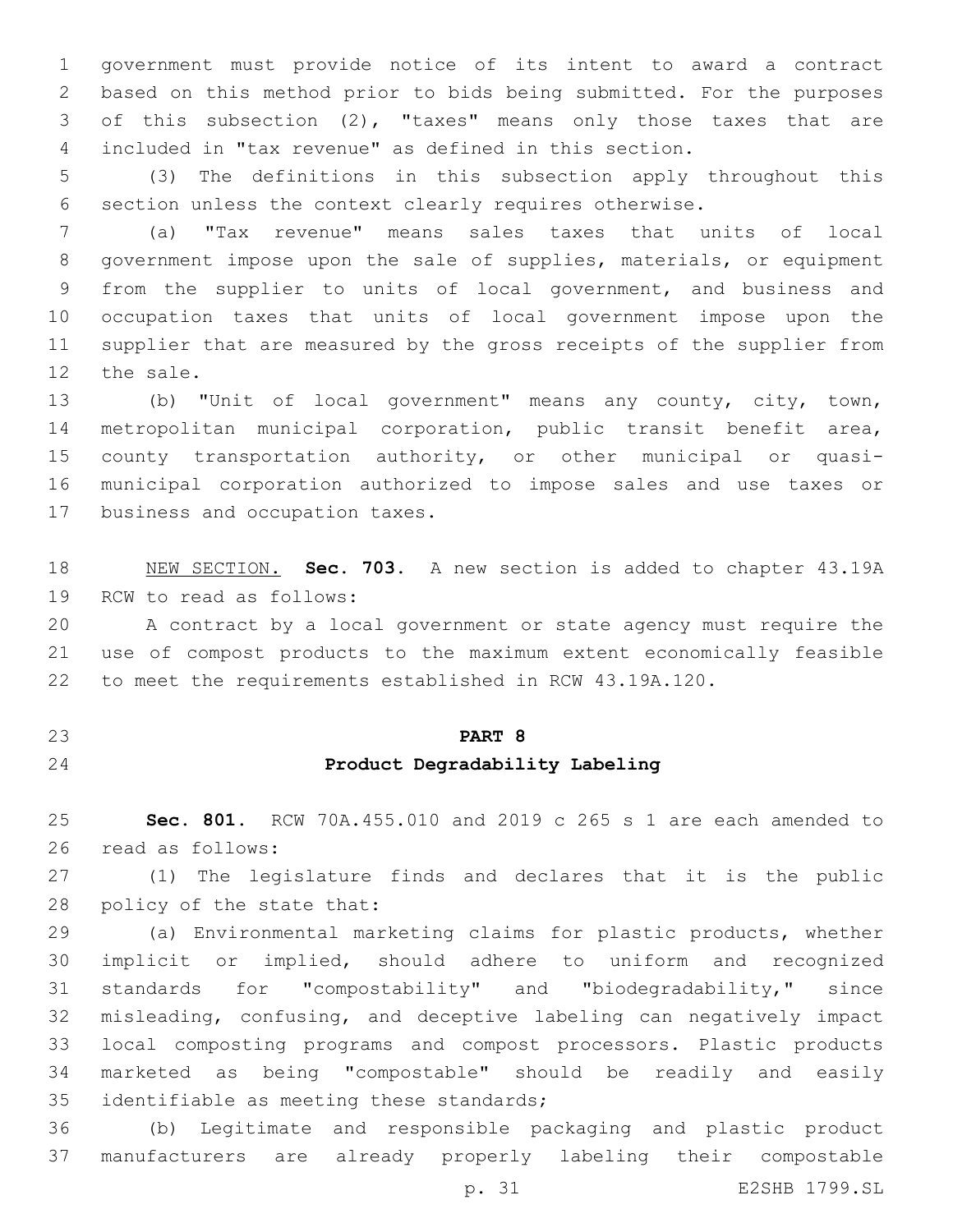government must provide notice of its intent to award a contract based on this method prior to bids being submitted. For the purposes of this subsection (2), "taxes" means only those taxes that are included in "tax revenue" as defined in this section.

 (3) The definitions in this subsection apply throughout this section unless the context clearly requires otherwise.

 (a) "Tax revenue" means sales taxes that units of local government impose upon the sale of supplies, materials, or equipment from the supplier to units of local government, and business and occupation taxes that units of local government impose upon the supplier that are measured by the gross receipts of the supplier from 12 the sale.

 (b) "Unit of local government" means any county, city, town, metropolitan municipal corporation, public transit benefit area, county transportation authority, or other municipal or quasi- municipal corporation authorized to impose sales and use taxes or 17 business and occupation taxes.

 NEW SECTION. **Sec. 703.** A new section is added to chapter 43.19A 19 RCW to read as follows:

 A contract by a local government or state agency must require the use of compost products to the maximum extent economically feasible to meet the requirements established in RCW 43.19A.120.

# **PART 8**

# **Product Degradability Labeling**

 **Sec. 801.** RCW 70A.455.010 and 2019 c 265 s 1 are each amended to 26 read as follows:

 (1) The legislature finds and declares that it is the public 28 policy of the state that:

 (a) Environmental marketing claims for plastic products, whether implicit or implied, should adhere to uniform and recognized standards for "compostability" and "biodegradability," since misleading, confusing, and deceptive labeling can negatively impact local composting programs and compost processors. Plastic products marketed as being "compostable" should be readily and easily 35 identifiable as meeting these standards;

 (b) Legitimate and responsible packaging and plastic product manufacturers are already properly labeling their compostable

p. 31 E2SHB 1799.SL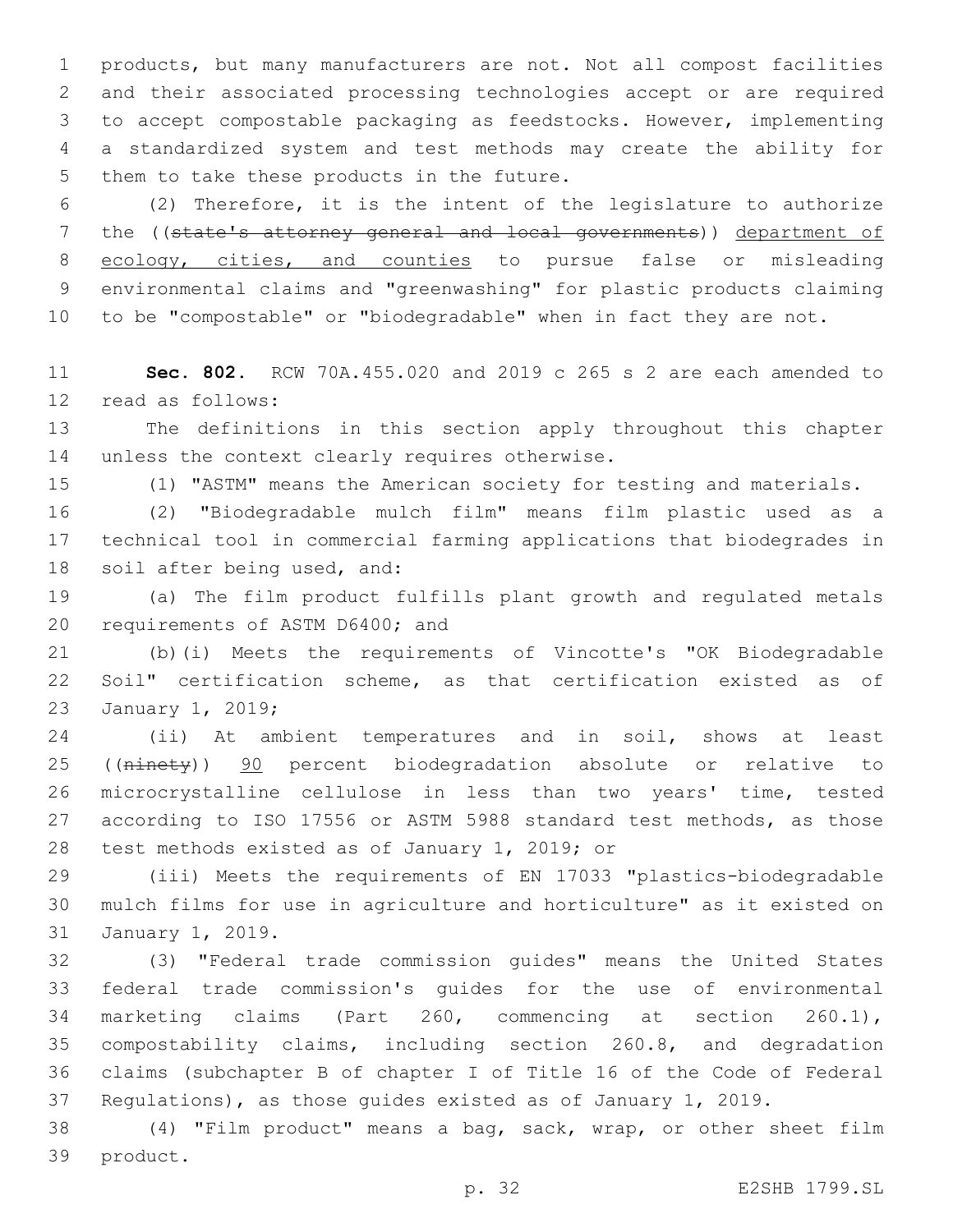products, but many manufacturers are not. Not all compost facilities and their associated processing technologies accept or are required to accept compostable packaging as feedstocks. However, implementing a standardized system and test methods may create the ability for 5 them to take these products in the future.

 (2) Therefore, it is the intent of the legislature to authorize 7 the ((state's attorney general and local governments)) department of 8 ecology, cities, and counties to pursue false or misleading environmental claims and "greenwashing" for plastic products claiming to be "compostable" or "biodegradable" when in fact they are not.

 **Sec. 802.** RCW 70A.455.020 and 2019 c 265 s 2 are each amended to 12 read as follows:

 The definitions in this section apply throughout this chapter 14 unless the context clearly requires otherwise.

(1) "ASTM" means the American society for testing and materials.

 (2) "Biodegradable mulch film" means film plastic used as a technical tool in commercial farming applications that biodegrades in 18 soil after being used, and:

 (a) The film product fulfills plant growth and regulated metals 20 requirements of ASTM D6400; and

 (b)(i) Meets the requirements of Vincotte's "OK Biodegradable Soil" certification scheme, as that certification existed as of 23 January 1, 2019;

 (ii) At ambient temperatures and in soil, shows at least 25 ((ninety)) 90 percent biodegradation absolute or relative to microcrystalline cellulose in less than two years' time, tested according to ISO 17556 or ASTM 5988 standard test methods, as those 28 test methods existed as of January 1, 2019; or

 (iii) Meets the requirements of EN 17033 "plastics-biodegradable mulch films for use in agriculture and horticulture" as it existed on 31 January 1, 2019.

 (3) "Federal trade commission guides" means the United States federal trade commission's guides for the use of environmental marketing claims (Part 260, commencing at section 260.1), compostability claims, including section 260.8, and degradation claims (subchapter B of chapter I of Title 16 of the Code of Federal Regulations), as those guides existed as of January 1, 2019.

 (4) "Film product" means a bag, sack, wrap, or other sheet film 39 product.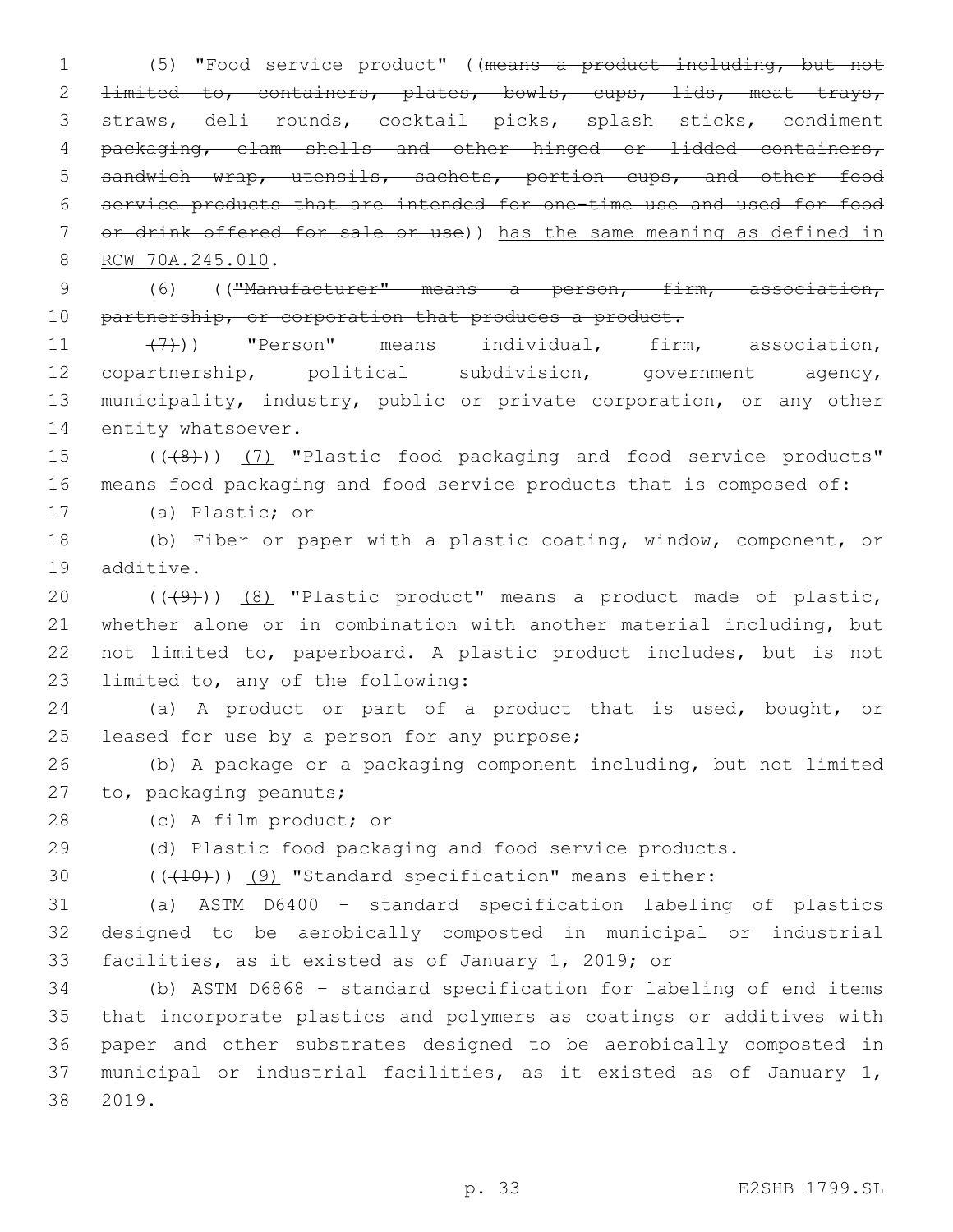1 (5) "Food service product" ((means a product including, but not 2 <del>limited to, containers, plates, bowls, cups, lids, meat trays,</del> 3 straws, deli rounds, cocktail picks, splash sticks, condiment 4 packaging, clam shells and other hinged or lidded containers, 5 sandwich wrap, utensils, sachets, portion cups, and other food 6 service products that are intended for one-time use and used for food 7 or drink offered for sale or use)) has the same meaning as defined in 8 RCW 70A.245.010.

9 (6) (("Manufacturer" means a person, firm, association, 10 partnership, or corporation that produces a product.

11 (7))) "Person" means individual, firm, association, 12 copartnership, political subdivision, government agency, 13 municipality, industry, public or private corporation, or any other 14 entity whatsoever.

15 (((8)) (7) "Plastic food packaging and food service products" 16 means food packaging and food service products that is composed of:

17 (a) Plastic; or

18 (b) Fiber or paper with a plastic coating, window, component, or 19 additive.

 $((+9+))$   $(8)$  "Plastic product" means a product made of plastic, whether alone or in combination with another material including, but not limited to, paperboard. A plastic product includes, but is not 23 limited to, any of the following:

24 (a) A product or part of a product that is used, bought, or 25 leased for use by a person for any purpose;

26 (b) A package or a packaging component including, but not limited 27 to, packaging peanuts;

28 (c) A film product; or

29 (d) Plastic food packaging and food service products.

30 (((10)) (9) "Standard specification" means either:

31 (a) ASTM D6400 – standard specification labeling of plastics 32 designed to be aerobically composted in municipal or industrial 33 facilities, as it existed as of January 1, 2019; or

 (b) ASTM D6868 – standard specification for labeling of end items that incorporate plastics and polymers as coatings or additives with paper and other substrates designed to be aerobically composted in municipal or industrial facilities, as it existed as of January 1, 2019.38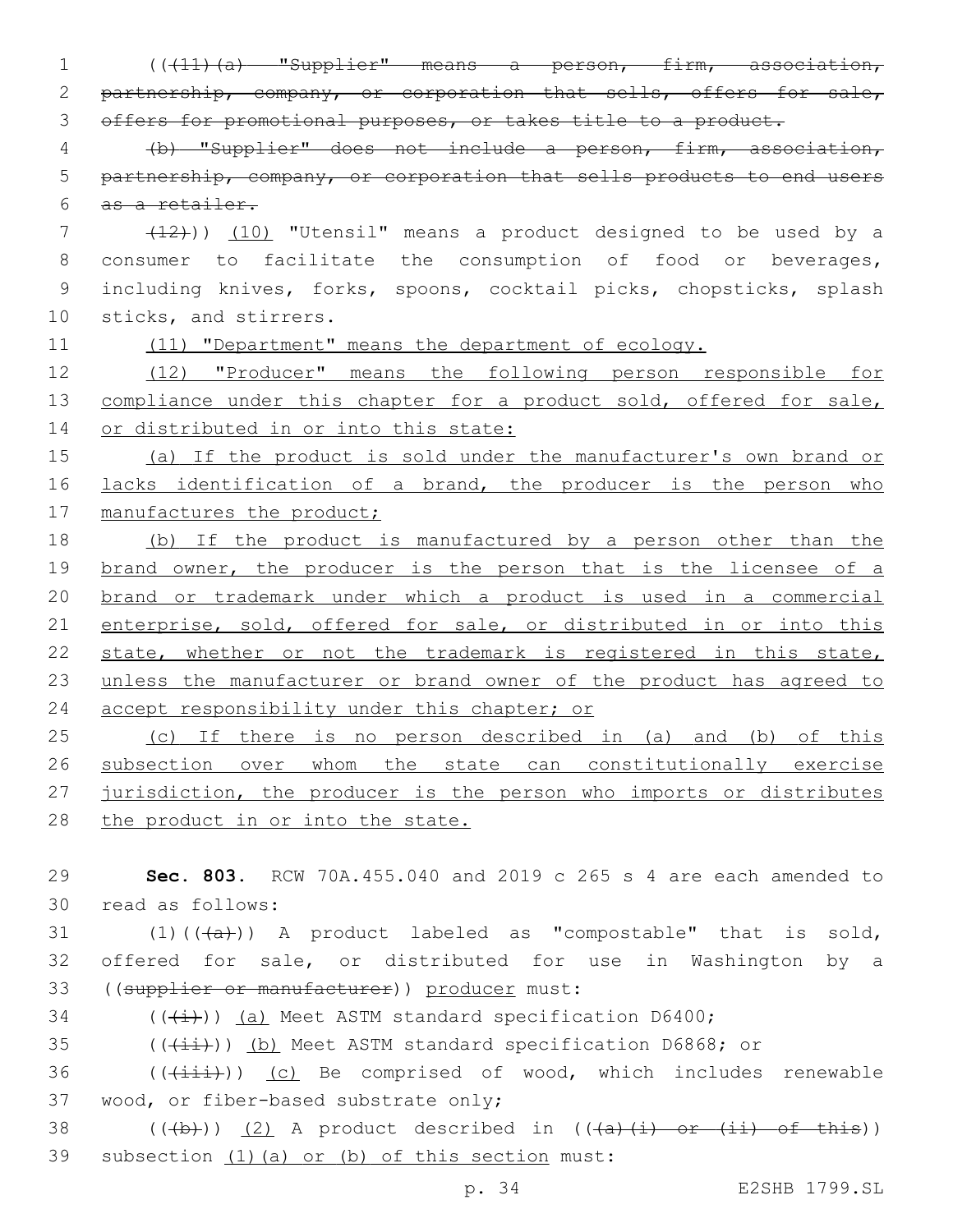1 (((11)(a) "Supplier" means a person, firm, association, 2 partnership, company, or corporation that sells, offers for sale, 3 offers for promotional purposes, or takes title to a product. 4 (b) "Supplier" does not include a person, firm, association, 5 partnership, company, or corporation that sells products to end users 6 as a retailer. 7 (12))) (10) "Utensil" means a product designed to be used by a 8 consumer to facilitate the consumption of food or beverages, 9 including knives, forks, spoons, cocktail picks, chopsticks, splash 10 sticks, and stirrers. 11 (11) "Department" means the department of ecology. 12 (12) "Producer" means the following person responsible for 13 compliance under this chapter for a product sold, offered for sale, 14 or distributed in or into this state: 15 (a) If the product is sold under the manufacturer's own brand or 16 lacks identification of a brand, the producer is the person who 17 manufactures the product; 18 (b) If the product is manufactured by a person other than the 19 brand owner, the producer is the person that is the licensee of a 20 brand or trademark under which a product is used in a commercial 21 enterprise, sold, offered for sale, or distributed in or into this 22 state, whether or not the trademark is registered in this state, 23 unless the manufacturer or brand owner of the product has agreed to 24 accept responsibility under this chapter; or 25 (c) If there is no person described in (a) and (b) of this 26 subsection over whom the state can constitutionally exercise 27 jurisdiction, the producer is the person who imports or distributes 28 the product in or into the state. 29 **Sec. 803.** RCW 70A.455.040 and 2019 c 265 s 4 are each amended to read as follows:30 31  $(1)((\overline{a}))$  A product labeled as "compostable" that is sold, 32 offered for sale, or distributed for use in Washington by a 33 ((supplier or manufacturer)) producer must:

 $34$  (( $\left(\frac{1}{1}\right)$ ) (a) Meet ASTM standard specification D6400;

 $35$  (( $(i+i)$ )) (b) Meet ASTM standard specification D6868; or

36 (( $(i+1+i)$ ) (c) Be comprised of wood, which includes renewable 37 wood, or fiber-based substrate only;

38  $((+b))$   $(2)$  A product described in  $((+a)+(i)$  or  $(i)$  of this)) 39 subsection (1)(a) or (b) of this section must: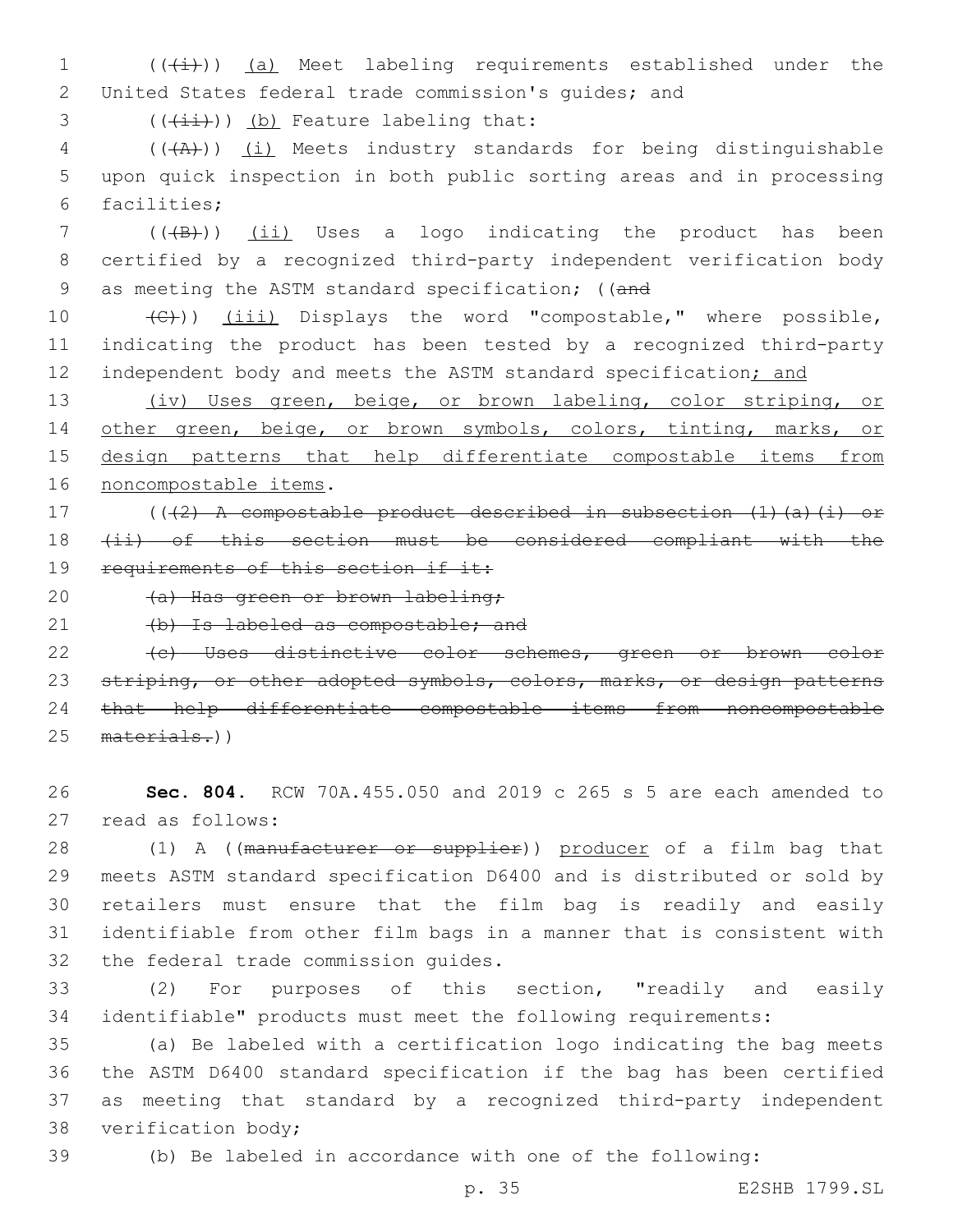1  $((\downarrow \downarrow))$  (a) Meet labeling requirements established under the 2 United States federal trade commission's guides; and

 $($   $($  $($  $\{$ ii $)$ ) $)$   $($ b) Feature labeling that:

4 (((A))) (i) Meets industry standards for being distinguishable 5 upon quick inspection in both public sorting areas and in processing 6 facilities;

7 (((B)) (ii) Uses a logo indicating the product has been 8 certified by a recognized third-party independent verification body 9 as meeting the ASTM standard specification; ((and

10  $\left(\frac{C}{C}\right)$ ) (iii) Displays the word "compostable," where possible, 11 indicating the product has been tested by a recognized third-party 12 independent body and meets the ASTM standard specification; and

13 (iv) Uses green, beige, or brown labeling, color striping, or 14 other green, beige, or brown symbols, colors, tinting, marks, or 15 design patterns that help differentiate compostable items from 16 noncompostable items.

17 (((2) A compostable product described in subsection (1)(a)(i) or 18 (ii) of this section must be considered compliant with the 19 requirements of this section if it:

20 (a) Has green or brown labeling;

21 (b) Is labeled as compostable; and

22 (c) Uses distinctive color schemes, green or brown color 23 striping, or other adopted symbols, colors, marks, or design patterns 24 that help differentiate compostable items from noncompostable 25 materials.))

26 **Sec. 804.** RCW 70A.455.050 and 2019 c 265 s 5 are each amended to 27 read as follows:

28 (1) A ((manufacturer or supplier)) producer of a film bag that 29 meets ASTM standard specification D6400 and is distributed or sold by 30 retailers must ensure that the film bag is readily and easily 31 identifiable from other film bags in a manner that is consistent with 32 the federal trade commission guides.

33 (2) For purposes of this section, "readily and easily 34 identifiable" products must meet the following requirements:

 (a) Be labeled with a certification logo indicating the bag meets the ASTM D6400 standard specification if the bag has been certified as meeting that standard by a recognized third-party independent 38 verification body;

39 (b) Be labeled in accordance with one of the following:

p. 35 E2SHB 1799.SL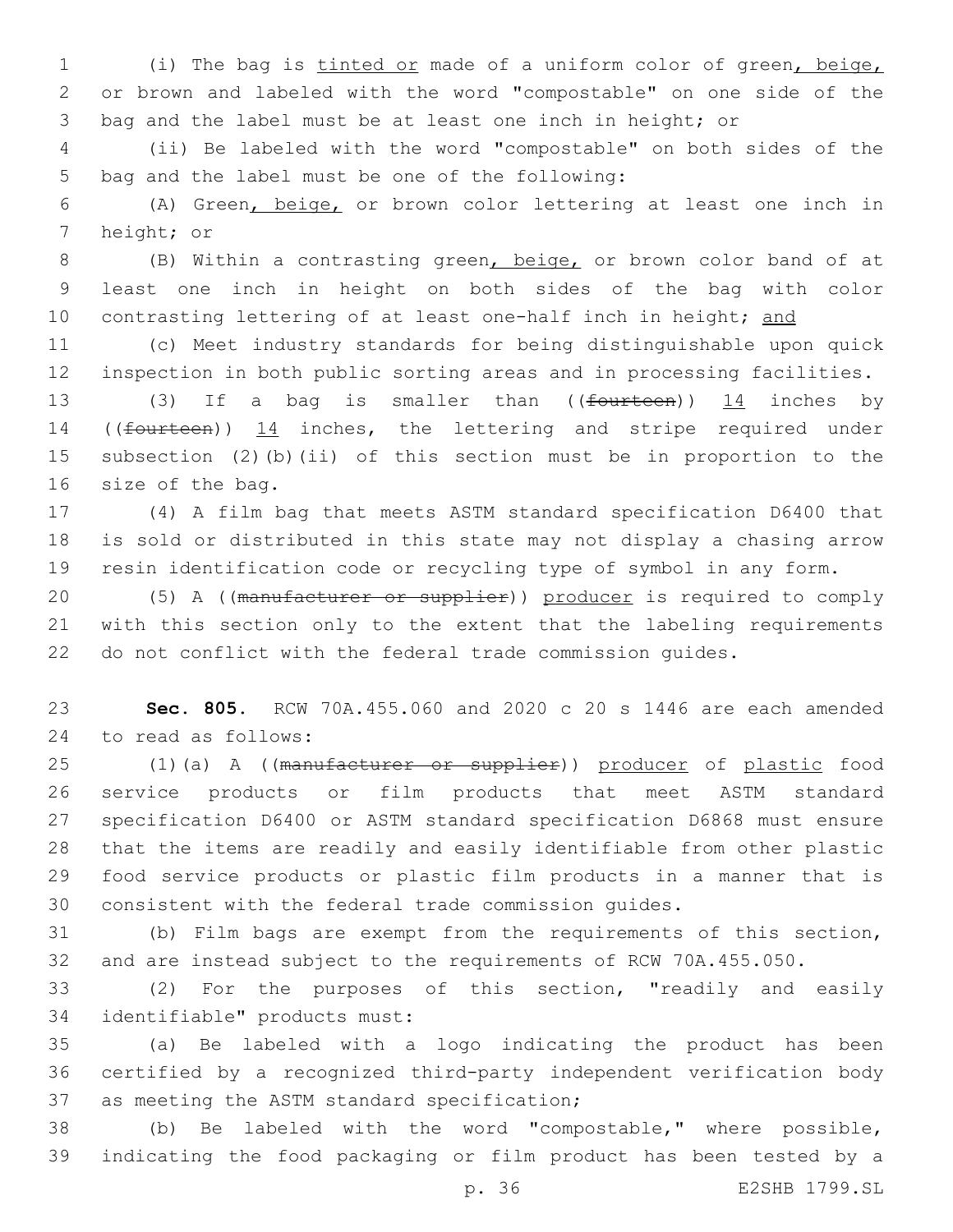(i) The bag is tinted or made of a uniform color of green, beige, or brown and labeled with the word "compostable" on one side of the bag and the label must be at least one inch in height; or

 (ii) Be labeled with the word "compostable" on both sides of the 5 bag and the label must be one of the following:

 (A) Green, beige, or brown color lettering at least one inch in 7 height; or

 (B) Within a contrasting green, beige, or brown color band of at least one inch in height on both sides of the bag with color 10 contrasting lettering of at least one-half inch in height; and

 (c) Meet industry standards for being distinguishable upon quick inspection in both public sorting areas and in processing facilities.

13 (3) If a bag is smaller than ((fourteen)) 14 inches by 14 ((fourteen)) 14 inches, the lettering and stripe required under subsection (2)(b)(ii) of this section must be in proportion to the 16 size of the bag.

 (4) A film bag that meets ASTM standard specification D6400 that is sold or distributed in this state may not display a chasing arrow resin identification code or recycling type of symbol in any form.

20 (5) A ((manufacturer or supplier)) producer is required to comply with this section only to the extent that the labeling requirements do not conflict with the federal trade commission guides.

 **Sec. 805.** RCW 70A.455.060 and 2020 c 20 s 1446 are each amended to read as follows:24

25 (1)(a) A ((manufacturer or supplier)) producer of plastic food service products or film products that meet ASTM standard specification D6400 or ASTM standard specification D6868 must ensure that the items are readily and easily identifiable from other plastic food service products or plastic film products in a manner that is consistent with the federal trade commission guides.

 (b) Film bags are exempt from the requirements of this section, and are instead subject to the requirements of RCW 70A.455.050.

 (2) For the purposes of this section, "readily and easily identifiable" products must:34

 (a) Be labeled with a logo indicating the product has been certified by a recognized third-party independent verification body 37 as meeting the ASTM standard specification;

 (b) Be labeled with the word "compostable," where possible, indicating the food packaging or film product has been tested by a

p. 36 E2SHB 1799.SL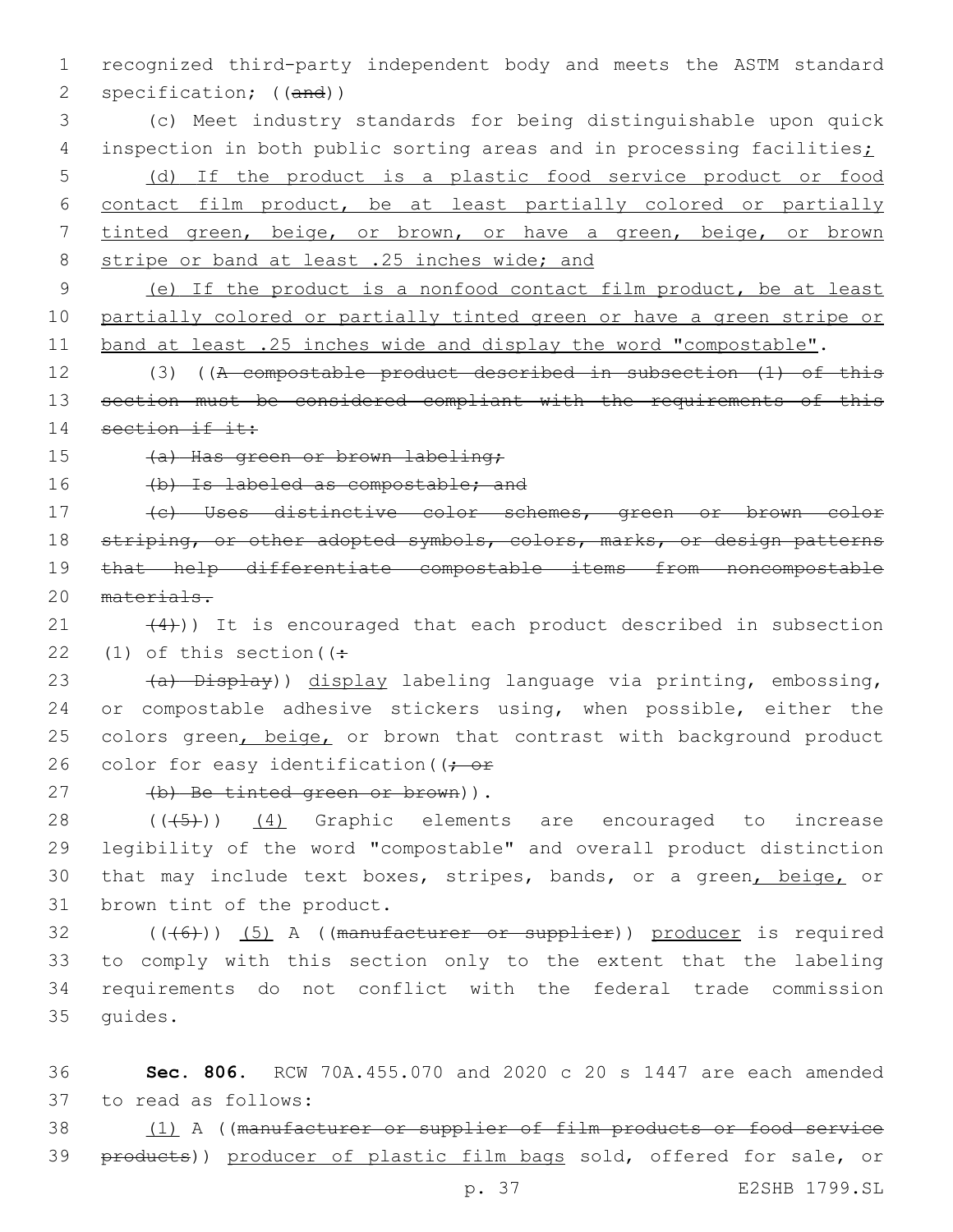1 recognized third-party independent body and meets the ASTM standard 2 specification; ((and))

 (c) Meet industry standards for being distinguishable upon quick 4 inspection in both public sorting areas and in processing facilities; (d) If the product is a plastic food service product or food contact film product, be at least partially colored or partially tinted green, beige, or brown, or have a green, beige, or brown 8 stripe or band at least .25 inches wide; and

9 (e) If the product is a nonfood contact film product, be at least 10 partially colored or partially tinted green or have a green stripe or 11 band at least .25 inches wide and display the word "compostable".

12 (3) ((A compostable product described in subsection (1) of this 13 section must be considered compliant with the requirements of this 14 section if it:

15 (a) Has green or brown labeling;

16 (b) Is labeled as compostable; and

 (c) Uses distinctive color schemes, green or brown color 18 striping, or other adopted symbols, colors, marks, or design patterns that help differentiate compostable items from noncompostable materials.

21  $(4)$ )) It is encouraged that each product described in subsection 22 (1) of this section  $($ :

23 (a) Display)) display labeling language via printing, embossing, 24 or compostable adhesive stickers using, when possible, either the 25 colors green, beige, or brown that contrast with background product 26 color for easy identification ( $\rightarrow$  or

27 (b) Be tinted green or brown)).

 $28$   $((+5+))$   $(4)$  Graphic elements are encouraged to increase 29 legibility of the word "compostable" and overall product distinction 30 that may include text boxes, stripes, bands, or a green, beige, or 31 brown tint of the product.

 ((( $6$ ))) (5) A ((manufacturer or supplier)) producer is required to comply with this section only to the extent that the labeling requirements do not conflict with the federal trade commission 35 quides.

36 **Sec. 806.** RCW 70A.455.070 and 2020 c 20 s 1447 are each amended to read as follows:37

38 (1) A ((manufacturer or supplier of film products or food service 39 products)) producer of plastic film bags sold, offered for sale, or

p. 37 E2SHB 1799.SL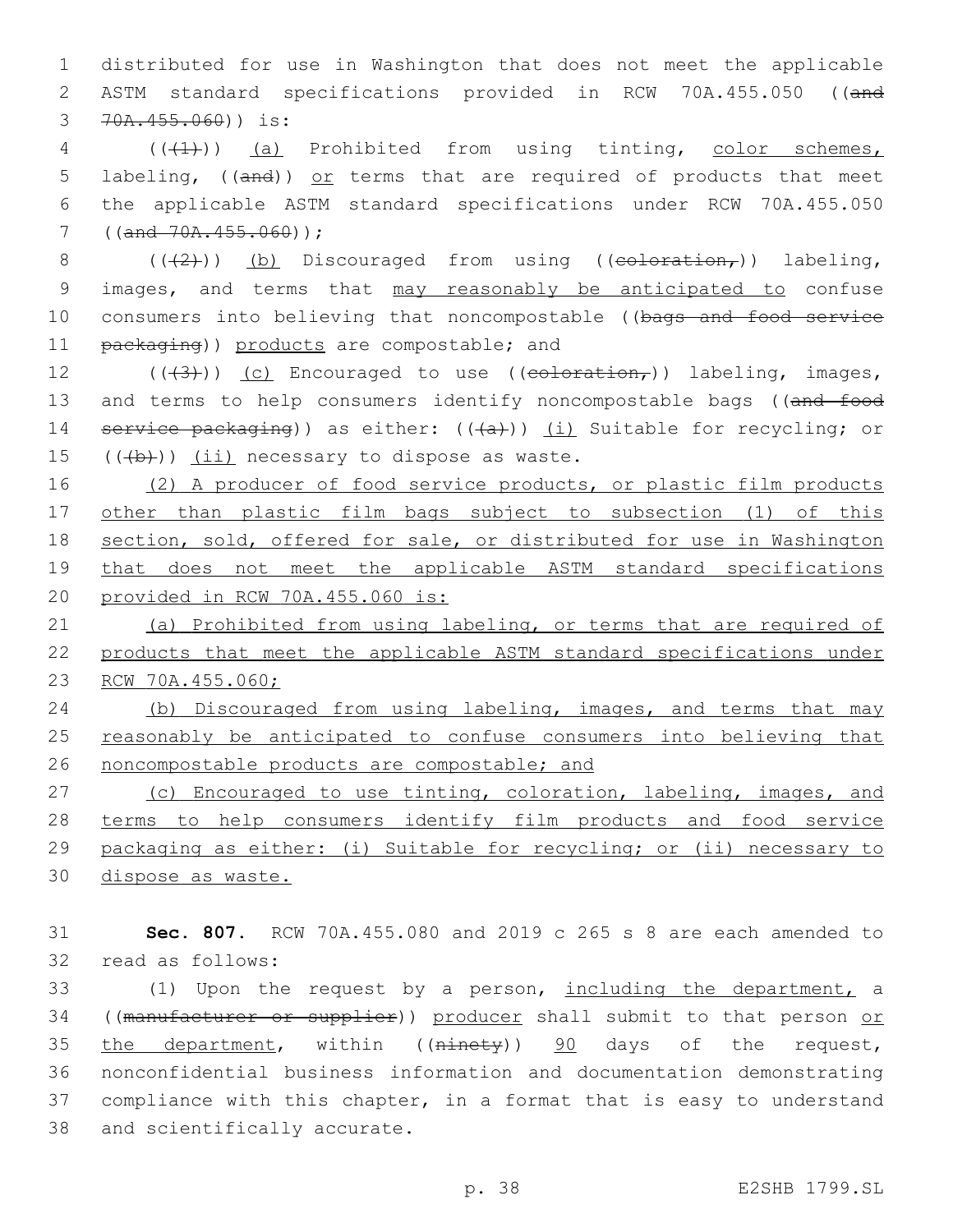1 distributed for use in Washington that does not meet the applicable 2 ASTM standard specifications provided in RCW 70A.455.050 ((and 3 70A.455.060)) is:

4 (((4))) (a) Prohibited from using tinting, color schemes, 5 labeling,  $((and))$  or terms that are required of products that meet 6 the applicable ASTM standard specifications under RCW 70A.455.050  $7 ((and 70A.455.060));$ 

8  $((+2))$  (b) Discouraged from using ((coloration,)) labeling, 9 images, and terms that may reasonably be anticipated to confuse 10 consumers into believing that noncompostable ((bags and food service 11 packaging)) products are compostable; and

12  $((\langle 3 \rangle)(c)$  Encouraged to use  $((\text{colocation}_r))$  labeling, images, 13 and terms to help consumers identify noncompostable bags ((and food 14 service packaging)) as either:  $((+a))$  (i) Suitable for recycling; or  $15$   $((+b))$   $(ii)$  necessary to dispose as waste.

16 (2) A producer of food service products, or plastic film products other than plastic film bags subject to subsection (1) of this section, sold, offered for sale, or distributed for use in Washington that does not meet the applicable ASTM standard specifications provided in RCW 70A.455.060 is:

21 (a) Prohibited from using labeling, or terms that are required of 22 products that meet the applicable ASTM standard specifications under 23 RCW 70A.455.060;

24 (b) Discouraged from using labeling, images, and terms that may 25 reasonably be anticipated to confuse consumers into believing that 26 noncompostable products are compostable; and

 (c) Encouraged to use tinting, coloration, labeling, images, and 28 terms to help consumers identify film products and food service packaging as either: (i) Suitable for recycling; or (ii) necessary to dispose as waste.

31 **Sec. 807.** RCW 70A.455.080 and 2019 c 265 s 8 are each amended to 32 read as follows:

33 (1) Upon the request by a person, including the department, a 34 ((manufacturer or supplier)) producer shall submit to that person or 35 the department, within ( $(n\text{inety})$ )  $\frac{90}{90}$  days of the request, 36 nonconfidential business information and documentation demonstrating 37 compliance with this chapter, in a format that is easy to understand 38 and scientifically accurate.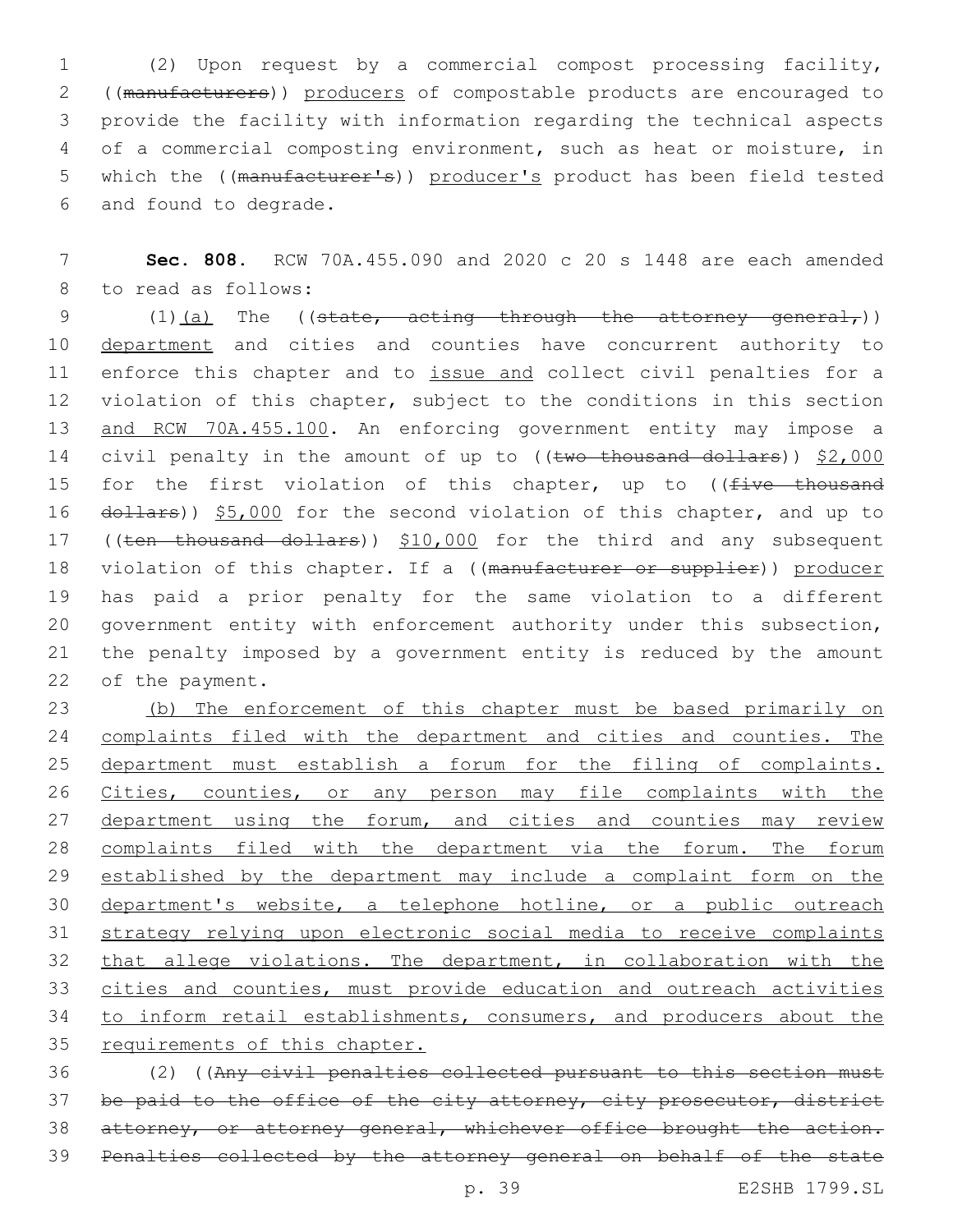(2) Upon request by a commercial compost processing facility, ((manufacturers)) producers of compostable products are encouraged to provide the facility with information regarding the technical aspects of a commercial composting environment, such as heat or moisture, in 5 which the ((manufacturer's)) producer's product has been field tested 6 and found to degrade.

7 **Sec. 808.** RCW 70A.455.090 and 2020 c 20 s 1448 are each amended 8 to read as follows:

9  $(1)$   $(a)$  The ((state, acting through the attorney general,)) 10 department and cities and counties have concurrent authority to 11 enforce this chapter and to issue and collect civil penalties for a 12 violation of this chapter, subject to the conditions in this section 13 and RCW 70A.455.100. An enforcing government entity may impose a 14 civil penalty in the amount of up to ((two thousand dollars)) \$2,000 15 for the first violation of this chapter, up to ((five thousand 16 dollars)) \$5,000 for the second violation of this chapter, and up to 17 ((ten thousand dollars)) \$10,000 for the third and any subsequent 18 violation of this chapter. If a ((manufacturer or supplier)) producer 19 has paid a prior penalty for the same violation to a different 20 government entity with enforcement authority under this subsection, 21 the penalty imposed by a government entity is reduced by the amount 22 of the payment.

 (b) The enforcement of this chapter must be based primarily on 24 complaints filed with the department and cities and counties. The department must establish a forum for the filing of complaints. 26 Cities, counties, or any person may file complaints with the 27 department using the forum, and cities and counties may review complaints filed with the department via the forum. The forum 29 established by the department may include a complaint form on the department's website, a telephone hotline, or a public outreach strategy relying upon electronic social media to receive complaints 32 that allege violations. The department, in collaboration with the cities and counties, must provide education and outreach activities to inform retail establishments, consumers, and producers about the requirements of this chapter.

36 (2) ((Any civil penalties collected pursuant to this section must 37 be paid to the office of the city attorney, city prosecutor, district 38 attorney, or attorney general, whichever office brought the action. 39 Penalties collected by the attorney general on behalf of the state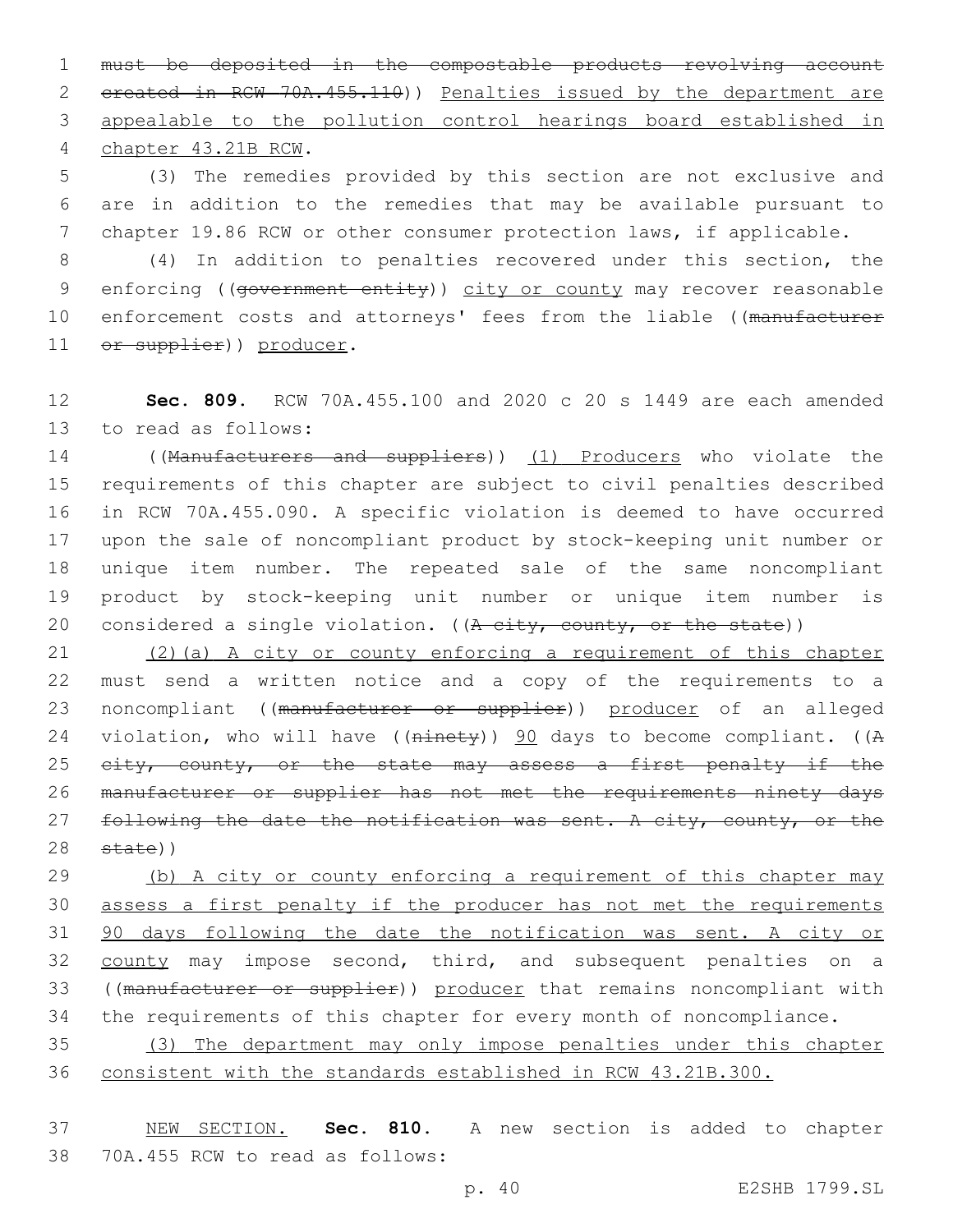1 must be deposited in the compostable products revolving account 2 created in RCW 70A.455.110)) Penalties issued by the department are 3 appealable to the pollution control hearings board established in chapter 43.21B RCW.4

5 (3) The remedies provided by this section are not exclusive and 6 are in addition to the remedies that may be available pursuant to 7 chapter 19.86 RCW or other consumer protection laws, if applicable.

8 (4) In addition to penalties recovered under this section, the 9 enforcing ((government entity)) city or county may recover reasonable 10 enforcement costs and attorneys' fees from the liable ((manufacturer 11 or supplier)) producer.

12 **Sec. 809.** RCW 70A.455.100 and 2020 c 20 s 1449 are each amended 13 to read as follows:

 ((Manufacturers and suppliers)) (1) Producers who violate the requirements of this chapter are subject to civil penalties described in RCW 70A.455.090. A specific violation is deemed to have occurred upon the sale of noncompliant product by stock-keeping unit number or unique item number. The repeated sale of the same noncompliant product by stock-keeping unit number or unique item number is 20 considered a single violation. ( $(A$  city, county, or the state))

21 (2)(a) A city or county enforcing a requirement of this chapter 22 must send a written notice and a copy of the requirements to a 23 noncompliant ((manufacturer or supplier)) producer of an alleged 24 violation, who will have ((ninety)) 90 days to become compliant. ((A 25 eity, county, or the state may assess a first penalty if the 26 manufacturer or supplier has not met the requirements ninety days 27 following the date the notification was sent. A city, county, or the 28 state))

29 (b) A city or county enforcing a requirement of this chapter may 30 assess a first penalty if the producer has not met the requirements 31 90 days following the date the notification was sent. A city or 32 county may impose second, third, and subsequent penalties on a 33 ((manufacturer or supplier)) producer that remains noncompliant with 34 the requirements of this chapter for every month of noncompliance.

35 (3) The department may only impose penalties under this chapter 36 consistent with the standards established in RCW 43.21B.300.

37 NEW SECTION. **Sec. 810.** A new section is added to chapter 38 70A.455 RCW to read as follows: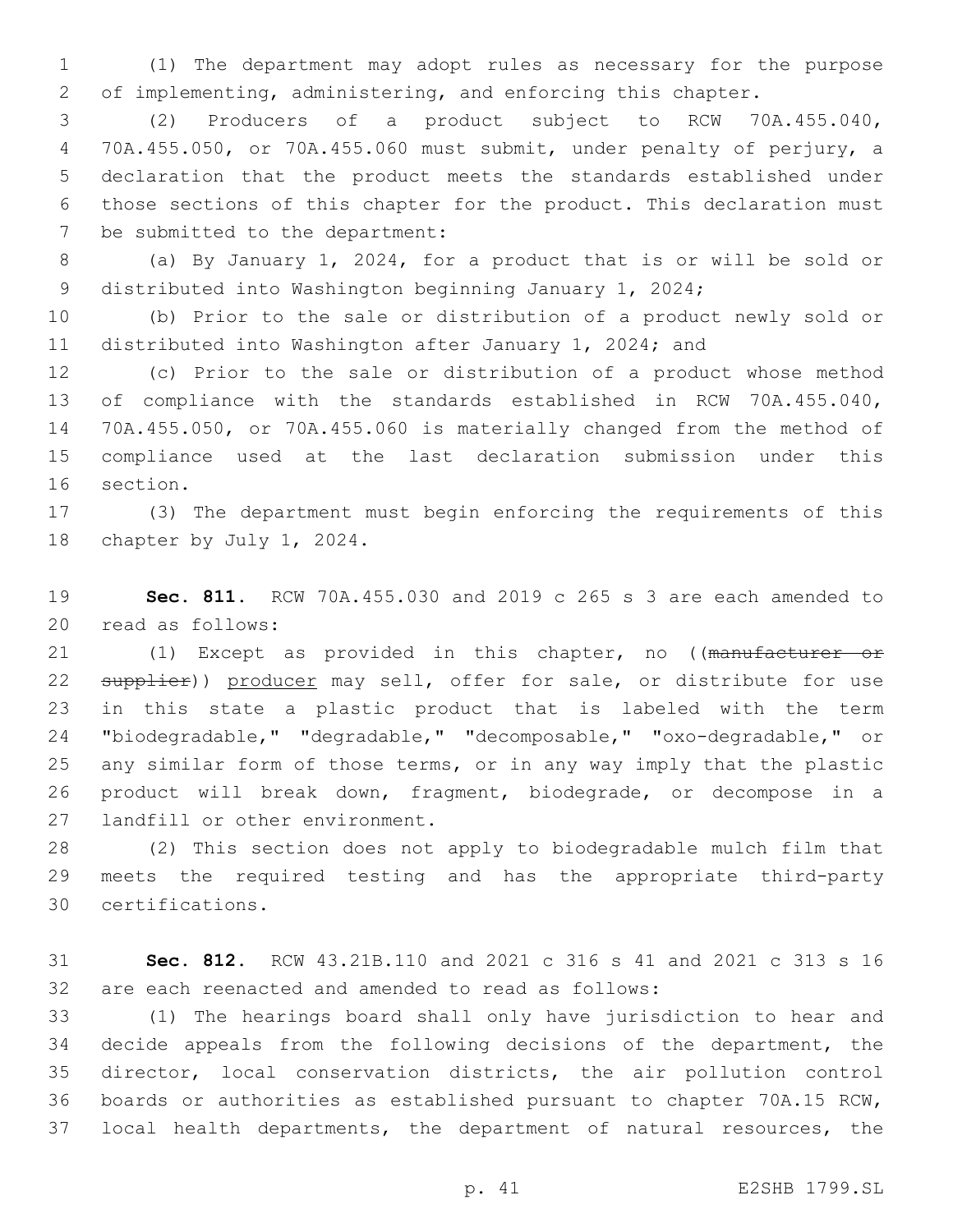(1) The department may adopt rules as necessary for the purpose of implementing, administering, and enforcing this chapter.

 (2) Producers of a product subject to RCW 70A.455.040, 70A.455.050, or 70A.455.060 must submit, under penalty of perjury, a declaration that the product meets the standards established under those sections of this chapter for the product. This declaration must 7 be submitted to the department:

 (a) By January 1, 2024, for a product that is or will be sold or distributed into Washington beginning January 1, 2024;

 (b) Prior to the sale or distribution of a product newly sold or distributed into Washington after January 1, 2024; and

 (c) Prior to the sale or distribution of a product whose method of compliance with the standards established in RCW 70A.455.040, 70A.455.050, or 70A.455.060 is materially changed from the method of compliance used at the last declaration submission under this 16 section.

 (3) The department must begin enforcing the requirements of this 18 chapter by July 1, 2024.

 **Sec. 811.** RCW 70A.455.030 and 2019 c 265 s 3 are each amended to 20 read as follows:

21 (1) Except as provided in this chapter, no ((manufacturer or 22 supplier)) producer may sell, offer for sale, or distribute for use in this state a plastic product that is labeled with the term "biodegradable," "degradable," "decomposable," "oxo-degradable," or any similar form of those terms, or in any way imply that the plastic product will break down, fragment, biodegrade, or decompose in a 27 landfill or other environment.

 (2) This section does not apply to biodegradable mulch film that meets the required testing and has the appropriate third-party certifications.30

 **Sec. 812.** RCW 43.21B.110 and 2021 c 316 s 41 and 2021 c 313 s 16 are each reenacted and amended to read as follows:

 (1) The hearings board shall only have jurisdiction to hear and decide appeals from the following decisions of the department, the director, local conservation districts, the air pollution control boards or authorities as established pursuant to chapter 70A.15 RCW, local health departments, the department of natural resources, the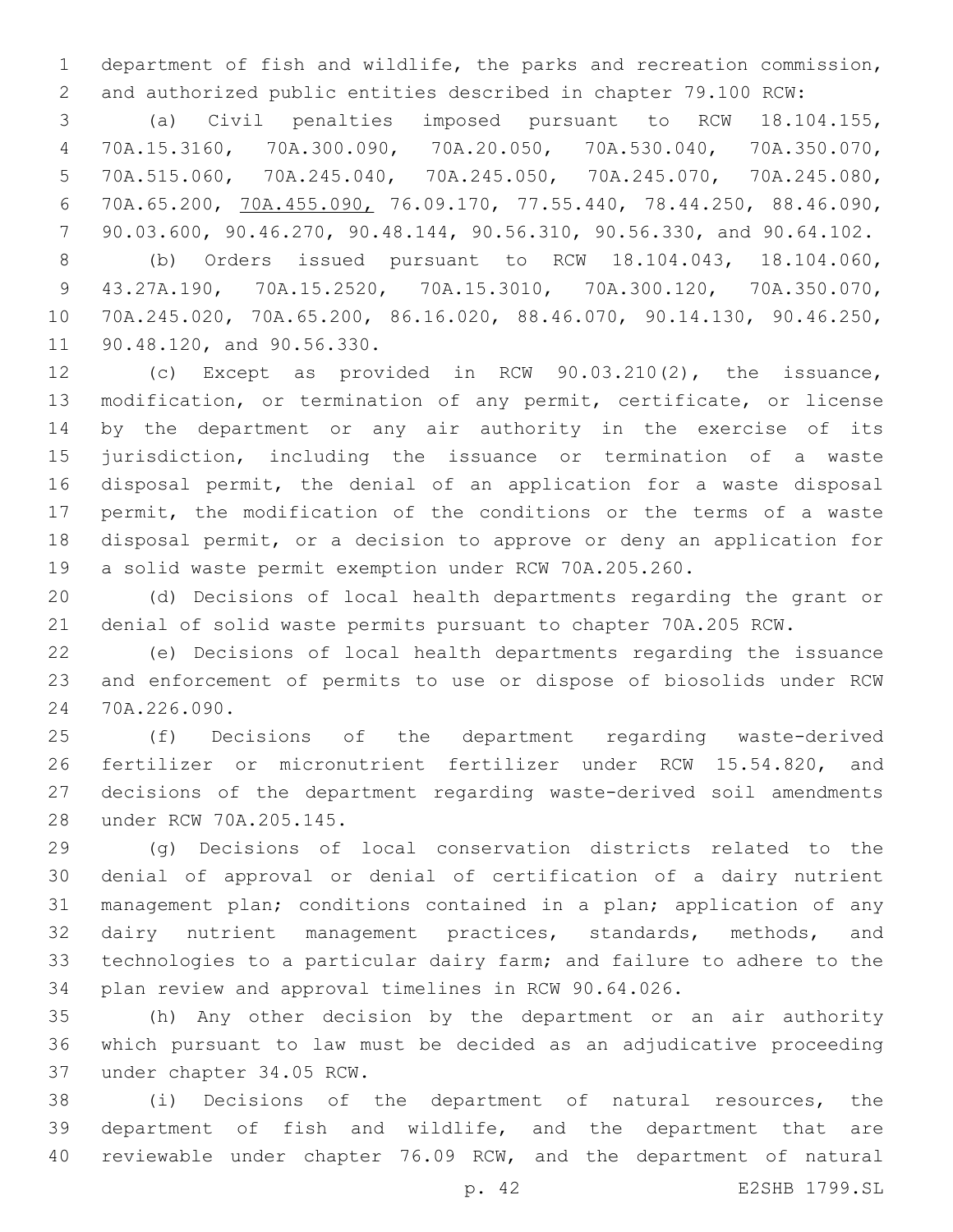department of fish and wildlife, the parks and recreation commission, and authorized public entities described in chapter 79.100 RCW:

 (a) Civil penalties imposed pursuant to RCW 18.104.155, 70A.15.3160, 70A.300.090, 70A.20.050, 70A.530.040, 70A.350.070, 70A.515.060, 70A.245.040, 70A.245.050, 70A.245.070, 70A.245.080, 70A.65.200, 70A.455.090, 76.09.170, 77.55.440, 78.44.250, 88.46.090, 90.03.600, 90.46.270, 90.48.144, 90.56.310, 90.56.330, and 90.64.102.

 (b) Orders issued pursuant to RCW 18.104.043, 18.104.060, 43.27A.190, 70A.15.2520, 70A.15.3010, 70A.300.120, 70A.350.070, 70A.245.020, 70A.65.200, 86.16.020, 88.46.070, 90.14.130, 90.46.250, 11 90.48.120, and 90.56.330.

 (c) Except as provided in RCW 90.03.210(2), the issuance, modification, or termination of any permit, certificate, or license by the department or any air authority in the exercise of its jurisdiction, including the issuance or termination of a waste disposal permit, the denial of an application for a waste disposal permit, the modification of the conditions or the terms of a waste disposal permit, or a decision to approve or deny an application for a solid waste permit exemption under RCW 70A.205.260.

 (d) Decisions of local health departments regarding the grant or denial of solid waste permits pursuant to chapter 70A.205 RCW.

 (e) Decisions of local health departments regarding the issuance and enforcement of permits to use or dispose of biosolids under RCW 24 70A.226.090.

 (f) Decisions of the department regarding waste-derived fertilizer or micronutrient fertilizer under RCW 15.54.820, and decisions of the department regarding waste-derived soil amendments 28 under RCW 70A.205.145.

 (g) Decisions of local conservation districts related to the denial of approval or denial of certification of a dairy nutrient management plan; conditions contained in a plan; application of any dairy nutrient management practices, standards, methods, and technologies to a particular dairy farm; and failure to adhere to the plan review and approval timelines in RCW 90.64.026.

 (h) Any other decision by the department or an air authority which pursuant to law must be decided as an adjudicative proceeding 37 under chapter 34.05 RCW.

 (i) Decisions of the department of natural resources, the department of fish and wildlife, and the department that are reviewable under chapter 76.09 RCW, and the department of natural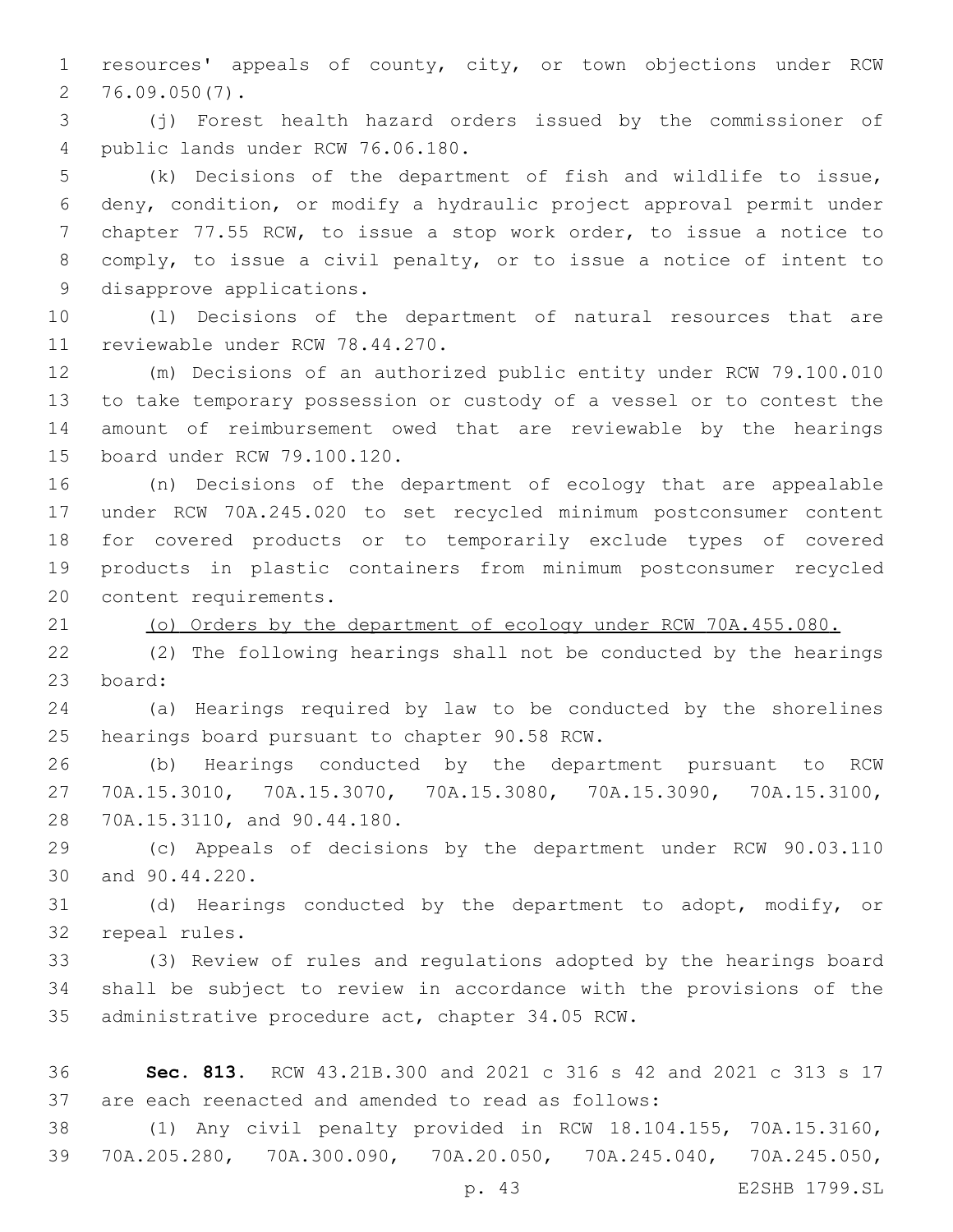resources' appeals of county, city, or town objections under RCW  $2, 76.09.050(7)$ .

 (j) Forest health hazard orders issued by the commissioner of public lands under RCW 76.06.180.4

 (k) Decisions of the department of fish and wildlife to issue, deny, condition, or modify a hydraulic project approval permit under chapter 77.55 RCW, to issue a stop work order, to issue a notice to comply, to issue a civil penalty, or to issue a notice of intent to 9 disapprove applications.

 (l) Decisions of the department of natural resources that are 11 reviewable under RCW 78.44.270.

 (m) Decisions of an authorized public entity under RCW 79.100.010 to take temporary possession or custody of a vessel or to contest the amount of reimbursement owed that are reviewable by the hearings 15 board under RCW 79.100.120.

 (n) Decisions of the department of ecology that are appealable under RCW 70A.245.020 to set recycled minimum postconsumer content for covered products or to temporarily exclude types of covered products in plastic containers from minimum postconsumer recycled 20 content requirements.

(o) Orders by the department of ecology under RCW 70A.455.080.

 (2) The following hearings shall not be conducted by the hearings 23 board:

 (a) Hearings required by law to be conducted by the shorelines 25 hearings board pursuant to chapter 90.58 RCW.

 (b) Hearings conducted by the department pursuant to RCW 70A.15.3010, 70A.15.3070, 70A.15.3080, 70A.15.3090, 70A.15.3100, 28 70A.15.3110, and 90.44.180.

 (c) Appeals of decisions by the department under RCW 90.03.110 30 and 90.44.220.

 (d) Hearings conducted by the department to adopt, modify, or 32 repeal rules.

 (3) Review of rules and regulations adopted by the hearings board shall be subject to review in accordance with the provisions of the 35 administrative procedure act, chapter 34.05 RCW.

 **Sec. 813.** RCW 43.21B.300 and 2021 c 316 s 42 and 2021 c 313 s 17 are each reenacted and amended to read as follows:

 (1) Any civil penalty provided in RCW 18.104.155, 70A.15.3160, 70A.205.280, 70A.300.090, 70A.20.050, 70A.245.040, 70A.245.050,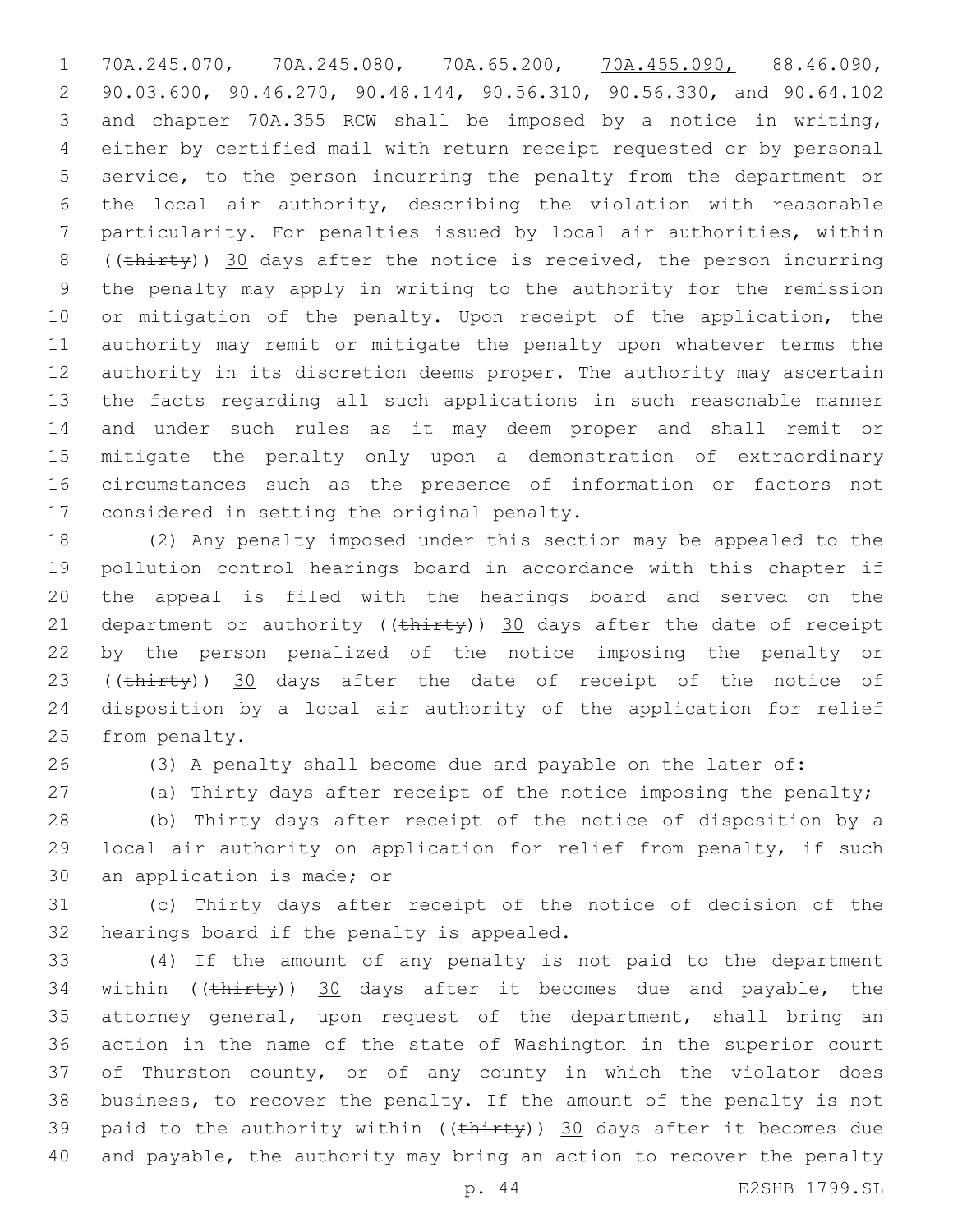70A.245.070, 70A.245.080, 70A.65.200, 70A.455.090, 88.46.090, 90.03.600, 90.46.270, 90.48.144, 90.56.310, 90.56.330, and 90.64.102 and chapter 70A.355 RCW shall be imposed by a notice in writing, either by certified mail with return receipt requested or by personal service, to the person incurring the penalty from the department or the local air authority, describing the violation with reasonable particularity. For penalties issued by local air authorities, within 8 (( $\text{thirty}$ ) 30 days after the notice is received, the person incurring the penalty may apply in writing to the authority for the remission 10 or mitigation of the penalty. Upon receipt of the application, the authority may remit or mitigate the penalty upon whatever terms the authority in its discretion deems proper. The authority may ascertain the facts regarding all such applications in such reasonable manner and under such rules as it may deem proper and shall remit or mitigate the penalty only upon a demonstration of extraordinary circumstances such as the presence of information or factors not 17 considered in setting the original penalty.

 (2) Any penalty imposed under this section may be appealed to the pollution control hearings board in accordance with this chapter if the appeal is filed with the hearings board and served on the 21 department or authority ( $(\text{thi}$ rty)) 30 days after the date of receipt by the person penalized of the notice imposing the penalty or 23 ((thirty)) 30 days after the date of receipt of the notice of disposition by a local air authority of the application for relief 25 from penalty.

(3) A penalty shall become due and payable on the later of:

27 (a) Thirty days after receipt of the notice imposing the penalty;

 (b) Thirty days after receipt of the notice of disposition by a local air authority on application for relief from penalty, if such 30 an application is made; or

 (c) Thirty days after receipt of the notice of decision of the 32 hearings board if the penalty is appealed.

 (4) If the amount of any penalty is not paid to the department 34 within  $((\text{thirty}))$  30 days after it becomes due and payable, the attorney general, upon request of the department, shall bring an action in the name of the state of Washington in the superior court of Thurston county, or of any county in which the violator does business, to recover the penalty. If the amount of the penalty is not 39 paid to the authority within (( $\text{thirty}$ )) 30 days after it becomes due and payable, the authority may bring an action to recover the penalty

p. 44 E2SHB 1799.SL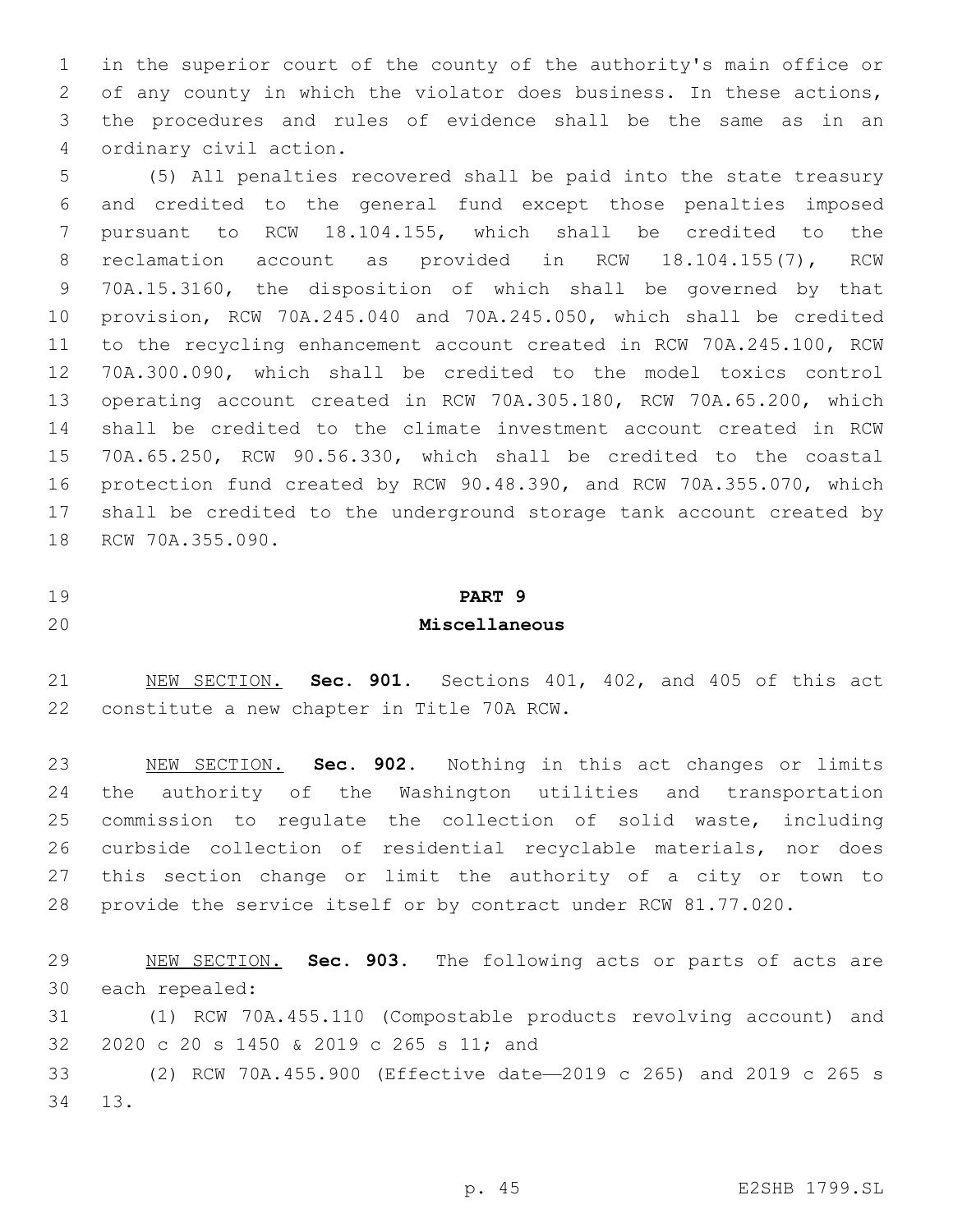in the superior court of the county of the authority's main office or of any county in which the violator does business. In these actions, the procedures and rules of evidence shall be the same as in an ordinary civil action.4

 (5) All penalties recovered shall be paid into the state treasury and credited to the general fund except those penalties imposed pursuant to RCW 18.104.155, which shall be credited to the reclamation account as provided in RCW 18.104.155(7), RCW 70A.15.3160, the disposition of which shall be governed by that provision, RCW 70A.245.040 and 70A.245.050, which shall be credited to the recycling enhancement account created in RCW 70A.245.100, RCW 70A.300.090, which shall be credited to the model toxics control operating account created in RCW 70A.305.180, RCW 70A.65.200, which shall be credited to the climate investment account created in RCW 70A.65.250, RCW 90.56.330, which shall be credited to the coastal protection fund created by RCW 90.48.390, and RCW 70A.355.070, which shall be credited to the underground storage tank account created by 18 RCW 70A.355.090.

# **PART 9**

# **Miscellaneous**

 NEW SECTION. **Sec. 901.** Sections 401, 402, and 405 of this act constitute a new chapter in Title 70A RCW.

 NEW SECTION. **Sec. 902.** Nothing in this act changes or limits the authority of the Washington utilities and transportation commission to regulate the collection of solid waste, including curbside collection of residential recyclable materials, nor does this section change or limit the authority of a city or town to provide the service itself or by contract under RCW 81.77.020.

 NEW SECTION. **Sec. 903.** The following acts or parts of acts are each repealed:

 (1) RCW 70A.455.110 (Compostable products revolving account) and 32 2020 c 20 s 1450 & 2019 c 265 s 11; and

 (2) RCW 70A.455.900 (Effective date—2019 c 265) and 2019 c 265 s 34 13.